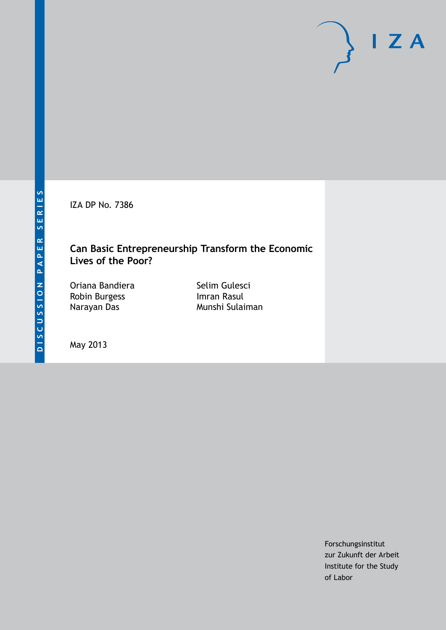IZA DP No. 7386

### **Can Basic Entrepreneurship Transform the Economic Lives of the Poor?**

Oriana Bandiera Robin Burgess Narayan Das

Selim Gulesci Imran Rasul Munshi Sulaiman

May 2013

Forschungsinstitut zur Zukunft der Arbeit Institute for the Study of Labor

 $I Z A$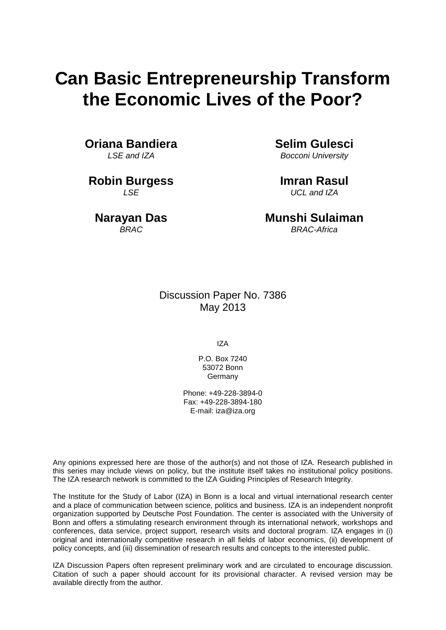# **Can Basic Entrepreneurship Transform the Economic Lives of the Poor?**

**Oriana Bandiera** *LSE and IZA*

**Robin Burgess** *LSE*

**Narayan Das** *BRAC*

**Selim Gulesci** *Bocconi University*

**Imran Rasul** *UCL and IZA*

**Munshi Sulaiman** *BRAC-Africa*

Discussion Paper No. 7386 May 2013

IZA

P.O. Box 7240 53072 Bonn **Germany** 

Phone: +49-228-3894-0 Fax: +49-228-3894-180 E-mail: [iza@iza.org](mailto:iza@iza.org)

Any opinions expressed here are those of the author(s) and not those of IZA. Research published in this series may include views on policy, but the institute itself takes no institutional policy positions. The IZA research network is committed to the IZA Guiding Principles of Research Integrity.

<span id="page-1-0"></span>The Institute for the Study of Labor (IZA) in Bonn is a local and virtual international research center and a place of communication between science, politics and business. IZA is an independent nonprofit organization supported by Deutsche Post Foundation. The center is associated with the University of Bonn and offers a stimulating research environment through its international network, workshops and conferences, data service, project support, research visits and doctoral program. IZA engages in (i) original and internationally competitive research in all fields of labor economics, (ii) development of policy concepts, and (iii) dissemination of research results and concepts to the interested public.

IZA Discussion Papers often represent preliminary work and are circulated to encourage discussion. Citation of such a paper should account for its provisional character. A revised version may be available directly from the author.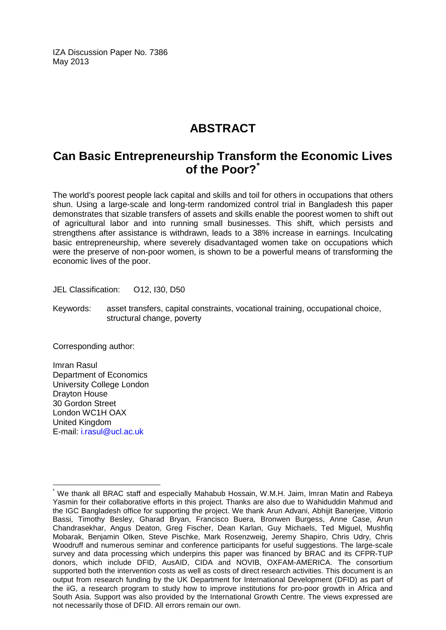IZA Discussion Paper No. 7386 May 2013

### **ABSTRACT**

### **Can Basic Entrepreneurship Transform the Economic Lives of the Poor?[\\*](#page-1-0)**

The world's poorest people lack capital and skills and toil for others in occupations that others shun. Using a large-scale and long-term randomized control trial in Bangladesh this paper demonstrates that sizable transfers of assets and skills enable the poorest women to shift out of agricultural labor and into running small businesses. This shift, which persists and strengthens after assistance is withdrawn, leads to a 38% increase in earnings. Inculcating basic entrepreneurship, where severely disadvantaged women take on occupations which were the preserve of non-poor women, is shown to be a powerful means of transforming the economic lives of the poor.

JEL Classification: O12, I30, D50

Keywords: asset transfers, capital constraints, vocational training, occupational choice, structural change, poverty

Corresponding author:

Imran Rasul Department of Economics University College London Drayton House 30 Gordon Street London WC1H OAX United Kingdom E-mail: [i.rasul@ucl.ac.uk](mailto:i.rasul@ucl.ac.uk)

We thank all BRAC staff and especially Mahabub Hossain, W.M.H. Jaim, Imran Matin and Rabeya Yasmin for their collaborative efforts in this project. Thanks are also due to Wahiduddin Mahmud and the IGC Bangladesh office for supporting the project. We thank Arun Advani, Abhijit Banerjee, Vittorio Bassi, Timothy Besley, Gharad Bryan, Francisco Buera, Bronwen Burgess, Anne Case, Arun Chandrasekhar, Angus Deaton, Greg Fischer, Dean Karlan, Guy Michaels, Ted Miguel, Mushfiq Mobarak, Benjamin Olken, Steve Pischke, Mark Rosenzweig, Jeremy Shapiro, Chris Udry, Chris Woodruff and numerous seminar and conference participants for useful suggestions. The large-scale survey and data processing which underpins this paper was financed by BRAC and its CFPR-TUP donors, which include DFID, AusAID, CIDA and NOVIB, OXFAM-AMERICA. The consortium supported both the intervention costs as well as costs of direct research activities. This document is an output from research funding by the UK Department for International Development (DFID) as part of the iiG, a research program to study how to improve institutions for pro-poor growth in Africa and South Asia. Support was also provided by the International Growth Centre. The views expressed are not necessarily those of DFID. All errors remain our own.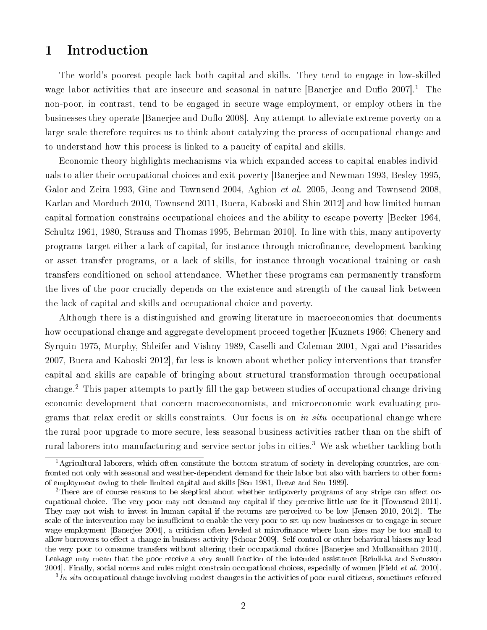### 1 Introduction

The world's poorest people lack both capital and skills. They tend to engage in low-skilled wage labor activities that are insecure and seasonal in nature [Banerjee and Duflo  $2007$ ].<sup>1</sup> The non-poor, in contrast, tend to be engaged in secure wage employment, or employ others in the businesses they operate [Banerjee and Duflo 2008]. Any attempt to alleviate extreme poverty on a large scale therefore requires us to think about catalyzing the process of occupational change and to understand how this process is linked to a paucity of capital and skills.

Economic theory highlights mechanisms via which expanded access to capital enables individuals to alter their occupational choices and exit poverty [Banerjee and Newman 1993, Besley 1995, Galor and Zeira 1993, Gine and Townsend 2004, Aghion et al. 2005, Jeong and Townsend 2008, Karlan and Morduch 2010, Townsend 2011, Buera, Kaboski and Shin 2012] and how limited human capital formation constrains occupational choices and the ability to escape poverty [Becker 1964, Schultz 1961, 1980, Strauss and Thomas 1995, Behrman 2010]. In line with this, many antipoverty programs target either a lack of capital, for instance through microfinance, development banking or asset transfer programs, or a lack of skills, for instance through vocational training or cash transfers conditioned on school attendance. Whether these programs can permanently transform the lives of the poor crucially depends on the existence and strength of the causal link between the lack of capital and skills and occupational choice and poverty.

Although there is a distinguished and growing literature in macroeconomics that documents how occupational change and aggregate development proceed together [Kuznets 1966; Chenery and Syrquin 1975, Murphy, Shleifer and Vishny 1989, Caselli and Coleman 2001, Ngai and Pissarides 2007, Buera and Kaboski 2012], far less is known about whether policy interventions that transfer capital and skills are capable of bringing about structural transformation through occupational change.<sup>2</sup> This paper attempts to partly fill the gap between studies of occupational change driving economic development that concern macroeconomists, and microeconomic work evaluating programs that relax credit or skills constraints. Our focus is on in situ occupational change where the rural poor upgrade to more secure, less seasonal business activities rather than on the shift of rural laborers into manufacturing and service sector jobs in cities.<sup>3</sup> We ask whether tackling both

 $3In$  situ occupational change involving modest changes in the activities of poor rural citizens, sometimes referred

<sup>&</sup>lt;sup>1</sup>Agricultural laborers, which often constitute the bottom stratum of society in developing countries, are confronted not only with seasonal and weather-dependent demand for their labor but also with barriers to other forms of employment owing to their limited capital and skills [Sen 1981, Dreze and Sen 1989].

<sup>&</sup>lt;sup>2</sup>There are of course reasons to be skeptical about whether antipoverty programs of any stripe can affect occupational choice. The very poor may not demand any capital if they perceive little use for it [Townsend 2011]. They may not wish to invest in human capital if the returns are perceived to be low [Jensen 2010, 2012]. The scale of the intervention may be insufficient to enable the very poor to set up new businesses or to engage in secure wage employment [Banerjee 2004], a criticism often leveled at microfinance where loan sizes may be too small to allow borrowers to effect a change in business activity [Schoar 2009]. Self-control or other behavioral biases my lead the very poor to consume transfers without altering their occupational choices [Banerjee and Mullanaithan 2010]. Leakage may mean that the poor receive a very small fraction of the intended assistance [Reinikka and Svensson 2004]. Finally, social norms and rules might constrain occupational choices, especially of women [Field et al. 2010].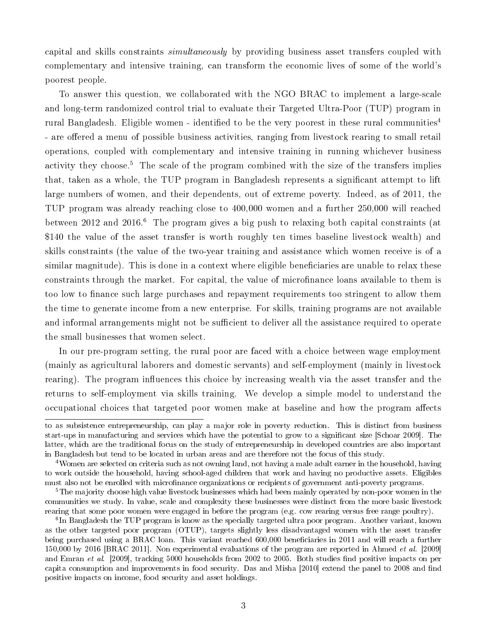capital and skills constraints simultaneously by providing business asset transfers coupled with complementary and intensive training, can transform the economic lives of some of the world's poorest people.

To answer this question, we collaborated with the NGO BRAC to implement a large-scale and long-term randomized control trial to evaluate their Targeted Ultra-Poor (TUP) program in rural Bangladesh. Eligible women - identified to be the very poorest in these rural communities<sup>4</sup> - are offered a menu of possible business activities, ranging from livestock rearing to small retail operations, coupled with complementary and intensive training in running whichever business activity they choose.<sup>5</sup> The scale of the program combined with the size of the transfers implies that, taken as a whole, the TUP program in Bangladesh represents a signicant attempt to lift large numbers of women, and their dependents, out of extreme poverty. Indeed, as of 2011, the TUP program was already reaching close to 400,000 women and a further 250,000 will reached between 2012 and 2016.<sup>6</sup> The program gives a big push to relaxing both capital constraints (at \$140 the value of the asset transfer is worth roughly ten times baseline livestock wealth) and skills constraints (the value of the two-year training and assistance which women receive is of a similar magnitude). This is done in a context where eligible beneficiaries are unable to relax these constraints through the market. For capital, the value of microfinance loans available to them is too low to finance such large purchases and repayment requirements too stringent to allow them the time to generate income from a new enterprise. For skills, training programs are not available and informal arrangements might not be sufficient to deliver all the assistance required to operate the small businesses that women select.

In our pre-program setting, the rural poor are faced with a choice between wage employment (mainly as agricultural laborers and domestic servants) and self-employment (mainly in livestock rearing). The program influences this choice by increasing wealth via the asset transfer and the returns to self-employment via skills training. We develop a simple model to understand the occupational choices that targeted poor women make at baseline and how the program affects

to as subsistence entrepreneurship, can play a major role in poverty reduction. This is distinct from business start-ups in manufacturing and services which have the potential to grow to a signicant size [Schoar 2009]. The latter, which are the traditional focus on the study of entrepreneurship in developed countries are also important in Bangladesh but tend to be located in urban areas and are therefore not the focus of this study.

<sup>&</sup>lt;sup>4</sup>Women are selected on criteria such as not owning land, not having a male adult earner in the household, having to work outside the household, having school-aged children that work and having no productive assets. Eligibles must also not be enrolled with microfinance organizations or recipients of government anti-poverty programs.

<sup>&</sup>lt;sup>5</sup>The majority choose high value livestock businesses which had been mainly operated by non-poor women in the communities we study. In value, scale and complexity these businesses were distinct from the more basic livestock rearing that some poor women were engaged in before the program (e.g. cow rearing versus free range poultry).

<sup>&</sup>lt;sup>6</sup>In Bangladesh the TUP program is know as the specially targeted ultra poor program. Another variant, known as the other targeted poor program (OTUP), targets slightly less disadvantaged women with the asset transfer being purchased using a BRAC loan. This variant reached 600,000 beneficiaries in 2011 and will reach a further 150,000 by 2016 [BRAC 2011]. Non experimental evaluations of the program are reported in Ahmed *et al.* [2009] and Emran et al. [2009], tracking 5000 households from 2002 to 2005. Both studies find positive impacts on per capita consumption and improvements in food security. Das and Misha [2010] extend the panel to 2008 and find positive impacts on income, food security and asset holdings.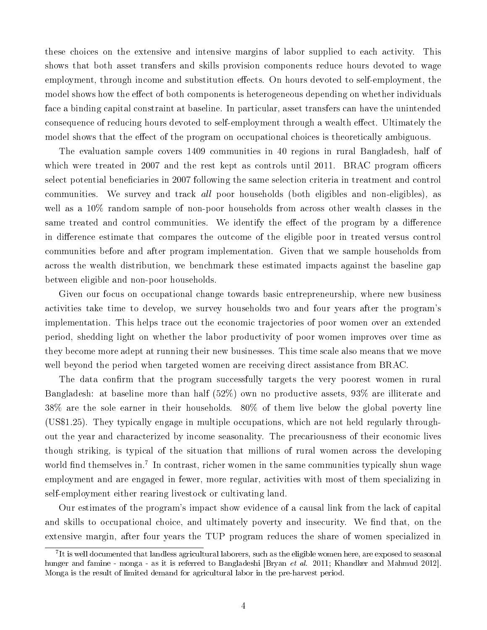these choices on the extensive and intensive margins of labor supplied to each activity. This shows that both asset transfers and skills provision components reduce hours devoted to wage employment, through income and substitution effects. On hours devoted to self-employment, the model shows how the effect of both components is heterogeneous depending on whether individuals face a binding capital constraint at baseline. In particular, asset transfers can have the unintended consequence of reducing hours devoted to self-employment through a wealth effect. Ultimately the model shows that the effect of the program on occupational choices is theoretically ambiguous.

The evaluation sample covers 1409 communities in 40 regions in rural Bangladesh, half of which were treated in 2007 and the rest kept as controls until 2011. BRAC program officers select potential beneficiaries in 2007 following the same selection criteria in treatment and control communities. We survey and track all poor households (both eligibles and non-eligibles), as well as a 10% random sample of non-poor households from across other wealth classes in the same treated and control communities. We identify the effect of the program by a difference in difference estimate that compares the outcome of the eligible poor in treated versus control communities before and after program implementation. Given that we sample households from across the wealth distribution, we benchmark these estimated impacts against the baseline gap between eligible and non-poor households.

Given our focus on occupational change towards basic entrepreneurship, where new business activities take time to develop, we survey households two and four years after the program's implementation. This helps trace out the economic trajectories of poor women over an extended period, shedding light on whether the labor productivity of poor women improves over time as they become more adept at running their new businesses. This time scale also means that we move well beyond the period when targeted women are receiving direct assistance from BRAC.

The data confirm that the program successfully targets the very poorest women in rural Bangladesh: at baseline more than half (52%) own no productive assets, 93% are illiterate and 38% are the sole earner in their households. 80% of them live below the global poverty line (US\$1.25). They typically engage in multiple occupations, which are not held regularly throughout the year and characterized by income seasonality. The precariousness of their economic lives though striking, is typical of the situation that millions of rural women across the developing world find themselves in.<sup>7</sup> In contrast, richer women in the same communities typically shun wage employment and are engaged in fewer, more regular, activities with most of them specializing in self-employment either rearing livestock or cultivating land.

Our estimates of the program's impact show evidence of a causal link from the lack of capital and skills to occupational choice, and ultimately poverty and insecurity. We find that, on the extensive margin, after four years the TUP program reduces the share of women specialized in

 $^7\rm{It}$  is well documented that landless agricultural laborers, such as the eligible women here, are exposed to seasonal hunger and famine - monga - as it is referred to Bangladeshi [Bryan et al. 2011; Khandker and Mahmud 2012]. Monga is the result of limited demand for agricultural labor in the pre-harvest period.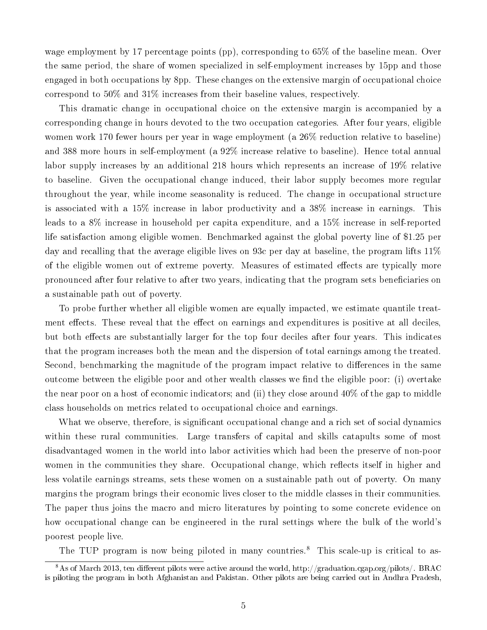wage employment by 17 percentage points (pp), corresponding to 65% of the baseline mean. Over the same period, the share of women specialized in self-employment increases by 15pp and those engaged in both occupations by 8pp. These changes on the extensive margin of occupational choice correspond to 50% and 31% increases from their baseline values, respectively.

This dramatic change in occupational choice on the extensive margin is accompanied by a corresponding change in hours devoted to the two occupation categories. After four years, eligible women work 170 fewer hours per year in wage employment (a 26% reduction relative to baseline) and 388 more hours in self-employment (a 92% increase relative to baseline). Hence total annual labor supply increases by an additional 218 hours which represents an increase of 19% relative to baseline. Given the occupational change induced, their labor supply becomes more regular throughout the year, while income seasonality is reduced. The change in occupational structure is associated with a 15% increase in labor productivity and a 38% increase in earnings. This leads to a 8% increase in household per capita expenditure, and a 15% increase in self-reported life satisfaction among eligible women. Benchmarked against the global poverty line of \$1.25 per day and recalling that the average eligible lives on 93c per day at baseline, the program lifts 11% of the eligible women out of extreme poverty. Measures of estimated effects are typically more pronounced after four relative to after two years, indicating that the program sets beneficiaries on a sustainable path out of poverty.

To probe further whether all eligible women are equally impacted, we estimate quantile treatment effects. These reveal that the effect on earnings and expenditures is positive at all deciles, but both effects are substantially larger for the top four deciles after four years. This indicates that the program increases both the mean and the dispersion of total earnings among the treated. Second, benchmarking the magnitude of the program impact relative to differences in the same outcome between the eligible poor and other wealth classes we find the eligible poor: (i) overtake the near poor on a host of economic indicators; and (ii) they close around 40% of the gap to middle class households on metrics related to occupational choice and earnings.

What we observe, therefore, is significant occupational change and a rich set of social dynamics within these rural communities. Large transfers of capital and skills catapults some of most disadvantaged women in the world into labor activities which had been the preserve of non-poor women in the communities they share. Occupational change, which reflects itself in higher and less volatile earnings streams, sets these women on a sustainable path out of poverty. On many margins the program brings their economic lives closer to the middle classes in their communities. The paper thus joins the macro and micro literatures by pointing to some concrete evidence on how occupational change can be engineered in the rural settings where the bulk of the world's poorest people live.

The TUP program is now being piloted in many countries.<sup>8</sup> This scale-up is critical to as-

 $8$ As of March 2013, ten different pilots were active around the world, http://graduation.cgap.org/pilots/. BRAC is piloting the program in both Afghanistan and Pakistan. Other pilots are being carried out in Andhra Pradesh,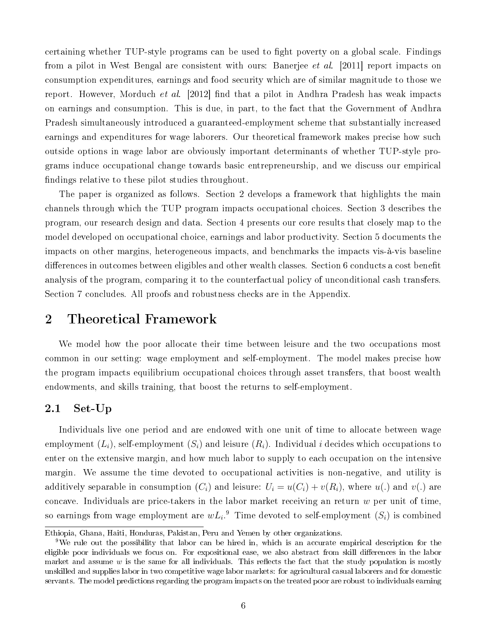certaining whether TUP-style programs can be used to fight poverty on a global scale. Findings from a pilot in West Bengal are consistent with ours: Banerjee *et al.* [2011] report impacts on consumption expenditures, earnings and food security which are of similar magnitude to those we report. However, Morduch *et al.* [2012] find that a pilot in Andhra Pradesh has weak impacts on earnings and consumption. This is due, in part, to the fact that the Government of Andhra Pradesh simultaneously introduced a guaranteed-employment scheme that substantially increased earnings and expenditures for wage laborers. Our theoretical framework makes precise how such outside options in wage labor are obviously important determinants of whether TUP-style programs induce occupational change towards basic entrepreneurship, and we discuss our empirical ndings relative to these pilot studies throughout.

The paper is organized as follows. Section 2 develops a framework that highlights the main channels through which the TUP program impacts occupational choices. Section 3 describes the program, our research design and data. Section 4 presents our core results that closely map to the model developed on occupational choice, earnings and labor productivity. Section 5 documents the impacts on other margins, heterogeneous impacts, and benchmarks the impacts vis-à-vis baseline differences in outcomes between eligibles and other wealth classes. Section 6 conducts a cost benefit analysis of the program, comparing it to the counterfactual policy of unconditional cash transfers. Section 7 concludes. All proofs and robustness checks are in the Appendix.

### 2 Theoretical Framework

We model how the poor allocate their time between leisure and the two occupations most common in our setting: wage employment and self-employment. The model makes precise how the program impacts equilibrium occupational choices through asset transfers, that boost wealth endowments, and skills training, that boost the returns to self-employment.

#### 2.1 Set-Up

Individuals live one period and are endowed with one unit of time to allocate between wage employment  $(L_i)$ , self-employment  $(S_i)$  and leisure  $(R_i)$ . Individual i decides which occupations to enter on the extensive margin, and how much labor to supply to each occupation on the intensive margin. We assume the time devoted to occupational activities is non-negative, and utility is additively separable in consumption  $(C_i)$  and leisure:  $U_i = u(C_i) + v(R_i)$ , where  $u(.)$  and  $v(.)$  are concave. Individuals are price-takers in the labor market receiving an return  $w$  per unit of time, so earnings from wage employment are  $wL_i$ .<sup>9</sup> Time devoted to self-employment  $(S_i)$  is combined

Ethiopia, Ghana, Haiti, Honduras, Pakistan, Peru and Yemen by other organizations.

<sup>9</sup>We rule out the possibility that labor can be hired in, which is an accurate empirical description for the eligible poor individuals we focus on. For expositional ease, we also abstract from skill differences in the labor market and assume  $w$  is the same for all individuals. This reflects the fact that the study population is mostly unskilled and supplies labor in two competitive wage labor markets: for agricultural casual laborers and for domestic servants. The model predictions regarding the program impacts on the treated poor are robust to individuals earning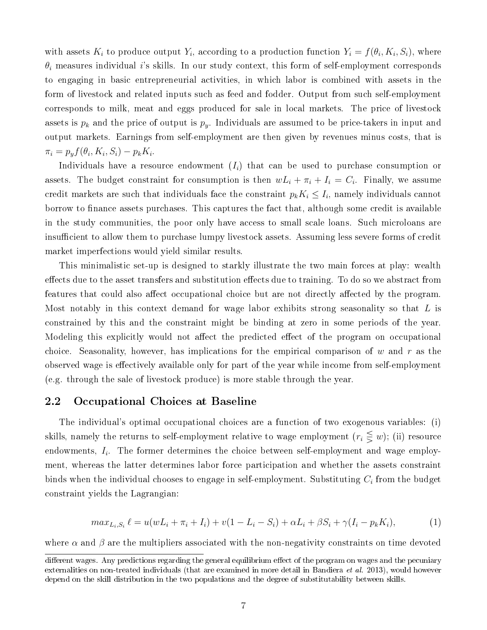with assets  $K_i$  to produce output  $Y_i$ , according to a production function  $Y_i = f(\theta_i, K_i, S_i)$ , where  $\theta_i$  measures individual i's skills. In our study context, this form of self-employment corresponds to engaging in basic entrepreneurial activities, in which labor is combined with assets in the form of livestock and related inputs such as feed and fodder. Output from such self-employment corresponds to milk, meat and eggs produced for sale in local markets. The price of livestock assets is  $p_k$  and the price of output is  $p_y$ . Individuals are assumed to be price-takers in input and output markets. Earnings from self-employment are then given by revenues minus costs, that is  $\pi_i = p_y f(\theta_i, K_i, S_i) - p_k K_i.$ 

Individuals have a resource endowment  $(I_i)$  that can be used to purchase consumption or assets. The budget constraint for consumption is then  $wL_i + \pi_i + I_i = C_i$ . Finally, we assume credit markets are such that individuals face the constraint  $p_k K_i \leq I_i,$  namely individuals cannot borrow to finance assets purchases. This captures the fact that, although some credit is available in the study communities, the poor only have access to small scale loans. Such microloans are insufficient to allow them to purchase lumpy livestock assets. Assuming less severe forms of credit market imperfections would yield similar results.

This minimalistic set-up is designed to starkly illustrate the two main forces at play: wealth effects due to the asset transfers and substitution effects due to training. To do so we abstract from features that could also affect occupational choice but are not directly affected by the program. Most notably in this context demand for wage labor exhibits strong seasonality so that  $L$  is constrained by this and the constraint might be binding at zero in some periods of the year. Modeling this explicitly would not affect the predicted effect of the program on occupational choice. Seasonality, however, has implications for the empirical comparison of  $w$  and  $r$  as the observed wage is effectively available only for part of the year while income from self-employment (e.g. through the sale of livestock produce) is more stable through the year.

#### 2.2 Occupational Choices at Baseline

The individual's optimal occupational choices are a function of two exogenous variables: (i) skills, namely the returns to self-employment relative to wage employment  $(r_i \leq w)$ ; (ii) resource endowments,  $I_i$ . The former determines the choice between self-employment and wage employment, whereas the latter determines labor force participation and whether the assets constraint binds when the individual chooses to engage in self-employment. Substituting  $C_i$  from the budget constraint yields the Lagrangian:

$$
max_{L_i, S_i} \ell = u(wL_i + \pi_i + L_i) + v(1 - L_i - S_i) + \alpha L_i + \beta S_i + \gamma (L_i - p_k K_i),
$$
\n(1)

where  $\alpha$  and  $\beta$  are the multipliers associated with the non-negativity constraints on time devoted

different wages. Any predictions regarding the general equilibrium effect of the program on wages and the pecuniary externalities on non-treated individuals (that are examined in more detail in Bandiera *et al.* 2013), would however depend on the skill distribution in the two populations and the degree of substitutability between skills.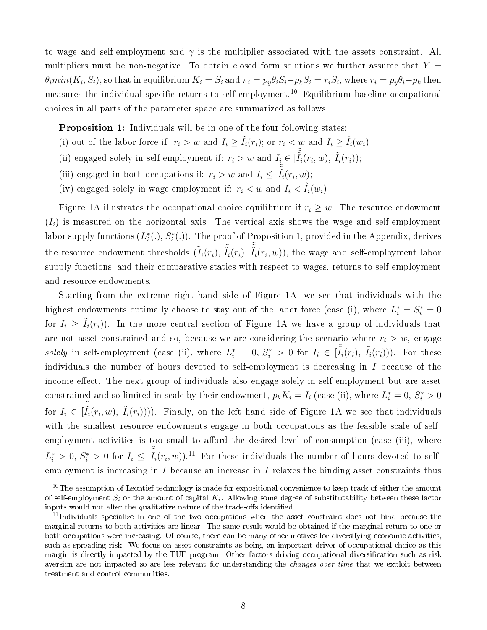to wage and self-employment and  $\gamma$  is the multiplier associated with the assets constraint. All multipliers must be non-negative. To obtain closed form solutions we further assume that  $Y =$  $\theta_i min(K_i, S_i)$ , so that in equilibrium  $K_i = S_i$  and  $\pi_i = p_y \theta_i S_i - p_k S_i = r_i S_i$ , where  $r_i = p_y \theta_i - p_k$  then measures the individual specific returns to self-employment.<sup>10</sup> Equilibrium baseline occupational choices in all parts of the parameter space are summarized as follows.

**Proposition 1:** Individuals will be in one of the four following states:

- (i) out of the labor force if:  $r_i > w$  and  $I_i \geq \tilde{I}_i(r_i)$ ; or  $r_i < w$  and  $I_i \geq \hat{I}_i(w_i)$
- (ii) engaged solely in self-employment if:  $r_i > w$  and  $I_i \in [\tilde{\tilde{I}}_i(r_i, w), \tilde{I}_i(r_i));$
- (iii) engaged in both occupations if:  $r_i > w$  and  $I_i \n\t\leq \tilde{\tilde{I}}_i(r_i, w)$ ;
- (iv) engaged solely in wage employment if:  $r_i < w$  and  $I_i < \tilde{I}_i(w_i)$

Figure 1A illustrates the occupational choice equilibrium if  $r_i \geq w$ . The resource endowment  $(I_i)$  is measured on the horizontal axis. The vertical axis shows the wage and self-employment labor supply functions  $(L_i^*(.), S_i^*(.))$ . The proof of Proposition 1, provided in the Appendix, derives the resource endowment thresholds  $(\tilde{I}_i(r_i),\,\tilde{\tilde{I}}_i(r_i),\,\tilde{\tilde{I}}_i(r_i,w)),$  the wage and self-employment labor supply functions, and their comparative statics with respect to wages, returns to self-employment and resource endowments.

Starting from the extreme right hand side of Figure 1A, we see that individuals with the highest endowments optimally choose to stay out of the labor force (case (i), where  $L_i^* = S_i^* = 0$ for  $I_i \geq \tilde{I}_i(r_i)$ . In the more central section of Figure 1A we have a group of individuals that are not asset constrained and so, because we are considering the scenario where  $r_i > w$ , engage solely in self-employment (case (ii), where  $L_i^* = 0, S_i^* > 0$  for  $I_i \in [\tilde{I}_i(r_i), \tilde{I}_i(r_i))$ ). For these individuals the number of hours devoted to self-employment is decreasing in I because of the income effect. The next group of individuals also engage solely in self-employment but are asset constrained and so limited in scale by their endowment,  $p_k K_i = I_i$  (case (ii), where  $L_i^* = 0$ ,  $S_i^* > 0$ for  $I_i \in [\tilde{\tilde{I}}_i(r_i,w), \tilde{I}_i(r_i)$ ))). Finally, on the left hand side of Figure 1A we see that individuals with the smallest resource endowments engage in both occupations as the feasible scale of selfemployment activities is too small to afford the desired level of consumption (case (iii), where  $L_i^* > 0, S_i^* > 0$  for  $I_i \leq \tilde{\tilde{I}}_i(r_i, w)$ .<sup>11</sup> For these individuals the number of hours devoted to selfemployment is increasing in  $I$  because an increase in  $I$  relaxes the binding asset constraints thus

<sup>&</sup>lt;sup>10</sup>The assumption of Leontief technology is made for expositional convenience to keep track of either the amount of self-employment  $S_i$  or the amount of capital  $K_i$ . Allowing some degree of substitutability between these factor inputs would not alter the qualitative nature of the trade-offs identified.

<sup>&</sup>lt;sup>11</sup>Individuals specialize in one of the two occupations when the asset constraint does not bind because the marginal returns to both activities are linear. The same result would be obtained if the marginal return to one or both occupations were increasing. Of course, there can be many other motives for diversifying economic activities, such as spreading risk. We focus on asset constraints as being an important driver of occupational choice as this margin is directly impacted by the TUP program. Other factors driving occupational diversification such as risk aversion are not impacted so are less relevant for understanding the *changes over time* that we exploit between treatment and control communities.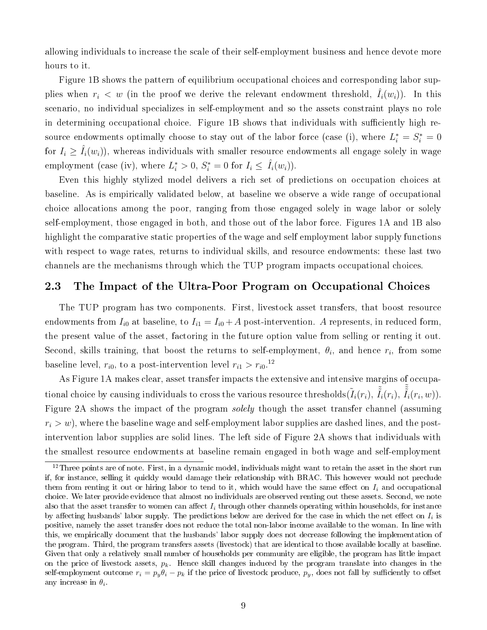allowing individuals to increase the scale of their self-employment business and hence devote more hours to it.

Figure 1B shows the pattern of equilibrium occupational choices and corresponding labor supplies when  $r_i < w$  (in the proof we derive the relevant endowment threshold,  $\hat{I}_i(w_i)$ ). In this scenario, no individual specializes in self-employment and so the assets constraint plays no role in determining occupational choice. Figure 1B shows that individuals with sufficiently high resource endowments optimally choose to stay out of the labor force (case (i), where  $L_i^* = S_i^* = 0$ for  $I_i \geq \hat{I}_i(w_i)$ , whereas individuals with smaller resource endowments all engage solely in wage employment (case (iv), where  $L_i^* > 0$ ,  $S_i^* = 0$  for  $I_i \leq \hat{I}_i(w_i)$ ).

Even this highly stylized model delivers a rich set of predictions on occupation choices at baseline. As is empirically validated below, at baseline we observe a wide range of occupational choice allocations among the poor, ranging from those engaged solely in wage labor or solely self-employment, those engaged in both, and those out of the labor force. Figures 1A and 1B also highlight the comparative static properties of the wage and self employment labor supply functions with respect to wage rates, returns to individual skills, and resource endowments: these last two channels are the mechanisms through which the TUP program impacts occupational choices.

#### 2.3 The Impact of the Ultra-Poor Program on Occupational Choices

The TUP program has two components. First, livestock asset transfers, that boost resource endowments from  $I_{i0}$  at baseline, to  $I_{i1} = I_{i0} + A$  post-intervention. A represents, in reduced form, the present value of the asset, factoring in the future option value from selling or renting it out. Second, skills training, that boost the returns to self-employment,  $\theta_i$ , and hence  $r_i$ , from some baseline level,  $r_{i0}$ , to a post-intervention level  $r_{i1} > r_{i0}.^{12}$ 

As Figure 1A makes clear, asset transfer impacts the extensive and intensive margins of occupational choice by causing individuals to cross the various resource thresholds $(\tilde{I}_i(r_i),\ \tilde{\tilde{I}}_i(r_i),\ \tilde{\tilde{I}}_i(r_i,w)).$ Figure 2A shows the impact of the program *solely* though the asset transfer channel (assuming  $r_i > w$ , where the baseline wage and self-employment labor supplies are dashed lines, and the postintervention labor supplies are solid lines. The left side of Figure 2A shows that individuals with the smallest resource endowments at baseline remain engaged in both wage and self-employment

 $12$ Three points are of note. First, in a dynamic model, individuals might want to retain the asset in the short run if, for instance, selling it quickly would damage their relationship with BRAC. This however would not preclude them from renting it out or hiring labor to tend to it, which would have the same effect on  $I_i$  and occupational choice. We later provide evidence that almost no individuals are observed renting out these assets. Second, we note also that the asset transfer to women can affect  $I_i$  through other channels operating within households, for instance by affecting husbands' labor supply. The predictions below are derived for the case in which the net effect on  $I_i$  is positive, namely the asset transfer does not reduce the total non-labor income available to the woman. In line with this, we empirically document that the husbands' labor supply does not decrease following the implementation of the program. Third, the program transfers assets (livestock) that are identical to those available locally at baseline. Given that only a relatively small number of households per community are eligible, the program has little impact on the price of livestock assets,  $p_k$ . Hence skill changes induced by the program translate into changes in the self-employment outcome  $r_i = p_y \theta_i - p_k$  if the price of livestock produce,  $p_y$ , does not fall by sufficiently to offset any increase in  $\theta_i$ .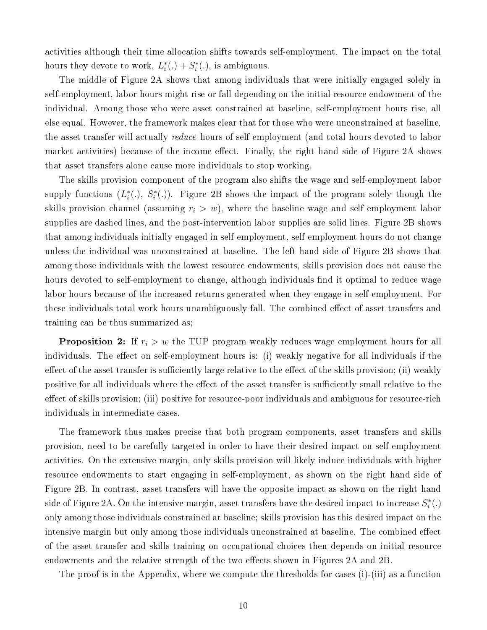activities although their time allocation shifts towards self-employment. The impact on the total hours they devote to work,  $L_i^*(.) + S_i^*(.)$ , is ambiguous.

The middle of Figure 2A shows that among individuals that were initially engaged solely in self-employment, labor hours might rise or fall depending on the initial resource endowment of the individual. Among those who were asset constrained at baseline, self-employment hours rise, all else equal. However, the framework makes clear that for those who were unconstrained at baseline, the asset transfer will actually *reduce* hours of self-employment (and total hours devoted to labor market activities) because of the income effect. Finally, the right hand side of Figure 2A shows that asset transfers alone cause more individuals to stop working.

The skills provision component of the program also shifts the wage and self-employment labor supply functions  $(L_i^*(.)$ ,  $S_i^*(.)$ ). Figure 2B shows the impact of the program solely though the skills provision channel (assuming  $r_i > w$ ), where the baseline wage and self employment labor supplies are dashed lines, and the post-intervention labor supplies are solid lines. Figure 2B shows that among individuals initially engaged in self-employment, self-employment hours do not change unless the individual was unconstrained at baseline. The left hand side of Figure 2B shows that among those individuals with the lowest resource endowments, skills provision does not cause the hours devoted to self-employment to change, although individuals find it optimal to reduce wage labor hours because of the increased returns generated when they engage in self-employment. For these individuals total work hours unambiguously fall. The combined effect of asset transfers and training can be thus summarized as;

**Proposition 2:** If  $r_i > w$  the TUP program weakly reduces wage employment hours for all individuals. The effect on self-employment hours is: (i) weakly negative for all individuals if the effect of the asset transfer is sufficiently large relative to the effect of the skills provision; (ii) weakly positive for all individuals where the effect of the asset transfer is sufficiently small relative to the effect of skills provision; (iii) positive for resource-poor individuals and ambiguous for resource-rich individuals in intermediate cases.

The framework thus makes precise that both program components, asset transfers and skills provision, need to be carefully targeted in order to have their desired impact on self-employment activities. On the extensive margin, only skills provision will likely induce individuals with higher resource endowments to start engaging in self-employment, as shown on the right hand side of Figure 2B. In contrast, asset transfers will have the opposite impact as shown on the right hand side of Figure 2A. On the intensive margin, asset transfers have the desired impact to increase  $S_i^*(.)$ only among those individuals constrained at baseline; skills provision has this desired impact on the intensive margin but only among those individuals unconstrained at baseline. The combined effect of the asset transfer and skills training on occupational choices then depends on initial resource endowments and the relative strength of the two effects shown in Figures 2A and 2B.

The proof is in the Appendix, where we compute the thresholds for cases (i)-(iii) as a function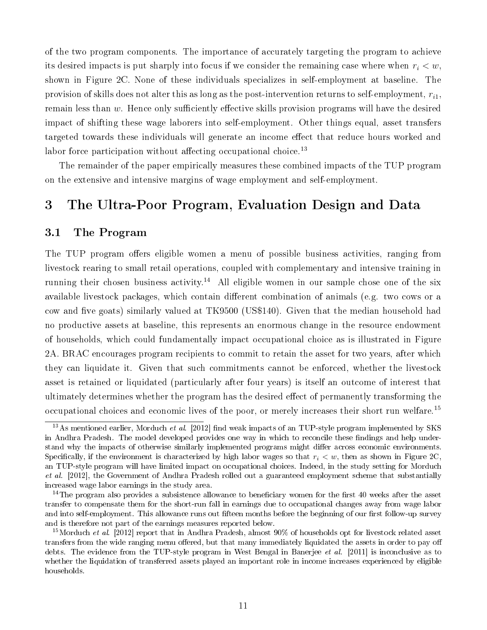of the two program components. The importance of accurately targeting the program to achieve its desired impacts is put sharply into focus if we consider the remaining case where when  $r_i < w$ , shown in Figure 2C. None of these individuals specializes in self-employment at baseline. The provision of skills does not alter this as long as the post-intervention returns to self-employment,  $r_{i1}$ , remain less than  $w$ . Hence only sufficiently effective skills provision programs will have the desired impact of shifting these wage laborers into self-employment. Other things equal, asset transfers targeted towards these individuals will generate an income effect that reduce hours worked and labor force participation without affecting occupational choice.<sup>13</sup>

The remainder of the paper empirically measures these combined impacts of the TUP program on the extensive and intensive margins of wage employment and self-employment.

### 3 The Ultra-Poor Program, Evaluation Design and Data

#### 3.1 The Program

The TUP program offers eligible women a menu of possible business activities, ranging from livestock rearing to small retail operations, coupled with complementary and intensive training in running their chosen business activity.<sup>14</sup> All eligible women in our sample chose one of the six available livestock packages, which contain different combination of animals (e.g. two cows or a cow and five goats) similarly valued at TK9500 (US\$140). Given that the median household had no productive assets at baseline, this represents an enormous change in the resource endowment of households, which could fundamentally impact occupational choice as is illustrated in Figure 2A. BRAC encourages program recipients to commit to retain the asset for two years, after which they can liquidate it. Given that such commitments cannot be enforced, whether the livestock asset is retained or liquidated (particularly after four years) is itself an outcome of interest that ultimately determines whether the program has the desired effect of permanently transforming the occupational choices and economic lives of the poor, or merely increases their short run welfare.<sup>15</sup>

 $13\,\mathrm{As}$  mentioned earlier, Morduch *et al.* [2012] find weak impacts of an TUP-style program implemented by SKS in Andhra Pradesh. The model developed provides one way in which to reconcile these findings and help understand why the impacts of otherwise similarly implemented programs might differ across economic environments. Specifically, if the environment is characterized by high labor wages so that  $r_i < w$ , then as shown in Figure 2C, an TUP-style program will have limited impact on occupational choices. Indeed, in the study setting for Morduch et al. [2012], the Government of Andhra Pradesh rolled out a guaranteed employment scheme that substantially increased wage labor earnings in the study area.

 $14$ The program also provides a subsistence allowance to beneficiary women for the first 40 weeks after the asset transfer to compensate them for the short-run fall in earnings due to occupational changes away from wage labor and into self-employment. This allowance runs out fifteen months before the beginning of our first follow-up survey and is therefore not part of the earnings measures reported below.

<sup>&</sup>lt;sup>15</sup>Morduch *et al.* [2012] report that in Andhra Pradesh, almost  $90\%$  of households opt for livestock related asset transfers from the wide ranging menu offered, but that many immediately liquidated the assets in order to pay off debts. The evidence from the TUP-style program in West Bengal in Banerjee *et al.* [2011] is inconclusive as to whether the liquidation of transferred assets played an important role in income increases experienced by eligible households.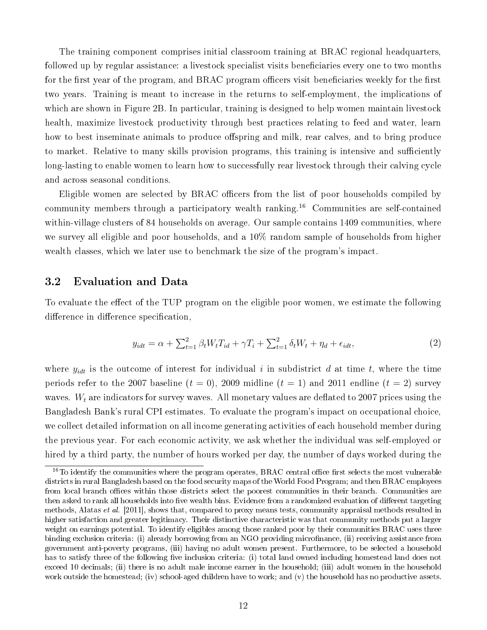The training component comprises initial classroom training at BRAC regional headquarters, followed up by regular assistance: a livestock specialist visits beneficiaries every one to two months for the first year of the program, and BRAC program officers visit beneficiaries weekly for the first two years. Training is meant to increase in the returns to self-employment, the implications of which are shown in Figure 2B. In particular, training is designed to help women maintain livestock health, maximize livestock productivity through best practices relating to feed and water, learn how to best inseminate animals to produce offspring and milk, rear calves, and to bring produce to market. Relative to many skills provision programs, this training is intensive and sufficiently long-lasting to enable women to learn how to successfully rear livestock through their calving cycle and across seasonal conditions.

Eligible women are selected by BRAC officers from the list of poor households compiled by community members through a participatory wealth ranking.<sup>16</sup> Communities are self-contained within-village clusters of 84 households on average. Our sample contains 1409 communities, where we survey all eligible and poor households, and a 10% random sample of households from higher wealth classes, which we later use to benchmark the size of the program's impact.

#### 3.2 Evaluation and Data

To evaluate the effect of the TUP program on the eligible poor women, we estimate the following difference in difference specification,

$$
y_{idt} = \alpha + \sum_{t=1}^{2} \beta_t W_t T_{id} + \gamma T_i + \sum_{t=1}^{2} \delta_t W_t + \eta_d + \epsilon_{idt},\tag{2}
$$

where  $y_{idt}$  is the outcome of interest for individual i in subdistrict d at time t, where the time periods refer to the 2007 baseline  $(t = 0)$ , 2009 midline  $(t = 1)$  and 2011 endline  $(t = 2)$  survey waves.  $W_t$  are indicators for survey waves. All monetary values are deflated to 2007 prices using the Bangladesh Bank's rural CPI estimates. To evaluate the program's impact on occupational choice, we collect detailed information on all income generating activities of each household member during the previous year. For each economic activity, we ask whether the individual was self-employed or hired by a third party, the number of hours worked per day, the number of days worked during the

 $16$ To identify the communities where the program operates, BRAC central office first selects the most vulnerable districts in rural Bangladesh based on the food security maps of the World Food Program; and then BRAC employees from local branch offices within those districts select the poorest communities in their branch. Communities are then asked to rank all households into five wealth bins. Evidence from a randomized evaluation of different targeting methods, Alatas *et al.* [2011], shows that, compared to proxy means tests, community appraisal methods resulted in higher satisfaction and greater legitimacy. Their distinctive characteristic was that community methods put a larger weight on earnings potential. To identify eligibles among those ranked poor by their communities BRAC uses three binding exclusion criteria: (i) already borrowing from an NGO providing microfinance, (ii) receiving assistance from government anti-poverty programs, (iii) having no adult women present. Furthermore, to be selected a household has to satisfy three of the following five inclusion criteria: (i) total land owned including homestead land does not exceed 10 decimals; (ii) there is no adult male income earner in the household; (iii) adult women in the household work outside the homestead; (iv) school-aged children have to work; and (v) the household has no productive assets.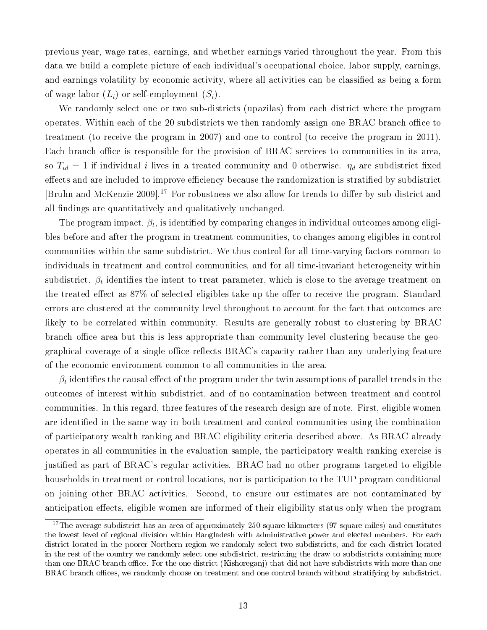previous year, wage rates, earnings, and whether earnings varied throughout the year. From this data we build a complete picture of each individual's occupational choice, labor supply, earnings, and earnings volatility by economic activity, where all activities can be classified as being a form of wage labor  $(L_i)$  or self-employment  $(S_i)$ .

We randomly select one or two sub-districts (upazilas) from each district where the program operates. Within each of the 20 subdistricts we then randomly assign one BRAC branch office to treatment (to receive the program in 2007) and one to control (to receive the program in 2011). Each branch office is responsible for the provision of BRAC services to communities in its area, so  $T_{id} = 1$  if individual i lives in a treated community and 0 otherwise.  $\eta_d$  are subdistrict fixed effects and are included to improve efficiency because the randomization is stratified by subdistrict [Bruhn and McKenzie 2009].<sup>17</sup> For robustness we also allow for trends to differ by sub-district and all findings are quantitatively and qualitatively unchanged.

The program impact,  $\beta_t$ , is identified by comparing changes in individual outcomes among eligibles before and after the program in treatment communities, to changes among eligibles in control communities within the same subdistrict. We thus control for all time-varying factors common to individuals in treatment and control communities, and for all time-invariant heterogeneity within subdistrict.  $\beta_t$  identifies the intent to treat parameter, which is close to the average treatment on the treated effect as  $87\%$  of selected eligibles take-up the offer to receive the program. Standard errors are clustered at the community level throughout to account for the fact that outcomes are likely to be correlated within community. Results are generally robust to clustering by BRAC branch office area but this is less appropriate than community level clustering because the geographical coverage of a single office reflects  $BRAC$ 's capacity rather than any underlying feature of the economic environment common to all communities in the area.

 $\beta_t$  identifies the causal effect of the program under the twin assumptions of parallel trends in the outcomes of interest within subdistrict, and of no contamination between treatment and control communities. In this regard, three features of the research design are of note. First, eligible women are identified in the same way in both treatment and control communities using the combination of participatory wealth ranking and BRAC eligibility criteria described above. As BRAC already operates in all communities in the evaluation sample, the participatory wealth ranking exercise is justified as part of BRAC's regular activities. BRAC had no other programs targeted to eligible households in treatment or control locations, nor is participation to the TUP program conditional on joining other BRAC activities. Second, to ensure our estimates are not contaminated by anticipation effects, eligible women are informed of their eligibility status only when the program

 $17$ The average subdistrict has an area of approximately 250 square kilometers (97 square miles) and constitutes the lowest level of regional division within Bangladesh with administrative power and elected members. For each district located in the poorer Northern region we randomly select two subdistricts, and for each district located in the rest of the country we randomly select one subdistrict, restricting the draw to subdistricts containing more than one BRAC branch office. For the one district (Kishoreganj) that did not have subdistricts with more than one BRAC branch offices, we randomly choose on treatment and one control branch without stratifying by subdistrict.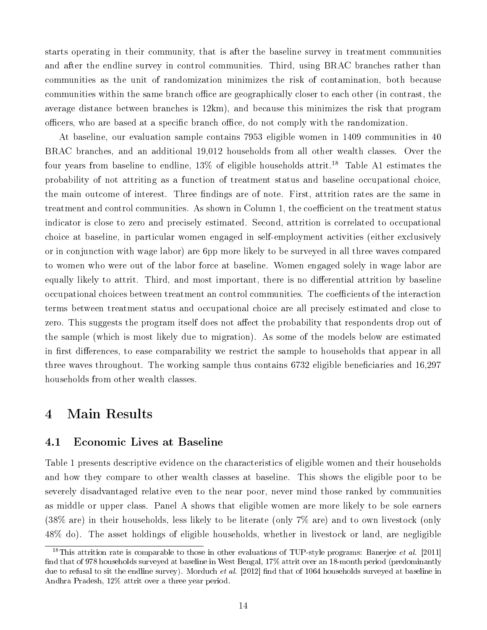starts operating in their community, that is after the baseline survey in treatment communities and after the endline survey in control communities. Third, using BRAC branches rather than communities as the unit of randomization minimizes the risk of contamination, both because communities within the same branch office are geographically closer to each other (in contrast, the average distance between branches is 12km), and because this minimizes the risk that program officers, who are based at a specific branch office, do not comply with the randomization.

At baseline, our evaluation sample contains 7953 eligible women in 1409 communities in 40 BRAC branches, and an additional 19,012 households from all other wealth classes. Over the four years from baseline to endline,  $13\%$  of eligible households attrit.<sup>18</sup> Table A1 estimates the probability of not attriting as a function of treatment status and baseline occupational choice, the main outcome of interest. Three findings are of note. First, attrition rates are the same in treatment and control communities. As shown in Column 1, the coefficient on the treatment status indicator is close to zero and precisely estimated. Second, attrition is correlated to occupational choice at baseline, in particular women engaged in self-employment activities (either exclusively or in conjunction with wage labor) are 6pp more likely to be surveyed in all three waves compared to women who were out of the labor force at baseline. Women engaged solely in wage labor are equally likely to attrit. Third, and most important, there is no differential attrition by baseline occupational choices between treatment an control communities. The coefficients of the interaction terms between treatment status and occupational choice are all precisely estimated and close to zero. This suggests the program itself does not affect the probability that respondents drop out of the sample (which is most likely due to migration). As some of the models below are estimated in first differences, to ease comparability we restrict the sample to households that appear in all three waves throughout. The working sample thus contains  $6732$  eligible beneficiaries and  $16,297$ households from other wealth classes.

### 4 Main Results

#### 4.1 Economic Lives at Baseline

Table 1 presents descriptive evidence on the characteristics of eligible women and their households and how they compare to other wealth classes at baseline. This shows the eligible poor to be severely disadvantaged relative even to the near poor, never mind those ranked by communities as middle or upper class. Panel A shows that eligible women are more likely to be sole earners (38% are) in their households, less likely to be literate (only 7% are) and to own livestock (only 48% do). The asset holdings of eligible households, whether in livestock or land, are negligible

<sup>&</sup>lt;sup>18</sup>This attrition rate is comparable to those in other evaluations of TUP-style programs: Banerjee et al. [2011] find that of 978 households surveyed at baseline in West Bengal, 17% attrit over an 18-month period (predominantly due to refusal to sit the endline survey). Morduch *et al.* [2012] find that of 1064 households surveyed at baseline in Andhra Pradesh, 12% attrit over a three year period.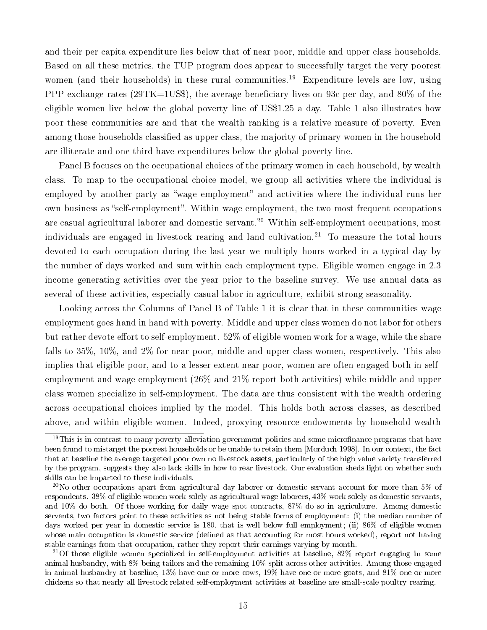and their per capita expenditure lies below that of near poor, middle and upper class households. Based on all these metrics, the TUP program does appear to successfully target the very poorest women (and their households) in these rural communities.<sup>19</sup> Expenditure levels are low, using PPP exchange rates (29TK=1US\$), the average beneficiary lives on 93c per day, and 80% of the eligible women live below the global poverty line of US\$1.25 a day. Table 1 also illustrates how poor these communities are and that the wealth ranking is a relative measure of poverty. Even among those households classified as upper class, the majority of primary women in the household are illiterate and one third have expenditures below the global poverty line.

Panel B focuses on the occupational choices of the primary women in each household, by wealth class. To map to the occupational choice model, we group all activities where the individual is employed by another party as "wage employment" and activities where the individual runs her own business as "self-employment". Within wage employment, the two most frequent occupations are casual agricultural laborer and domestic servant.<sup>20</sup> Within self-employment occupations, most individuals are engaged in livestock rearing and land cultivation.<sup>21</sup> To measure the total hours devoted to each occupation during the last year we multiply hours worked in a typical day by the number of days worked and sum within each employment type. Eligible women engage in 2.3 income generating activities over the year prior to the baseline survey. We use annual data as several of these activities, especially casual labor in agriculture, exhibit strong seasonality.

Looking across the Columns of Panel B of Table 1 it is clear that in these communities wage employment goes hand in hand with poverty. Middle and upper class women do not labor for others but rather devote effort to self-employment.  $52\%$  of eligible women work for a wage, while the share falls to 35%, 10%, and 2% for near poor, middle and upper class women, respectively. This also implies that eligible poor, and to a lesser extent near poor, women are often engaged both in selfemployment and wage employment (26% and 21% report both activities) while middle and upper class women specialize in self-employment. The data are thus consistent with the wealth ordering across occupational choices implied by the model. This holds both across classes, as described above, and within eligible women. Indeed, proxying resource endowments by household wealth

 $19$ This is in contrast to many poverty-alleviation government policies and some microfinance programs that have been found to mistarget the poorest households or be unable to retain them [Morduch 1998]. In our context, the fact that at baseline the average targeted poor own no livestock assets, particularly of the high value variety transferred by the program, suggests they also lack skills in how to rear livestock. Our evaluation sheds light on whether such skills can be imparted to these individuals.

<sup>&</sup>lt;sup>20</sup>No other occupations apart from agricultural day laborer or domestic servant account for more than 5% of respondents. 38% of eligible women work solely as agricultural wage laborers, 43% work solely as domestic servants, and 10% do both. Of those working for daily wage spot contracts, 87% do so in agriculture. Among domestic servants, two factors point to these activities as not being stable forms of employment: (i) the median number of days worked per year in domestic service is 180, that is well below full employment; (ii) 86% of eligible women whose main occupation is domestic service (defined as that accounting for most hours worked), report not having stable earnings from that occupation, rather they report their earnings varying by month.

<sup>&</sup>lt;sup>21</sup>Of those eligible women specialized in self-employment activities at baseline, 82% report engaging in some animal husbandry, with 8% being tailors and the remaining 10% split across other activities. Among those engaged in animal husbandry at baseline, 13% have one or more cows, 19% have one or more goats, and 81% one or more chickens so that nearly all livestock related self-employment activities at baseline are small-scale poultry rearing.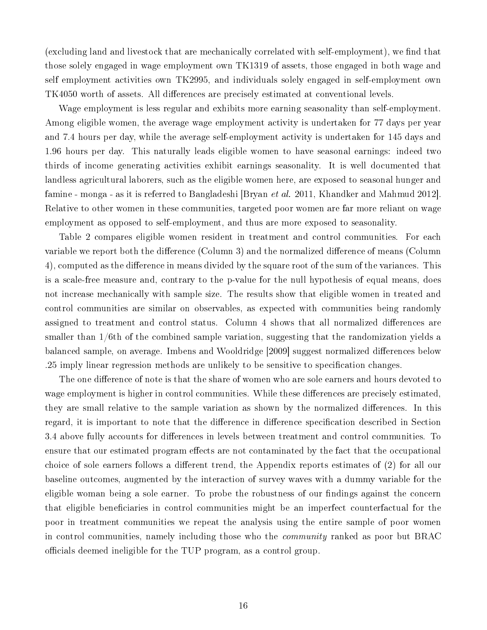(excluding land and livestock that are mechanically correlated with self-employment), we find that those solely engaged in wage employment own TK1319 of assets, those engaged in both wage and self employment activities own TK2995, and individuals solely engaged in self-employment own TK4050 worth of assets. All differences are precisely estimated at conventional levels.

Wage employment is less regular and exhibits more earning seasonality than self-employment. Among eligible women, the average wage employment activity is undertaken for 77 days per year and 7.4 hours per day, while the average self-employment activity is undertaken for 145 days and 1.96 hours per day. This naturally leads eligible women to have seasonal earnings: indeed two thirds of income generating activities exhibit earnings seasonality. It is well documented that landless agricultural laborers, such as the eligible women here, are exposed to seasonal hunger and famine - monga - as it is referred to Bangladeshi [Bryan *et al.* 2011, Khandker and Mahmud 2012]. Relative to other women in these communities, targeted poor women are far more reliant on wage employment as opposed to self-employment, and thus are more exposed to seasonality.

Table 2 compares eligible women resident in treatment and control communities. For each variable we report both the difference (Column 3) and the normalized difference of means (Column 4), computed as the difference in means divided by the square root of the sum of the variances. This is a scale-free measure and, contrary to the p-value for the null hypothesis of equal means, does not increase mechanically with sample size. The results show that eligible women in treated and control communities are similar on observables, as expected with communities being randomly assigned to treatment and control status. Column 4 shows that all normalized differences are smaller than 1/6th of the combined sample variation, suggesting that the randomization yields a balanced sample, on average. Imbens and Wooldridge [2009] suggest normalized differences below .25 imply linear regression methods are unlikely to be sensitive to specification changes.

The one difference of note is that the share of women who are sole earners and hours devoted to wage employment is higher in control communities. While these differences are precisely estimated, they are small relative to the sample variation as shown by the normalized differences. In this regard, it is important to note that the difference in difference specification described in Section 3.4 above fully accounts for differences in levels between treatment and control communities. To ensure that our estimated program effects are not contaminated by the fact that the occupational choice of sole earners follows a different trend, the Appendix reports estimates of (2) for all our baseline outcomes, augmented by the interaction of survey waves with a dummy variable for the eligible woman being a sole earner. To probe the robustness of our findings against the concern that eligible beneficiaries in control communities might be an imperfect counterfactual for the poor in treatment communities we repeat the analysis using the entire sample of poor women in control communities, namely including those who the community ranked as poor but BRAC officials deemed ineligible for the TUP program, as a control group.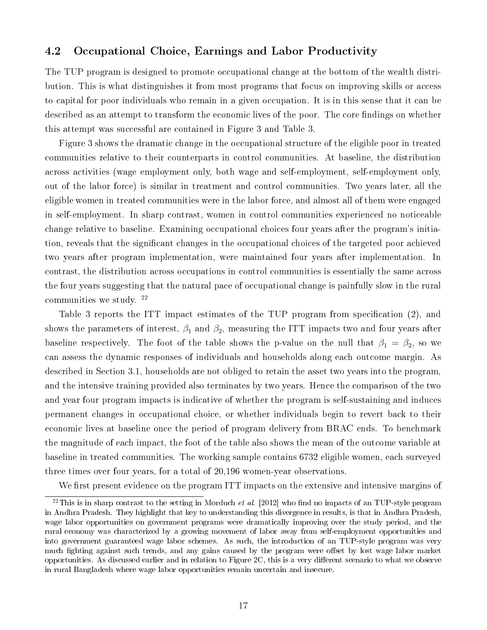#### 4.2 Occupational Choice, Earnings and Labor Productivity

The TUP program is designed to promote occupational change at the bottom of the wealth distribution. This is what distinguishes it from most programs that focus on improving skills or access to capital for poor individuals who remain in a given occupation. It is in this sense that it can be described as an attempt to transform the economic lives of the poor. The core findings on whether this attempt was successful are contained in Figure 3 and Table 3.

Figure 3 shows the dramatic change in the occupational structure of the eligible poor in treated communities relative to their counterparts in control communities. At baseline, the distribution across activities (wage employment only, both wage and self-employment, self-employment only, out of the labor force) is similar in treatment and control communities. Two years later, all the eligible women in treated communities were in the labor force, and almost all of them were engaged in self-employment. In sharp contrast, women in control communities experienced no noticeable change relative to baseline. Examining occupational choices four years after the program's initiation, reveals that the signicant changes in the occupational choices of the targeted poor achieved two years after program implementation, were maintained four years after implementation. In contrast, the distribution across occupations in control communities is essentially the same across the four years suggesting that the natural pace of occupational change is painfully slow in the rural communities we study. <sup>22</sup>

Table 3 reports the ITT impact estimates of the TUP program from specification (2), and shows the parameters of interest,  $\beta_1$  and  $\beta_2$ , measuring the ITT impacts two and four years after baseline respectively. The foot of the table shows the p-value on the null that  $\beta_1 = \beta_2$ , so we can assess the dynamic responses of individuals and households along each outcome margin. As described in Section 3.1, households are not obliged to retain the asset two years into the program, and the intensive training provided also terminates by two years. Hence the comparison of the two and year four program impacts is indicative of whether the program is self-sustaining and induces permanent changes in occupational choice, or whether individuals begin to revert back to their economic lives at baseline once the period of program delivery from BRAC ends. To benchmark the magnitude of each impact, the foot of the table also shows the mean of the outcome variable at baseline in treated communities. The working sample contains 6732 eligible women, each surveyed three times over four years, for a total of 20,196 women-year observations.

We first present evidence on the program ITT impacts on the extensive and intensive margins of

 $^{22}$ This is in sharp contrast to the setting in Morduch *et al.* [2012] who find no impacts of an TUP-style program in Andhra Pradesh. They highlight that key to understanding this divergence in results, is that in Andhra Pradesh, wage labor opportunities on government programs were dramatically improving over the study period, and the rural economy was characterized by a growing movement of labor away from self-employment opportunities and into government guaranteed wage labor schemes. As such, the introduction of an TUP-style program was very much fighting against such trends, and any gains caused by the program were offset by lost wage labor market opportunities. As discussed earlier and in relation to Figure  $2C$ , this is a very different scenario to what we observe in rural Bangladesh where wage labor opportunities remain uncertain and insecure.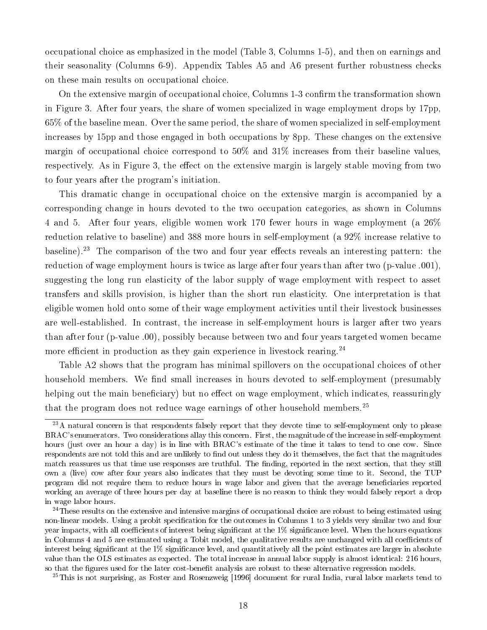occupational choice as emphasized in the model (Table 3, Columns 1-5), and then on earnings and their seasonality (Columns 6-9). Appendix Tables A5 and A6 present further robustness checks on these main results on occupational choice.

On the extensive margin of occupational choice, Columns 1-3 confirm the transformation shown in Figure 3. After four years, the share of women specialized in wage employment drops by 17pp, 65% of the baseline mean. Over the same period, the share of women specialized in self-employment increases by 15pp and those engaged in both occupations by 8pp. These changes on the extensive margin of occupational choice correspond to 50% and 31% increases from their baseline values, respectively. As in Figure 3, the effect on the extensive margin is largely stable moving from two to four years after the program's initiation.

This dramatic change in occupational choice on the extensive margin is accompanied by a corresponding change in hours devoted to the two occupation categories, as shown in Columns 4 and 5. After four years, eligible women work 170 fewer hours in wage employment (a 26% reduction relative to baseline) and 388 more hours in self-employment (a 92% increase relative to baseline).<sup>23</sup> The comparison of the two and four year effects reveals an interesting pattern: the reduction of wage employment hours is twice as large after four years than after two (p-value .001), suggesting the long run elasticity of the labor supply of wage employment with respect to asset transfers and skills provision, is higher than the short run elasticity. One interpretation is that eligible women hold onto some of their wage employment activities until their livestock businesses are well-established. In contrast, the increase in self-employment hours is larger after two years than after four (p-value .00), possibly because between two and four years targeted women became more efficient in production as they gain experience in livestock rearing.<sup>24</sup>

Table A2 shows that the program has minimal spillovers on the occupational choices of other household members. We find small increases in hours devoted to self-employment (presumably helping out the main beneficiary) but no effect on wage employment, which indicates, reassuringly that the program does not reduce wage earnings of other household members.<sup>25</sup>

<sup>&</sup>lt;sup>23</sup>A natural concern is that respondents falsely report that they devote time to self-employment only to please BRAC's enumerators. Two considerations allay this concern. First, the magnitude of the increase in self-employment hours (just over an hour a day) is in line with BRAC's estimate of the time it takes to tend to one cow. Since respondents are not told this and are unlikely to find out unless they do it themselves, the fact that the magnitudes match reassures us that time use responses are truthful. The finding, reported in the next section, that they still own a (live) cow after four years also indicates that they must be devoting some time to it. Second, the TUP program did not require them to reduce hours in wage labor and given that the average beneficiaries reported working an average of three hours per day at baseline there is no reason to think they would falsely report a drop in wage labor hours.

<sup>&</sup>lt;sup>24</sup>These results on the extensive and intensive margins of occupational choice are robust to being estimated using non-linear models. Using a probit specification for the outcomes in Columns 1 to 3 yields very similar two and four year impacts, with all coefficients of interest being significant at the  $1\%$  significance level. When the hours equations in Columns 4 and 5 are estimated using a Tobit model, the qualitative results are unchanged with all coefficients of interest being significant at the  $1\%$  significance level, and quantitatively all the point estimates are larger in absolute value than the OLS estimates as expected. The total increase in annual labor supply is almost identical: 216 hours, so that the figures used for the later cost-benefit analysis are robust to these alternative regression models.

<sup>&</sup>lt;sup>25</sup>This is not surprising, as Foster and Rosenzweig [1996] document for rural India, rural labor markets tend to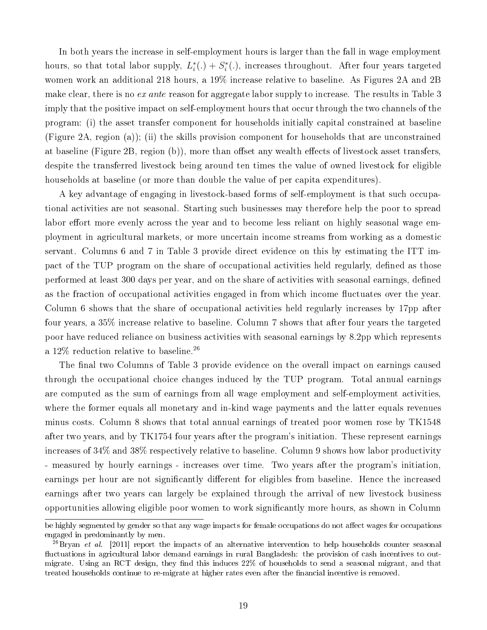In both years the increase in self-employment hours is larger than the fall in wage employment hours, so that total labor supply,  $L_i^*(.) + S_i^*(.)$ , increases throughout. After four years targeted women work an additional 218 hours, a 19% increase relative to baseline. As Figures 2A and 2B make clear, there is no *ex ante* reason for aggregate labor supply to increase. The results in Table 3 imply that the positive impact on self-employment hours that occur through the two channels of the program: (i) the asset transfer component for households initially capital constrained at baseline (Figure 2A, region (a)); (ii) the skills provision component for households that are unconstrained at baseline (Figure 2B, region (b)), more than offset any wealth effects of livestock asset transfers, despite the transferred livestock being around ten times the value of owned livestock for eligible households at baseline (or more than double the value of per capita expenditures).

A key advantage of engaging in livestock-based forms of self-employment is that such occupational activities are not seasonal. Starting such businesses may therefore help the poor to spread labor effort more evenly across the year and to become less reliant on highly seasonal wage employment in agricultural markets, or more uncertain income streams from working as a domestic servant. Columns 6 and 7 in Table 3 provide direct evidence on this by estimating the ITT impact of the TUP program on the share of occupational activities held regularly, defined as those performed at least 300 days per year, and on the share of activities with seasonal earnings, defined as the fraction of occupational activities engaged in from which income fluctuates over the year. Column 6 shows that the share of occupational activities held regularly increases by 17pp after four years, a 35% increase relative to baseline. Column 7 shows that after four years the targeted poor have reduced reliance on business activities with seasonal earnings by 8.2pp which represents a 12\% reduction relative to baseline.<sup>26</sup>

The final two Columns of Table 3 provide evidence on the overall impact on earnings caused through the occupational choice changes induced by the TUP program. Total annual earnings are computed as the sum of earnings from all wage employment and self-employment activities, where the former equals all monetary and in-kind wage payments and the latter equals revenues minus costs. Column 8 shows that total annual earnings of treated poor women rose by TK1548 after two years, and by TK1754 four years after the program's initiation. These represent earnings increases of 34% and 38% respectively relative to baseline. Column 9 shows how labor productivity - measured by hourly earnings - increases over time. Two years after the program's initiation, earnings per hour are not significantly different for eligibles from baseline. Hence the increased earnings after two years can largely be explained through the arrival of new livestock business opportunities allowing eligible poor women to work signicantly more hours, as shown in Column

be highly segmented by gender so that any wage impacts for female occupations do not affect wages for occupations engaged in predominantly by men.

 $^{26}$ Bryan et al. [2011] report the impacts of an alternative intervention to help households counter seasonal fluctuations in agricultural labor demand earnings in rural Bangladesh: the provision of cash incentives to outmigrate. Using an RCT design, they find this induces 22% of households to send a seasonal migrant, and that treated households continue to re-migrate at higher rates even after the financial incentive is removed.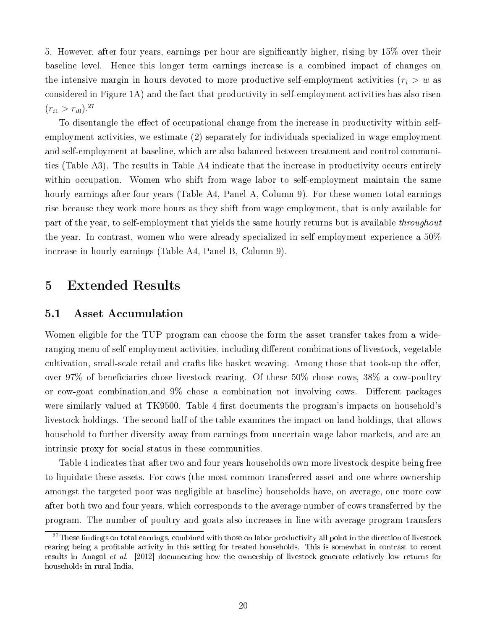5. However, after four years, earnings per hour are signicantly higher, rising by 15% over their baseline level. Hence this longer term earnings increase is a combined impact of changes on the intensive margin in hours devoted to more productive self-employment activities ( $r_i > w$  as considered in Figure 1A) and the fact that productivity in self-employment activities has also risen  $(r_{i1} > r_{i0})$ .<sup>27</sup>

To disentangle the effect of occupational change from the increase in productivity within selfemployment activities, we estimate (2) separately for individuals specialized in wage employment and self-employment at baseline, which are also balanced between treatment and control communities (Table A3). The results in Table A4 indicate that the increase in productivity occurs entirely within occupation. Women who shift from wage labor to self-employment maintain the same hourly earnings after four years (Table A4, Panel A, Column 9). For these women total earnings rise because they work more hours as they shift from wage employment, that is only available for part of the year, to self-employment that yields the same hourly returns but is available *throughout* the year. In contrast, women who were already specialized in self-employment experience a  $50\%$ increase in hourly earnings (Table A4, Panel B, Column 9).

### 5 Extended Results

#### 5.1 Asset Accumulation

Women eligible for the TUP program can choose the form the asset transfer takes from a wideranging menu of self-employment activities, including different combinations of livestock, vegetable cultivation, small-scale retail and crafts like basket weaving. Among those that took-up the offer, over 97% of beneficiaries chose livestock rearing. Of these  $50\%$  chose cows,  $38\%$  a cow-poultry or cow-goat combination, and  $9\%$  chose a combination not involving cows. Different packages were similarly valued at TK9500. Table 4 first documents the program's impacts on household's livestock holdings. The second half of the table examines the impact on land holdings, that allows household to further diversity away from earnings from uncertain wage labor markets, and are an intrinsic proxy for social status in these communities.

Table 4 indicates that after two and four years households own more livestock despite being free to liquidate these assets. For cows (the most common transferred asset and one where ownership amongst the targeted poor was negligible at baseline) households have, on average, one more cow after both two and four years, which corresponds to the average number of cows transferred by the program. The number of poultry and goats also increases in line with average program transfers

 $27$ These findings on total earnings, combined with those on labor productivity all point in the direction of livestock rearing being a profitable activity in this setting for treated households. This is somewhat in contrast to recent results in Anagol et al. [2012] documenting how the ownership of livestock generate relatively low returns for households in rural India.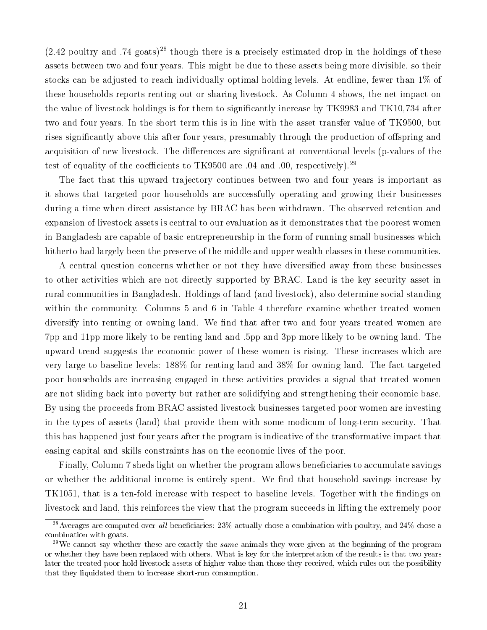$(2.42$  poultry and .74 goats)<sup>28</sup> though there is a precisely estimated drop in the holdings of these assets between two and four years. This might be due to these assets being more divisible, so their stocks can be adjusted to reach individually optimal holding levels. At endline, fewer than 1% of these households reports renting out or sharing livestock. As Column 4 shows, the net impact on the value of livestock holdings is for them to signicantly increase by TK9983 and TK10,734 after two and four years. In the short term this is in line with the asset transfer value of TK9500, but rises significantly above this after four years, presumably through the production of offspring and acquisition of new livestock. The differences are significant at conventional levels (p-values of the test of equality of the coefficients to TK9500 are  $.04$  and  $.00$ , respectively).<sup>29</sup>

The fact that this upward trajectory continues between two and four years is important as it shows that targeted poor households are successfully operating and growing their businesses during a time when direct assistance by BRAC has been withdrawn. The observed retention and expansion of livestock assets is central to our evaluation as it demonstrates that the poorest women in Bangladesh are capable of basic entrepreneurship in the form of running small businesses which hitherto had largely been the preserve of the middle and upper wealth classes in these communities.

A central question concerns whether or not they have diversified away from these businesses to other activities which are not directly supported by BRAC. Land is the key security asset in rural communities in Bangladesh. Holdings of land (and livestock), also determine social standing within the community. Columns 5 and 6 in Table 4 therefore examine whether treated women diversify into renting or owning land. We find that after two and four years treated women are 7pp and 11pp more likely to be renting land and .5pp and 3pp more likely to be owning land. The upward trend suggests the economic power of these women is rising. These increases which are very large to baseline levels: 188% for renting land and 38% for owning land. The fact targeted poor households are increasing engaged in these activities provides a signal that treated women are not sliding back into poverty but rather are solidifying and strengthening their economic base. By using the proceeds from BRAC assisted livestock businesses targeted poor women are investing in the types of assets (land) that provide them with some modicum of long-term security. That this has happened just four years after the program is indicative of the transformative impact that easing capital and skills constraints has on the economic lives of the poor.

Finally, Column 7 sheds light on whether the program allows beneficiaries to accumulate savings or whether the additional income is entirely spent. We find that household savings increase by TK1051, that is a ten-fold increase with respect to baseline levels. Together with the findings on livestock and land, this reinforces the view that the program succeeds in lifting the extremely poor

<sup>&</sup>lt;sup>28</sup> Averages are computed over all beneficiaries:  $23\%$  actually chose a combination with poultry, and  $24\%$  chose a combination with goats.

 $^{29}$ We cannot say whether these are exactly the same animals they were given at the beginning of the program or whether they have been replaced with others. What is key for the interpretation of the results is that two years later the treated poor hold livestock assets of higher value than those they received, which rules out the possibility that they liquidated them to increase short-run consumption.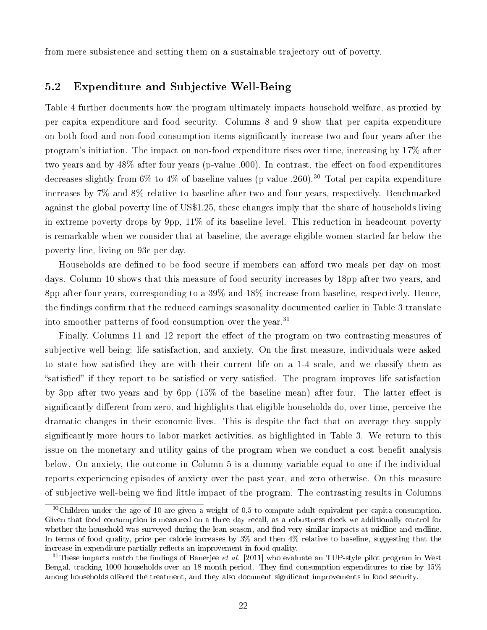from mere subsistence and setting them on a sustainable trajectory out of poverty.

#### 5.2 Expenditure and Subjective Well-Being

Table 4 further documents how the program ultimately impacts household welfare, as proxied by per capita expenditure and food security. Columns 8 and 9 show that per capita expenditure on both food and non-food consumption items signicantly increase two and four years after the program's initiation. The impact on non-food expenditure rises over time, increasing by 17% after two years and by  $48\%$  after four years (p-value .000). In contrast, the effect on food expenditures decreases slightly from 6% to 4% of baseline values (p-value .260).<sup>30</sup> Total per capita expenditure increases by 7% and 8% relative to baseline after two and four years, respectively. Benchmarked against the global poverty line of US\$1.25, these changes imply that the share of households living in extreme poverty drops by 9pp, 11% of its baseline level. This reduction in headcount poverty is remarkable when we consider that at baseline, the average eligible women started far below the poverty line, living on 93c per day.

Households are defined to be food secure if members can afford two meals per day on most days. Column 10 shows that this measure of food security increases by 18pp after two years, and 8pp after four years, corresponding to a 39% and 18% increase from baseline, respectively. Hence, the findings confirm that the reduced earnings seasonality documented earlier in Table 3 translate into smoother patterns of food consumption over the year.<sup>31</sup>

Finally, Columns 11 and 12 report the effect of the program on two contrasting measures of subjective well-being: life satisfaction, and anxiety. On the first measure, individuals were asked to state how satisfied they are with their current life on a 1-4 scale, and we classify them as "satisfied" if they report to be satisfied or very satisfied. The program improves life satisfaction by 3pp after two years and by 6pp  $(15\%$  of the baseline mean) after four. The latter effect is significantly different from zero, and highlights that eligible households do, over time, perceive the dramatic changes in their economic lives. This is despite the fact that on average they supply signicantly more hours to labor market activities, as highlighted in Table 3. We return to this issue on the monetary and utility gains of the program when we conduct a cost benefit analysis below. On anxiety, the outcome in Column 5 is a dummy variable equal to one if the individual reports experiencing episodes of anxiety over the past year, and zero otherwise. On this measure of subjective well-being we find little impact of the program. The contrasting results in Columns

<sup>30</sup>Children under the age of 10 are given a weight of 0.5 to compute adult equivalent per capita consumption. Given that food consumption is measured on a three day recall, as a robustness check we additionally control for whether the household was surveyed during the lean season, and find very similar impacts at midline and endline. In terms of food quality, price per calorie increases by 3% and then 4% relative to baseline, suggesting that the increase in expenditure partially reflects an improvement in food quality.

<sup>&</sup>lt;sup>31</sup>These impacts match the findings of Banerjee *et al.* [2011] who evaluate an TUP-style pilot program in West Bengal, tracking 1000 households over an 18 month period. They find consumption expenditures to rise by  $15\%$ among households offered the treatment, and they also document significant improvements in food security.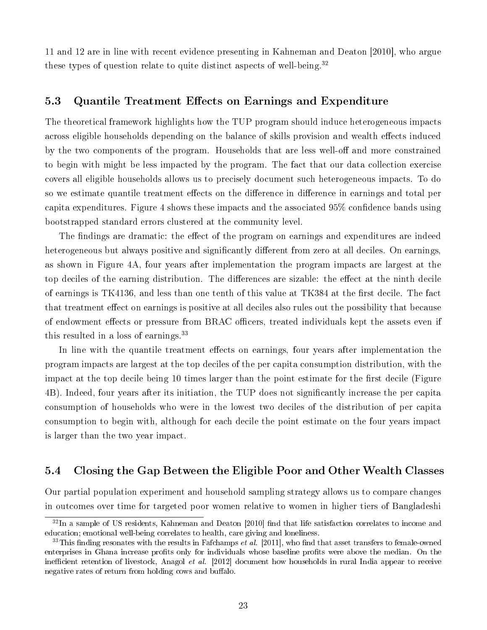11 and 12 are in line with recent evidence presenting in Kahneman and Deaton [2010], who argue these types of question relate to quite distinct aspects of well-being.<sup>32</sup>

#### 5.3 Quantile Treatment Effects on Earnings and Expenditure

The theoretical framework highlights how the TUP program should induce heterogeneous impacts across eligible households depending on the balance of skills provision and wealth effects induced by the two components of the program. Households that are less well-off and more constrained to begin with might be less impacted by the program. The fact that our data collection exercise covers all eligible households allows us to precisely document such heterogeneous impacts. To do so we estimate quantile treatment effects on the difference in difference in earnings and total per capita expenditures. Figure 4 shows these impacts and the associated  $95\%$  confidence bands using bootstrapped standard errors clustered at the community level.

The findings are dramatic: the effect of the program on earnings and expenditures are indeed heterogeneous but always positive and significantly different from zero at all deciles. On earnings, as shown in Figure 4A, four years after implementation the program impacts are largest at the top deciles of the earning distribution. The differences are sizable: the effect at the ninth decile of earnings is TK4136, and less than one tenth of this value at TK384 at the first decile. The fact that treatment effect on earnings is positive at all deciles also rules out the possibility that because of endowment effects or pressure from BRAC officers, treated individuals kept the assets even if this resulted in a loss of earnings.<sup>33</sup>

In line with the quantile treatment effects on earnings, four years after implementation the program impacts are largest at the top deciles of the per capita consumption distribution, with the impact at the top decile being 10 times larger than the point estimate for the first decile (Figure 4B). Indeed, four years after its initiation, the TUP does not signicantly increase the per capita consumption of households who were in the lowest two deciles of the distribution of per capita consumption to begin with, although for each decile the point estimate on the four years impact is larger than the two year impact.

#### 5.4 Closing the Gap Between the Eligible Poor and Other Wealth Classes

Our partial population experiment and household sampling strategy allows us to compare changes in outcomes over time for targeted poor women relative to women in higher tiers of Bangladeshi

 $32$ In a sample of US residents, Kahneman and Deaton [2010] find that life satisfaction correlates to income and education; emotional well-being correlates to health, care giving and loneliness.

 $33$ This finding resonates with the results in Fafchamps *et al.* [2011], who find that asset transfers to female-owned enterprises in Ghana increase profits only for individuals whose baseline profits were above the median. On the inefficient retention of livestock, Anagol et al.  $[2012]$  document how households in rural India appear to receive negative rates of return from holding cows and buffalo.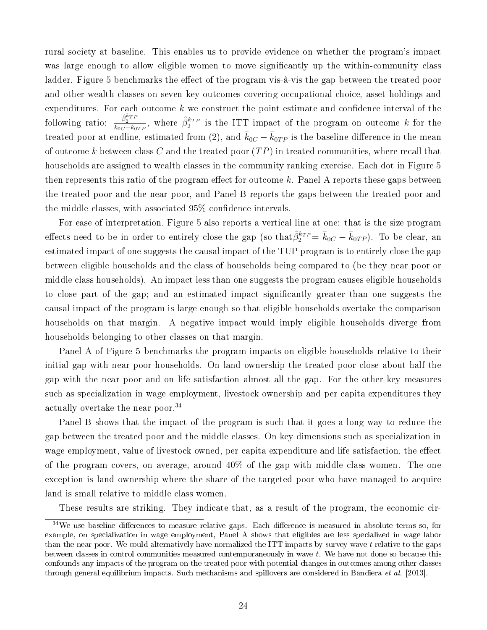rural society at baseline. This enables us to provide evidence on whether the program's impact was large enough to allow eligible women to move significantly up the within-community class ladder. Figure 5 benchmarks the effect of the program vis-à-vis the gap between the treated poor and other wealth classes on seven key outcomes covering occupational choice, asset holdings and expenditures. For each outcome  $k$  we construct the point estimate and confidence interval of the following ratio:  $\frac{\hat{\beta}_2^{k_{TP}}}{k_{0C}-k_{0TP}}$ , where  $\hat{\beta}_2^{k_{TP}}$  is the ITT impact of the program on outcome k for the treated poor at endline, estimated from (2), and  $\bar{k}_{0C} - \bar{k}_{0TP}$  is the baseline difference in the mean of outcome k between class C and the treated poor  $(TP)$  in treated communities, where recall that households are assigned to wealth classes in the community ranking exercise. Each dot in Figure 5 then represents this ratio of the program effect for outcome k. Panel A reports these gaps between the treated poor and the near poor, and Panel B reports the gaps between the treated poor and the middle classes, with associated  $95\%$  confidence intervals.

For ease of interpretation, Figure 5 also reports a vertical line at one: that is the size program effects need to be in order to entirely close the gap (so that $\hat{\beta}_2^{k_{TP}} = \bar{k}_{0C} - \bar{k}_{0TP}$ ). To be clear, an estimated impact of one suggests the causal impact of the TUP program is to entirely close the gap between eligible households and the class of households being compared to (be they near poor or middle class households). An impact less than one suggests the program causes eligible households to close part of the gap; and an estimated impact signicantly greater than one suggests the causal impact of the program is large enough so that eligible households overtake the comparison households on that margin. A negative impact would imply eligible households diverge from households belonging to other classes on that margin.

Panel A of Figure 5 benchmarks the program impacts on eligible households relative to their initial gap with near poor households. On land ownership the treated poor close about half the gap with the near poor and on life satisfaction almost all the gap. For the other key measures such as specialization in wage employment, livestock ownership and per capita expenditures they actually overtake the near poor.<sup>34</sup>

Panel B shows that the impact of the program is such that it goes a long way to reduce the gap between the treated poor and the middle classes. On key dimensions such as specialization in wage employment, value of livestock owned, per capita expenditure and life satisfaction, the effect of the program covers, on average, around 40% of the gap with middle class women. The one exception is land ownership where the share of the targeted poor who have managed to acquire land is small relative to middle class women.

These results are striking. They indicate that, as a result of the program, the economic cir-

 $34\text{We}$  use baseline differences to measure relative gaps. Each difference is measured in absolute terms so, for example, on specialization in wage employment, Panel A shows that eligibles are less specialized in wage labor than the near poor. We could alternatively have normalized the ITT impacts by survey wave t relative to the gaps between classes in control communities measured contemporaneously in wave t. We have not done so because this confounds any impacts of the program on the treated poor with potential changes in outcomes among other classes through general equilibrium impacts. Such mechanisms and spillovers are considered in Bandiera et al. [2013].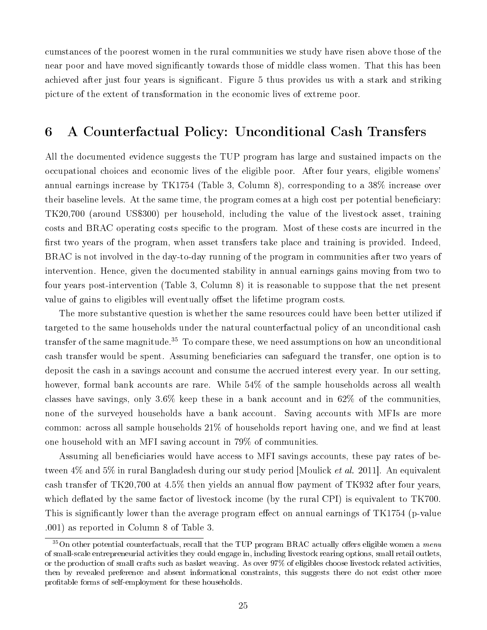cumstances of the poorest women in the rural communities we study have risen above those of the near poor and have moved significantly towards those of middle class women. That this has been achieved after just four years is signicant. Figure 5 thus provides us with a stark and striking picture of the extent of transformation in the economic lives of extreme poor.

### 6 A Counterfactual Policy: Unconditional Cash Transfers

All the documented evidence suggests the TUP program has large and sustained impacts on the occupational choices and economic lives of the eligible poor. After four years, eligible womens' annual earnings increase by TK1754 (Table 3, Column 8), corresponding to a 38% increase over their baseline levels. At the same time, the program comes at a high cost per potential beneficiary: TK20,700 (around US\$300) per household, including the value of the livestock asset, training costs and BRAC operating costs specific to the program. Most of these costs are incurred in the first two years of the program, when asset transfers take place and training is provided. Indeed, BRAC is not involved in the day-to-day running of the program in communities after two years of intervention. Hence, given the documented stability in annual earnings gains moving from two to four years post-intervention (Table 3, Column 8) it is reasonable to suppose that the net present value of gains to eligibles will eventually offset the lifetime program costs.

The more substantive question is whether the same resources could have been better utilized if targeted to the same households under the natural counterfactual policy of an unconditional cash transfer of the same magnitude.<sup>35</sup> To compare these, we need assumptions on how an unconditional cash transfer would be spent. Assuming beneficiaries can safeguard the transfer, one option is to deposit the cash in a savings account and consume the accrued interest every year. In our setting, however, formal bank accounts are rare. While 54% of the sample households across all wealth classes have savings, only 3.6% keep these in a bank account and in 62% of the communities, none of the surveyed households have a bank account. Saving accounts with MFIs are more common: across all sample households  $21\%$  of households report having one, and we find at least one household with an MFI saving account in 79% of communities.

Assuming all beneficiaries would have access to MFI savings accounts, these pay rates of between 4% and 5% in rural Bangladesh during our study period [Moulick *et al.* 2011]. An equivalent cash transfer of TK20,700 at  $4.5\%$  then yields an annual flow payment of TK932 after four years, which deflated by the same factor of livestock income (by the rural CPI) is equivalent to  $TK700$ . This is significantly lower than the average program effect on annual earnings of  $TK1754$  (p-value .001) as reported in Column 8 of Table 3.

 $35$ On other potential counterfactuals, recall that the TUP program BRAC actually offers eligible women a menu of small-scale entrepreneurial activities they could engage in, including livestock rearing options, small retail outlets, or the production of small crafts such as basket weaving. As over 97% of eligibles choose livestock related activities, then by revealed preference and absent informational constraints, this suggests there do not exist other more profitable forms of self-employment for these households.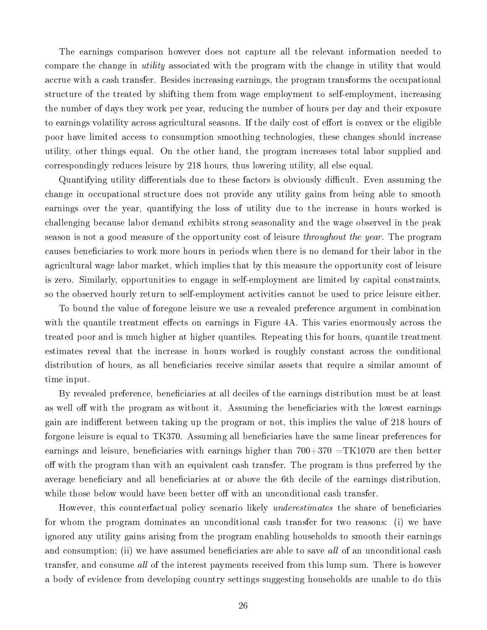The earnings comparison however does not capture all the relevant information needed to compare the change in utility associated with the program with the change in utility that would accrue with a cash transfer. Besides increasing earnings, the program transforms the occupational structure of the treated by shifting them from wage employment to self-employment, increasing the number of days they work per year, reducing the number of hours per day and their exposure to earnings volatility across agricultural seasons. If the daily cost of effort is convex or the eligible poor have limited access to consumption smoothing technologies, these changes should increase utility, other things equal. On the other hand, the program increases total labor supplied and correspondingly reduces leisure by 218 hours, thus lowering utility, all else equal.

Quantifying utility differentials due to these factors is obviously difficult. Even assuming the change in occupational structure does not provide any utility gains from being able to smooth earnings over the year, quantifying the loss of utility due to the increase in hours worked is challenging because labor demand exhibits strong seasonality and the wage observed in the peak season is not a good measure of the opportunity cost of leisure *throughout the year*. The program causes beneficiaries to work more hours in periods when there is no demand for their labor in the agricultural wage labor market, which implies that by this measure the opportunity cost of leisure is zero. Similarly, opportunities to engage in self-employment are limited by capital constraints, so the observed hourly return to self-employment activities cannot be used to price leisure either.

To bound the value of foregone leisure we use a revealed preference argument in combination with the quantile treatment effects on earnings in Figure 4A. This varies enormously across the treated poor and is much higher at higher quantiles. Repeating this for hours, quantile treatment estimates reveal that the increase in hours worked is roughly constant across the conditional distribution of hours, as all beneficiaries receive similar assets that require a similar amount of time input.

By revealed preference, beneficiaries at all deciles of the earnings distribution must be at least as well off with the program as without it. Assuming the beneficiaries with the lowest earnings gain are indifferent between taking up the program or not, this implies the value of 218 hours of forgone leisure is equal to TK370. Assuming all beneficiaries have the same linear preferences for earnings and leisure, beneficiaries with earnings higher than  $700+370 = TK1070$  are then better off with the program than with an equivalent cash transfer. The program is thus preferred by the average beneficiary and all beneficiaries at or above the 6th decile of the earnings distribution, while those below would have been better off with an unconditional cash transfer.

However, this counterfactual policy scenario likely *underestimates* the share of beneficiaries for whom the program dominates an unconditional cash transfer for two reasons: (i) we have ignored any utility gains arising from the program enabling households to smooth their earnings and consumption; (ii) we have assumed beneficiaries are able to save all of an unconditional cash transfer, and consume all of the interest payments received from this lump sum. There is however a body of evidence from developing country settings suggesting households are unable to do this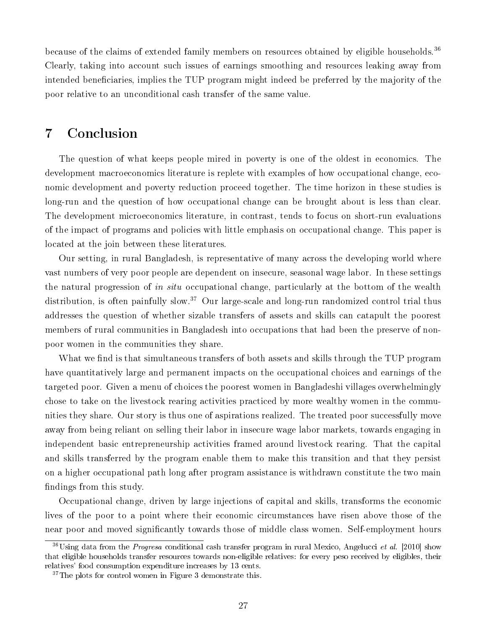because of the claims of extended family members on resources obtained by eligible households.<sup>36</sup> Clearly, taking into account such issues of earnings smoothing and resources leaking away from intended beneficiaries, implies the TUP program might indeed be preferred by the majority of the poor relative to an unconditional cash transfer of the same value.

### 7 Conclusion

The question of what keeps people mired in poverty is one of the oldest in economics. The development macroeconomics literature is replete with examples of how occupational change, economic development and poverty reduction proceed together. The time horizon in these studies is long-run and the question of how occupational change can be brought about is less than clear. The development microeconomics literature, in contrast, tends to focus on short-run evaluations of the impact of programs and policies with little emphasis on occupational change. This paper is located at the join between these literatures.

Our setting, in rural Bangladesh, is representative of many across the developing world where vast numbers of very poor people are dependent on insecure, seasonal wage labor. In these settings the natural progression of *in situ* occupational change, particularly at the bottom of the wealth distribution, is often painfully slow.<sup>37</sup> Our large-scale and long-run randomized control trial thus addresses the question of whether sizable transfers of assets and skills can catapult the poorest members of rural communities in Bangladesh into occupations that had been the preserve of nonpoor women in the communities they share.

What we find is that simultaneous transfers of both assets and skills through the TUP program have quantitatively large and permanent impacts on the occupational choices and earnings of the targeted poor. Given a menu of choices the poorest women in Bangladeshi villages overwhelmingly chose to take on the livestock rearing activities practiced by more wealthy women in the communities they share. Our story is thus one of aspirations realized. The treated poor successfully move away from being reliant on selling their labor in insecure wage labor markets, towards engaging in independent basic entrepreneurship activities framed around livestock rearing. That the capital and skills transferred by the program enable them to make this transition and that they persist on a higher occupational path long after program assistance is withdrawn constitute the two main findings from this study.

Occupational change, driven by large injections of capital and skills, transforms the economic lives of the poor to a point where their economic circumstances have risen above those of the near poor and moved signicantly towards those of middle class women. Self-employment hours

 $36\text{Using data from the } Progresa \text{ conditional cash transfer program in rural Mexico, Angelucci } et \text{ al. } [2010] \text{ show}$ that eligible households transfer resources towards non-eligible relatives: for every peso received by eligibles, their relatives' food consumption expenditure increases by 13 cents.

<sup>&</sup>lt;sup>37</sup>The plots for control women in Figure 3 demonstrate this.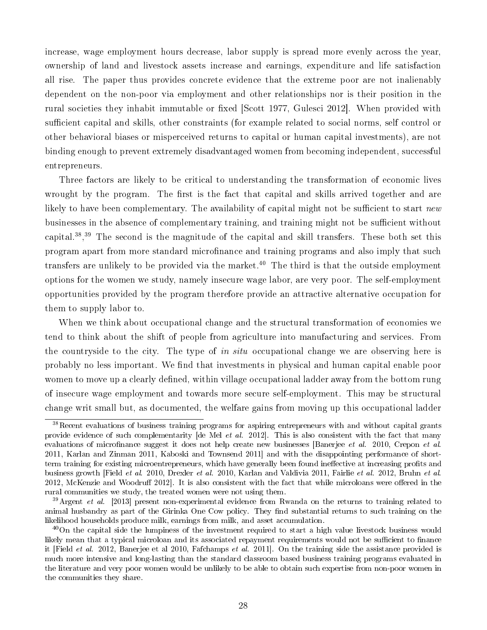increase, wage employment hours decrease, labor supply is spread more evenly across the year, ownership of land and livestock assets increase and earnings, expenditure and life satisfaction all rise. The paper thus provides concrete evidence that the extreme poor are not inalienably dependent on the non-poor via employment and other relationships nor is their position in the rural societies they inhabit immutable or fixed Scott 1977, Gulesci 2012. When provided with sufficient capital and skills, other constraints (for example related to social norms, self control or other behavioral biases or misperceived returns to capital or human capital investments), are not binding enough to prevent extremely disadvantaged women from becoming independent, successful entrepreneurs.

Three factors are likely to be critical to understanding the transformation of economic lives wrought by the program. The first is the fact that capital and skills arrived together and are likely to have been complementary. The availability of capital might not be sufficient to start new businesses in the absence of complementary training, and training might not be sufficient without capital.<sup>38</sup>,<sup>39</sup> The second is the magnitude of the capital and skill transfers. These both set this program apart from more standard microfinance and training programs and also imply that such transfers are unlikely to be provided via the market.<sup>40</sup> The third is that the outside employment options for the women we study, namely insecure wage labor, are very poor. The self-employment opportunities provided by the program therefore provide an attractive alternative occupation for them to supply labor to.

When we think about occupational change and the structural transformation of economies we tend to think about the shift of people from agriculture into manufacturing and services. From the countryside to the city. The type of in situ occupational change we are observing here is probably no less important. We find that investments in physical and human capital enable poor women to move up a clearly defined, within village occupational ladder away from the bottom rung of insecure wage employment and towards more secure self-employment. This may be structural change writ small but, as documented, the welfare gains from moving up this occupational ladder

<sup>38</sup>Recent evaluations of business training programs for aspiring entrepreneurs with and without capital grants provide evidence of such complementarity [de Mel et al. 2012]. This is also consistent with the fact that many evaluations of microfinance suggest it does not help create new businesses [Banerjee *et al.* 2010, Crepon *et al.* 2011, Karlan and Zinman 2011, Kaboski and Townsend 2011] and with the disappointing performance of shortterm training for existing microentrepreneurs, which have generally been found ineffective at increasing profits and business growth [Field et al. 2010, Drexler et al. 2010, Karlan and Valdivia 2011, Fairlie et al. 2012, Bruhn et al. 2012, McKenzie and Woodruff 2012. It is also consistent with the fact that while microloans were offered in the rural communities we study, the treated women were not using them.

 $39$ Argent et al. [2013] present non-experimental evidence from Rwanda on the returns to training related to animal husbandry as part of the Girinka One Cow policy. They find substantial returns to such training on the likelihood households produce milk, earnings from milk, and asset accumulation.

<sup>&</sup>lt;sup>40</sup>On the capital side the lumpiness of the investment required to start a high value livestock business would likely mean that a typical microloan and its associated repayment requirements would not be sufficient to finance it [Field *et al.* 2012, Banerjee et al 2010, Fafchamps *et al.* 2011]. On the training side the assistance provided is much more intensive and long-lasting than the standard classroom based business training programs evaluated in the literature and very poor women would be unlikely to be able to obtain such expertise from non-poor women in the communities they share.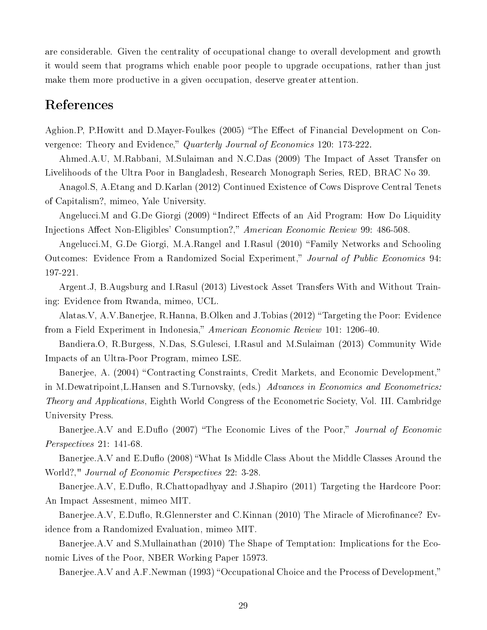are considerable. Given the centrality of occupational change to overall development and growth it would seem that programs which enable poor people to upgrade occupations, rather than just make them more productive in a given occupation, deserve greater attention.

### References

Aghion.P, P.Howitt and D.Mayer-Foulkes (2005) "The Effect of Financial Development on Convergence: Theory and Evidence," Quarterly Journal of Economics 120: 173-222.

Ahmed.A.U, M.Rabbani, M.Sulaiman and N.C.Das (2009) The Impact of Asset Transfer on Livelihoods of the Ultra Poor in Bangladesh, Research Monograph Series, RED, BRAC No 39.

Anagol.S, A.Etang and D.Karlan (2012) Continued Existence of Cows Disprove Central Tenets of Capitalism?, mimeo, Yale University.

Angelucci.M and G.De Giorgi (2009) "Indirect Effects of an Aid Program: How Do Liquidity Injections Affect Non-Eligibles' Consumption?," American Economic Review 99: 486-508.

Angelucci.M, G.De Giorgi, M.A.Rangel and I.Rasul (2010) "Family Networks and Schooling Outcomes: Evidence From a Randomized Social Experiment," Journal of Public Economics 94: 197-221.

Argent.J, B.Augsburg and I.Rasul (2013) Livestock Asset Transfers With and Without Training: Evidence from Rwanda, mimeo, UCL.

Alatas.V, A.V.Banerjee, R.Hanna, B.Olken and J.Tobias (2012) Targeting the Poor: Evidence from a Field Experiment in Indonesia," American Economic Review 101: 1206-40.

Bandiera.O, R.Burgess, N.Das, S.Gulesci, I.Rasul and M.Sulaiman (2013) Community Wide Impacts of an Ultra-Poor Program, mimeo LSE.

Banerjee, A. (2004) "Contracting Constraints, Credit Markets, and Economic Development," in M.Dewatripoint, L.Hansen and S.Turnovsky, (eds.) Advances in Economics and Econometrics: Theory and Applications, Eighth World Congress of the Econometric Society, Vol. III. Cambridge University Press.

Banerjee.A.V and E.Duflo (2007) "The Economic Lives of the Poor," Journal of Economic Perspectives 21: 141-68.

Banerjee.A.V and E.Duflo (2008) "What Is Middle Class About the Middle Classes Around the World?," Journal of Economic Perspectives 22: 3-28.

Banerjee.A.V, E.Duflo, R.Chattopadhyay and J.Shapiro (2011) Targeting the Hardcore Poor: An Impact Assesment, mimeo MIT.

Banerjee.A.V, E.Duflo, R.Glennerster and C.Kinnan (2010) The Miracle of Microfinance? Evidence from a Randomized Evaluation, mimeo MIT.

Banerjee.A.V and S.Mullainathan (2010) The Shape of Temptation: Implications for the Economic Lives of the Poor, NBER Working Paper 15973.

Banerjee.A.V and A.F.Newman (1993) "Occupational Choice and the Process of Development,"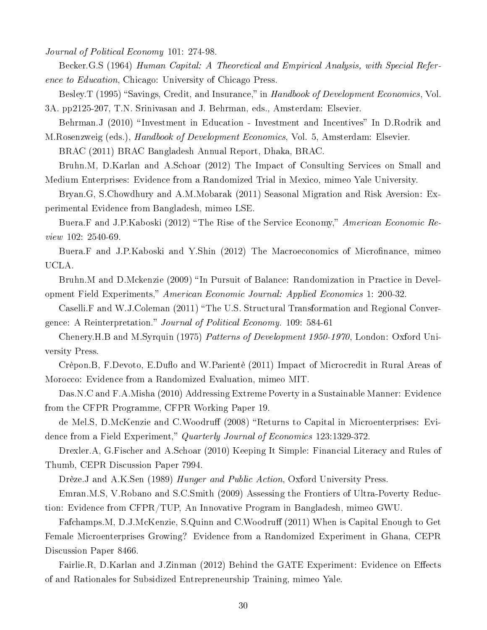Journal of Political Economy 101: 274-98.

Becker.G.S (1964) Human Capital: A Theoretical and Empirical Analysis, with Special Reference to Education, Chicago: University of Chicago Press.

Besley.T (1995) "Savings, Credit, and Insurance," in Handbook of Development Economics, Vol. 3A. pp2125-207, T.N. Srinivasan and J. Behrman, eds., Amsterdam: Elsevier.

Behrman.J (2010) "Investment in Education - Investment and Incentives" In D.Rodrik and M.Rosenzweig (eds.), Handbook of Development Economics, Vol. 5, Amsterdam: Elsevier.

BRAC (2011) BRAC Bangladesh Annual Report, Dhaka, BRAC.

Bruhn.M, D.Karlan and A.Schoar (2012) The Impact of Consulting Services on Small and Medium Enterprises: Evidence from a Randomized Trial in Mexico, mimeo Yale University.

Bryan.G, S.Chowdhury and A.M.Mobarak (2011) Seasonal Migration and Risk Aversion: Experimental Evidence from Bangladesh, mimeo LSE.

Buera.F and J.P.Kaboski (2012) "The Rise of the Service Economy," American Economic Review 102: 2540-69.

Buera.F and J.P.Kaboski and Y.Shin (2012) The Macroeconomics of Microfinance, mimeo UCLA.

Bruhn.M and D.Mckenzie (2009) "In Pursuit of Balance: Randomization in Practice in Development Field Experiments," American Economic Journal: Applied Economics 1: 200-32.

Caselli.F and W.J.Coleman (2011) "The U.S. Structural Transformation and Regional Convergence: A Reinterpretation." Journal of Political Economy. 109: 584-61

Chenery.H.B and M.Syrquin (1975) Patterns of Development 1950-1970, London: Oxford University Press.

Crèpon.B, F.Devoto, E.Duflo and W.Parientè (2011) Impact of Microcredit in Rural Areas of Morocco: Evidence from a Randomized Evaluation, mimeo MIT.

Das.N.C and F.A.Misha (2010) Addressing Extreme Poverty in a Sustainable Manner: Evidence from the CFPR Programme, CFPR Working Paper 19.

de Mel.S, D.McKenzie and C.Woodruff (2008) "Returns to Capital in Microenterprises: Evidence from a Field Experiment," Quarterly Journal of Economics 123:1329-372.

Drexler.A, G.Fischer and A.Schoar (2010) Keeping It Simple: Financial Literacy and Rules of Thumb, CEPR Discussion Paper 7994.

Drèze.J and A.K.Sen (1989) Hunger and Public Action, Oxford University Press.

Emran.M.S, V.Robano and S.C.Smith (2009) Assessing the Frontiers of Ultra-Poverty Reduction: Evidence from CFPR/TUP, An Innovative Program in Bangladesh, mimeo GWU.

Fafchamps.M, D.J.McKenzie, S.Quinn and C.Woodruff (2011) When is Capital Enough to Get Female Microenterprises Growing? Evidence from a Randomized Experiment in Ghana, CEPR Discussion Paper 8466.

Fairlie.R, D.Karlan and J.Zinman (2012) Behind the GATE Experiment: Evidence on Effects of and Rationales for Subsidized Entrepreneurship Training, mimeo Yale.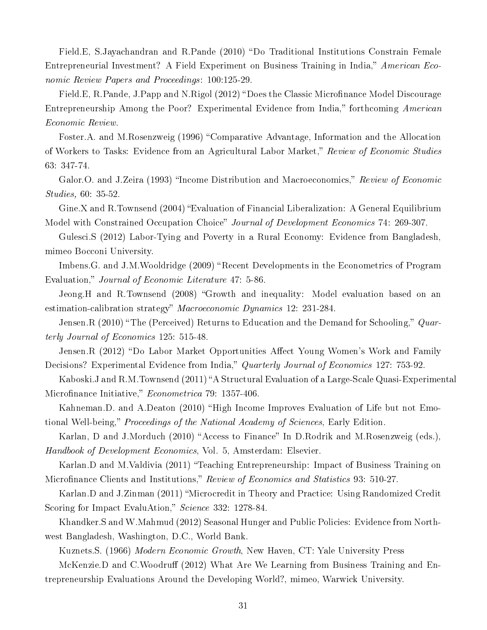Field.E, S.Jayachandran and R.Pande (2010) "Do Traditional Institutions Constrain Female Entrepreneurial Investment? A Field Experiment on Business Training in India," American Economic Review Papers and Proceedings: 100:125-29.

Field.E, R.Pande, J.Papp and N.Rigol (2012) "Does the Classic Microfinance Model Discourage Entrepreneurship Among the Poor? Experimental Evidence from India," forthcoming American Economic Review.

Foster.A. and M.Rosenzweig (1996) "Comparative Advantage, Information and the Allocation of Workers to Tasks: Evidence from an Agricultural Labor Market," Review of Economic Studies 63: 347-74.

Galor.O. and J.Zeira (1993) "Income Distribution and Macroeconomics," Review of Economic Studies, 60: 35-52.

Gine.X and R.Townsend (2004) "Evaluation of Financial Liberalization: A General Equilibrium Model with Constrained Occupation Choice" Journal of Development Economics 74: 269-307.

Gulesci.S (2012) Labor-Tying and Poverty in a Rural Economy: Evidence from Bangladesh, mimeo Bocconi University.

Imbens.G. and J.M.Wooldridge (2009) "Recent Developments in the Econometrics of Program Evaluation," Journal of Economic Literature 47: 5-86.

Jeong.H and R.Townsend (2008) "Growth and inequality: Model evaluation based on an estimation-calibration strategy" Macroeconomic Dynamics 12: 231-284.

Jensen.R  $(2010)$  "The (Perceived) Returns to Education and the Demand for Schooling,"  $Quar$ terly Journal of Economics 125: 515-48.

Jensen.R (2012) "Do Labor Market Opportunities Affect Young Women's Work and Family Decisions? Experimental Evidence from India," Quarterly Journal of Economics 127: 753-92.

Kaboski.J and R.M.Townsend (2011) "A Structural Evaluation of a Large-Scale Quasi-Experimental Microfinance Initiative," Econometrica 79: 1357-406.

Kahneman.D. and A.Deaton (2010) "High Income Improves Evaluation of Life but not Emotional Well-being," Proceedings of the National Academy of Sciences, Early Edition.

Karlan, D and J.Morduch (2010) "Access to Finance" In D.Rodrik and M.Rosenzweig (eds.), Handbook of Development Economics, Vol. 5, Amsterdam: Elsevier.

Karlan.D and M.Valdivia (2011) "Teaching Entrepreneurship: Impact of Business Training on Microfinance Clients and Institutions," Review of Economics and Statistics 93: 510-27.

Karlan.D and J.Zinman (2011) "Microcredit in Theory and Practice: Using Randomized Credit Scoring for Impact EvaluAtion," Science 332: 1278-84.

Khandker.S and W.Mahmud (2012) Seasonal Hunger and Public Policies: Evidence from Northwest Bangladesh, Washington, D.C., World Bank.

Kuznets.S. (1966) Modern Economic Growth, New Haven, CT: Yale University Press

McKenzie.D and C.Woodruff (2012) What Are We Learning from Business Training and Entrepreneurship Evaluations Around the Developing World?, mimeo, Warwick University.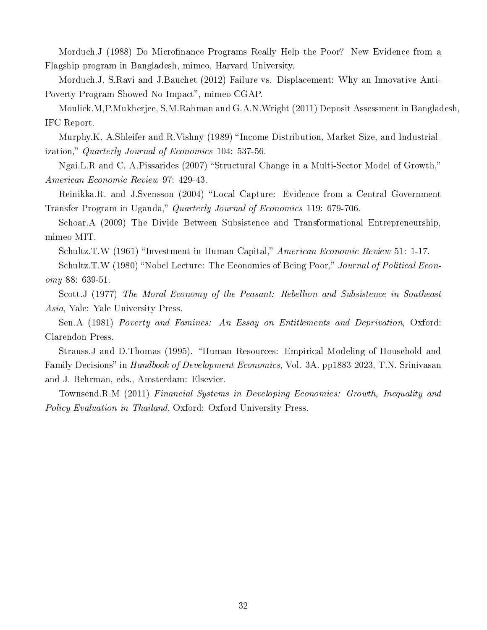Morduch.J (1988) Do Microfinance Programs Really Help the Poor? New Evidence from a Flagship program in Bangladesh, mimeo, Harvard University.

Morduch.J, S.Ravi and J.Bauchet (2012) Failure vs. Displacement: Why an Innovative Anti-Poverty Program Showed No Impact", mimeo CGAP.

Moulick.M,P.Mukherjee, S.M.Rahman and G.A.N.Wright (2011) Deposit Assessment in Bangladesh, IFC Report.

Murphy.K, A.Shleifer and R.Vishny (1989) "Income Distribution, Market Size, and Industrialization," Quarterly Journal of Economics 104: 537-56.

Ngai.L.R and C. A.Pissarides (2007) "Structural Change in a Multi-Sector Model of Growth," American Economic Review 97: 429-43.

Reinikka.R. and J.Svensson (2004) "Local Capture: Evidence from a Central Government Transfer Program in Uganda," Quarterly Journal of Economics 119: 679-706.

Schoar.A (2009) The Divide Between Subsistence and Transformational Entrepreneurship, mimeo MIT.

Schultz.T.W (1961) "Investment in Human Capital," American Economic Review 51: 1-17.

Schultz.T.W (1980) "Nobel Lecture: The Economics of Being Poor," Journal of Political Economy 88: 639-51.

Scott.J (1977) The Moral Economy of the Peasant: Rebellion and Subsistence in Southeast Asia, Yale: Yale University Press.

Sen.A (1981) Poverty and Famines: An Essay on Entitlements and Deprivation, Oxford: Clarendon Press.

Strauss. J and D.Thomas (1995). "Human Resources: Empirical Modeling of Household and Family Decisions" in *Handbook of Development Economics*, Vol. 3A. pp1883-2023, T.N. Srinivasan and J. Behrman, eds., Amsterdam: Elsevier.

Townsend.R.M (2011) Financial Systems in Developing Economies: Growth, Inequality and Policy Evaluation in Thailand, Oxford: Oxford University Press.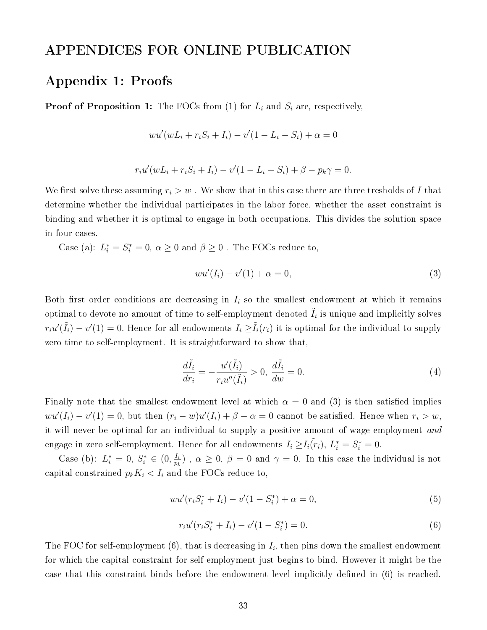### APPENDICES FOR ONLINE PUBLICATION

### Appendix 1: Proofs

**Proof of Proposition 1:** The FOCs from (1) for  $L_i$  and  $S_i$  are, respectively,

$$
wu'(wL_i + r_iS_i + I_i) - v'(1 - L_i - S_i) + \alpha = 0
$$

$$
r_i u'(wL_i + r_i S_i + I_i) - v'(1 - L_i - S_i) + \beta - p_k \gamma = 0.
$$

We first solve these assuming  $r_i > w$ . We show that in this case there are three tresholds of I that determine whether the individual participates in the labor force, whether the asset constraint is binding and whether it is optimal to engage in both occupations. This divides the solution space in four cases.

Case (a):  $L_i^* = S_i^* = 0$ ,  $\alpha \ge 0$  and  $\beta \ge 0$ . The FOCs reduce to,

$$
wu'(I_i) - v'(1) + \alpha = 0,
$$
\n(3)

Both first order conditions are decreasing in  $I_i$  so the smallest endowment at which it remains optimal to devote no amount of time to self-employment denoted  $\tilde{I}_i$  is unique and implicitly solves  $r_iu'(\tilde{I}_i) - v'(1) = 0.$  Hence for all endowments  $I_i \ge \tilde{I}_i(r_i)$  it is optimal for the individual to supply zero time to self-employment. It is straightforward to show that,

$$
\frac{d\tilde{I}_i}{dr_i} = -\frac{u'(\tilde{I}_i)}{r_i u''(\tilde{I}_i)} > 0, \quad \frac{d\tilde{I}_i}{dw} = 0.
$$
\n(4)

Finally note that the smallest endowment level at which  $\alpha = 0$  and (3) is then satisfied implies  $wu'(I_i) - v'(1) = 0$ , but then  $(r_i - w)u'(I_i) + \beta - \alpha = 0$  cannot be satisfied. Hence when  $r_i > w$ , it will never be optimal for an individual to supply a positive amount of wage employment and engage in zero self-employment. Hence for all endowments  $I_i \geq I_i(\tilde{r}_i),\, L_i^*=S_i^*=0.$ 

Case (b):  $L_i^* = 0, S_i^* \in (0, \frac{I_i}{p_i})$  $\frac{I_{i}}{p_{k}}$ ),  $\alpha \geq 0$ ,  $\beta = 0$  and  $\gamma = 0$ . In this case the individual is not capital constrained  $p_k K_i < I_i$  and the FOCs reduce to,

$$
wu'(r_i S_i^* + I_i) - v'(1 - S_i^*) + \alpha = 0,
$$
\n(5)

$$
r_i u'(r_i S_i^* + I_i) - v'(1 - S_i^*) = 0.
$$
\n(6)

The FOC for self-employment (6), that is decreasing in  $I_i$ , then pins down the smallest endowment for which the capital constraint for self-employment just begins to bind. However it might be the case that this constraint binds before the endowment level implicitly defined in (6) is reached.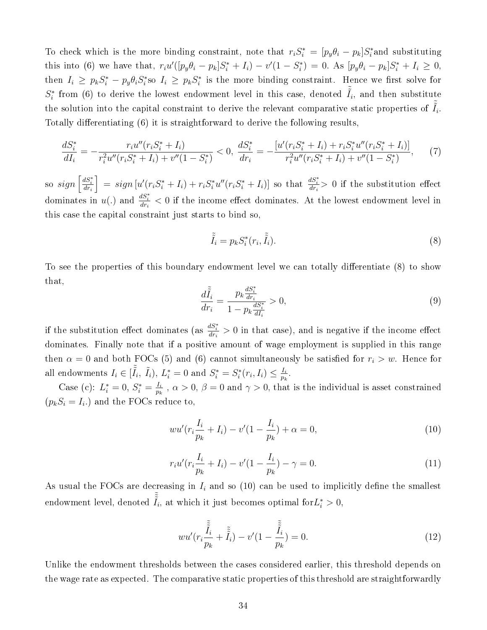To check which is the more binding constraint, note that  $r_i S_i^* = [p_y \theta_i - p_k] S_i^*$  and substituting this into (6) we have that,  $r_i u'([p_y \theta_i - p_k] S_i^* + I_i) - v'(1 - S_i^*) = 0$ . As  $[p_y \theta_i - p_k] S_i^* + I_i \ge 0$ , then  $I_i \ge p_k S_i^* - p_y \theta_i S_i^*$  so  $I_i \ge p_k S_i^*$  is the more binding constraint. Hence we first solve for  $S_i^*$  from (6) to derive the lowest endowment level in this case, denoted  $\tilde{\tilde{I}}_i$ , and then substitute the solution into the capital constraint to derive the relevant comparative static properties of  $\tilde{\tilde{I}}_i$ . Totally differentiating (6) it is straightforward to derive the following results,

$$
\frac{dS_i^*}{dI_i} = -\frac{r_i u''(r_i S_i^* + I_i)}{r_i^2 u''(r_i S_i^* + I_i) + v''(1 - S_i^*)} < 0, \quad \frac{dS_i^*}{dr_i} = -\frac{[u'(r_i S_i^* + I_i) + r_i S_i^* u''(r_i S_i^* + I_i)]}{r_i^2 u''(r_i S_i^* + I_i) + v''(1 - S_i^*)},\tag{7}
$$

so  $sign\left[\frac{dS_i^*}{dr_i}\right]$  $\Big] = sign [u'(r_iS_i^* + I_i) + r_iS_i^*u''(r_iS_i^* + I_i)]$  so that  $\frac{dS_i^*}{dr_i} > 0$  if the substitution effect dominates in  $u(.)$  and  $\frac{dS_i^*}{dr_i} < 0$  if the income effect dominates. At the lowest endowment level in this case the capital constraint just starts to bind so,

$$
\tilde{\tilde{I}}_i = p_k S_i^*(r_i, \tilde{\tilde{I}}_i). \tag{8}
$$

To see the properties of this boundary endowment level we can totally differentiate (8) to show that,  $\overline{\phantom{a}1}$ 

$$
\frac{d\tilde{I}_i}{dr_i} = \frac{p_k \frac{dS_i^*}{dr_i}}{1 - p_k \frac{dS_i^*}{dt_i}} > 0,
$$
\n(9)

if the substitution effect dominates (as  $\frac{dS_i^*}{dr_i} > 0$  in that case), and is negative if the income effect dominates. Finally note that if a positive amount of wage employment is supplied in this range then  $\alpha = 0$  and both FOCs (5) and (6) cannot simultaneously be satisfied for  $r_i > w$ . Hence for all endowments  $I_i \in [\tilde{\tilde{I}}_i, \ \tilde{I}_i), \ L_i^* = 0$  and  $S_i^* = S_i^*(r_i, I_i) \leq \frac{I_i}{p_k}$  $\frac{I_i}{p_k}$  .

Case (c):  $L_i^* = 0, S_i^* = \frac{I_i}{p_k}$  $\frac{I_{i}}{p_{k}}$ ,  $\alpha > 0$ ,  $\beta = 0$  and  $\gamma > 0$ , that is the individual is asset constrained  $(p_k S_i = I_i)$  and the FOCs reduce to,

$$
wu'(r_i \frac{I_i}{p_k} + I_i) - v'(1 - \frac{I_i}{p_k}) + \alpha = 0,
$$
\n(10)

$$
r_i u'(r_i \frac{I_i}{p_k} + I_i) - v'(1 - \frac{I_i}{p_k}) - \gamma = 0.
$$
\n(11)

As usual the FOCs are decreasing in  $I_i$  and so (10) can be used to implicitly define the smallest endowment level, denoted  $\tilde{\tilde{I}}_i$ , at which it just becomes optimal for $L_i^* > 0$ ,

$$
wu'(r_i \frac{\tilde{\tilde{I}}_i}{p_k} + \tilde{\tilde{I}}_i) - v'(1 - \frac{\tilde{\tilde{I}}_i}{p_k}) = 0.
$$
\n(12)

Unlike the endowment thresholds between the cases considered earlier, this threshold depends on the wage rate as expected. The comparative static properties of this threshold are straightforwardly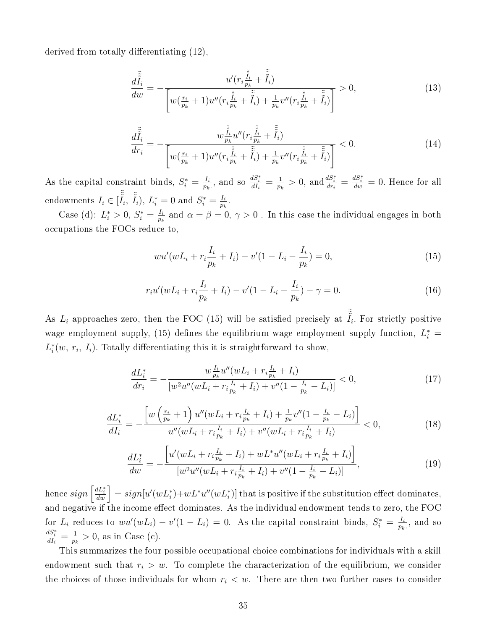derived from totally differentiating  $(12)$ ,

$$
\frac{d\tilde{\tilde{I}}_{i}}{dw} = -\frac{u'(r_{i}\frac{\tilde{\tilde{I}}_{i}}{p_{k}} + \tilde{\tilde{I}}_{i})}{\left[w(\frac{r_{i}}{p_{k}} + 1)u''(r_{i}\frac{\tilde{\tilde{I}}_{i}}{p_{k}} + \tilde{\tilde{I}}_{i}) + \frac{1}{p_{k}}v''(r_{i}\frac{\tilde{\tilde{I}}_{i}}{p_{k}} + \tilde{\tilde{I}}_{i})\right]} > 0,
$$
\n(13)

$$
\frac{d\tilde{\tilde{I}}_i}{dr_i} = -\frac{w\frac{\tilde{\tilde{I}}_i}{p_k}u''(r_i\frac{\tilde{\tilde{I}}_i}{p_k} + \tilde{\tilde{I}}_i)}{\left[w(\frac{r_i}{p_k} + 1)u''(r_i\frac{\tilde{\tilde{I}}_i}{p_k} + \tilde{\tilde{I}}_i) + \frac{1}{p_k}v''(r_i\frac{\tilde{\tilde{I}}_i}{p_k} + \tilde{\tilde{I}}_i)\right]} < 0.
$$
\n(14)

As the capital constraint binds,  $S_i^* = \frac{I_i}{p_k}$  $\frac{I_i}{p_k}$ , and so  $\frac{dS_i^*}{dI_i} = \frac{1}{p_l}$  $\frac{1}{p_k} > 0$ , and  $\frac{dS_i^*}{dr_i} = \frac{dS_i^*}{dw} = 0$ . Hence for all endowments  $I_i \in [\tilde{\tilde{I}}_i, \tilde{\tilde{I}}_i), L_i^* = 0$  and  $S_i^* = \frac{I_i}{p_k}$  $\frac{I_i}{p_k}$  .

Case (d):  $L_i^* > 0, S_i^* = \frac{I_i}{p_i}$  $\frac{I_i}{p_k}$  and  $\alpha = \beta = 0, \, \gamma > 0$  . In this case the individual engages in both occupations the FOCs reduce to,

$$
wu'(wL_i + r_i \frac{I_i}{p_k} + I_i) - v'(1 - L_i - \frac{I_i}{p_k}) = 0,
$$
\n(15)

$$
r_i u'(wL_i + r_i \frac{I_i}{p_k} + I_i) - v'(1 - L_i - \frac{I_i}{p_k}) - \gamma = 0.
$$
\n(16)

As  $L_i$  approaches zero, then the FOC (15) will be satisfied precisely at  $\tilde{\tilde{I}}_i$ . For strictly positive wage employment supply, (15) defines the equilibrium wage employment supply function,  $L_i^*$  =  $L_i^*(w, r_i, I_i)$ . Totally differentiating this it is straightforward to show,

$$
\frac{dL_i^*}{dr_i} = -\frac{w\frac{I_i}{p_k}u''(wL_i + r_i\frac{I_i}{p_k} + I_i)}{[w^2u''(wL_i + r_i\frac{I_i}{p_k} + I_i) + v''(1 - \frac{I_i}{p_k} - L_i)]} < 0,
$$
\n(17)

$$
\frac{dL_i^*}{dI_i} = -\frac{\left[w\left(\frac{r_i}{p_k} + 1\right)u''(wL_i + r_i\frac{I_i}{p_k} + I_i) + \frac{1}{p_k}v''(1 - \frac{I_i}{p_k} - L_i)\right]}{u''(wL_i + r_i\frac{I_i}{p_k} + I_i) + v''(wL_i + r_i\frac{I_i}{p_k} + I_i)} < 0,\tag{18}
$$

$$
\frac{dL_i^*}{dw} = -\frac{\left[u'(wL_i + r_i\frac{I_i}{p_k} + I_i) + wL^*u''(wL_i + r_i\frac{I_i}{p_k} + I_i)\right]}{\left[w^2u''(wL_i + r_i\frac{I_i}{p_k} + I_i) + v''(1 - \frac{I_i}{p_k} - L_i)\right]},
$$
\n(19)

 $\hbox{hence}~sign\left[\frac{dL_{i}^{*}}{dw}\right]=sign[u'(wL_{i}^{*})+wL^{*}u''(wL_{i}^{*})]~\hbox{that is positive if the substitution effect dominates,}$ and negative if the income effect dominates. As the individual endowment tends to zero, the FOC for  $L_i$  reduces to  $wu'(wL_i) - v'(1 - L_i) = 0$ . As the capital constraint binds,  $S_i^* = \frac{I_i}{p_i}$  $\frac{I_i}{p_k}$ , and so  $\frac{dS_i^*}{dI_i} = \frac{1}{p_k}$  $\frac{1}{p_k} > 0$ , as in Case (c).

This summarizes the four possible occupational choice combinations for individuals with a skill endowment such that  $r_i > w$ . To complete the characterization of the equilibrium, we consider the choices of those individuals for whom  $r_i < w$ . There are then two further cases to consider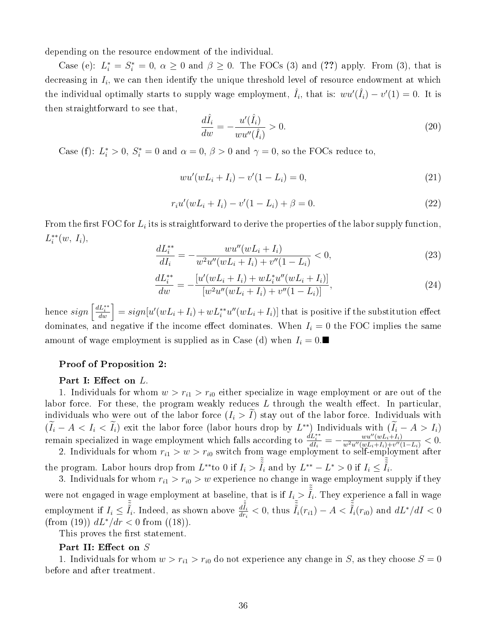depending on the resource endowment of the individual.

Case (e):  $L_i^* = S_i^* = 0$ ,  $\alpha \geq 0$  and  $\beta \geq 0$ . The FOCs (3) and (??) apply. From (3), that is decreasing in  $I_i$ , we can then identify the unique threshold level of resource endowment at which the individual optimally starts to supply wage employment,  $\hat{I}_i$ , that is:  $wu'(\hat{I}_i) - v'(1) = 0$ . It is then straightforward to see that,

$$
\frac{d\hat{I}_i}{dw} = -\frac{u'(\hat{I}_i)}{wu''(\hat{I}_i)} > 0.
$$
\n(20)

Case (f):  $L_i^* > 0$ ,  $S_i^* = 0$  and  $\alpha = 0$ ,  $\beta > 0$  and  $\gamma = 0$ , so the FOCs reduce to,

$$
wu'(wL_i + I_i) - v'(1 - L_i) = 0,
$$
\n(21)

$$
r_i u'(wL_i + I_i) - v'(1 - L_i) + \beta = 0.
$$
\n(22)

From the first FOC for  $L_i$  its is straightforward to derive the properties of the labor supply function,  $L_i^{**}(w, I_i),$ 

$$
\frac{dL_i^{**}}{dI_i} = -\frac{wu''(wL_i + I_i)}{w^2u''(wL_i + I_i) + v''(1 - L_i)} < 0,\tag{23}
$$

$$
\frac{dL_i^{**}}{dw} = -\frac{[u'(wL_i + I_i) + wL_i^*u''(wL_i + I_i)]}{[w^2u''(wL_i + I_i) + v''(1 - L_i)]},\tag{24}
$$

 $\hbox{hence}~sign\left[\frac{dL^{**}_{i}}{dw}\right]=sign[u'(wL_i+I_i)+wL^{**}_{i}u''(wL_i+I_i)]~\hbox{that is positive if the substitution effect}$ dominates, and negative if the income effect dominates. When  $I_i = 0$  the FOC implies the same amount of wage employment is supplied as in Case (d) when  $I_i = 0$ .

#### Proof of Proposition 2:

#### Part I: Effect on L.

1. Individuals for whom  $w > r_{i1} > r_{i0}$  either specialize in wage employment or are out of the labor force. For these, the program weakly reduces  $L$  through the wealth effect. In particular, individuals who were out of the labor force  $(I_i > I)$  stay out of the labor force. Individuals with  $(I_i - A < I_i < I_i)$  exit the labor force (labor hours drop by  $L^{**}$ ) Individuals with  $(I_i - A > I_i)$ remain specialized in wage employment which falls according to  $\frac{dL_i^{**}}{dI_i} = -\frac{wu''(wL_i+I_i)}{w^2u''(wL_i+I_i)+v''(wL_i+I_i)}$  $\frac{w u^{n} (w L_i + I_i)}{w^2 u'' (w L_i + I_i) + v'' (1 - L_i)} < 0.$ 

2. Individuals for whom  $r_{i1} > w > r_{i0}$  switch from wage employment to self-employment after the program. Labor hours drop from  $L^{**}$ to 0 if  $I_i > \tilde{\tilde{I}}_i$  and by  $L^{**} - L^* > 0$  if  $I_i \leq \tilde{\tilde{I}}_i$ .

3. Individuals for whom  $r_{i1} > r_{i0} > w$  experience no change in wage employment supply if they were not engaged in wage employment at baseline, that is if  $I_i > \tilde{I}_i$ . They experience a fall in wage employment if  $I_i \leq \tilde{\tilde{I}}_i$ . Indeed, as shown above  $\frac{d\tilde{\tilde{I}}_i}{dr_i} < 0$ , thus  $\tilde{\tilde{I}}_i(r_{i1}) - A < \tilde{\tilde{I}}_i(r_{i0})$  and  $dL^* / dI < 0$ (from (19))  $dL^*/dr < 0$  from ((18)).

This proves the first statement.

#### Part II: Effect on  $S$

1. Individuals for whom  $w > r_{i1} > r_{i0}$  do not experience any change in S, as they choose  $S = 0$ before and after treatment.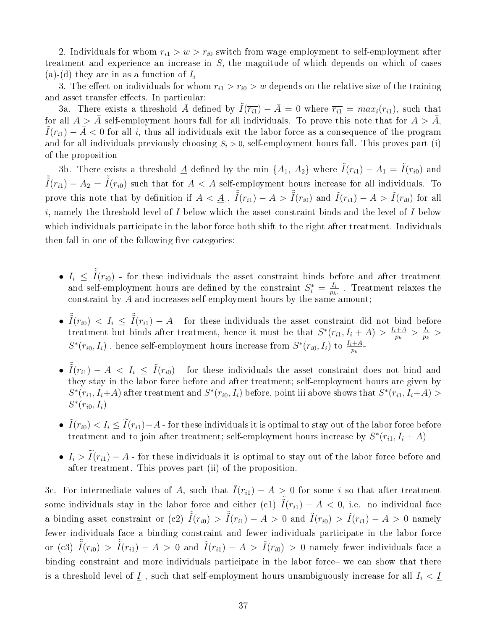2. Individuals for whom  $r_{i1} > w > r_{i0}$  switch from wage employment to self-employment after treatment and experience an increase in S, the magnitude of which depends on which of cases (a)-(d) they are in as a function of  $I_i$ 

3. The effect on individuals for whom  $r_{i1} > r_{i0} > w$  depends on the relative size of the training and asset transfer effects. In particular:

3a. There exists a threshold  $\overline{A}$  defined by  $\overline{I}(\overline{r_{i1}}) - \overline{A} = 0$  where  $\overline{r_{i1}} = max_i(r_{i1}),$  such that for all  $A > \overline{A}$  self-employment hours fall for all individuals. To prove this note that for  $A > \overline{A}$ ,  $\tilde{I}(r_{i1}) - \bar{A} < 0$  for all i, thus all individuals exit the labor force as a consequence of the program and for all individuals previously choosing  $S_i > 0$ , self-employment hours fall. This proves part (i) of the proposition

3b. There exists a threshold  $\underline{A}$  defined by the min  $\{A_1, A_2\}$  where  $\tilde{I}(r_{i1}) - A_1 = \tilde{I}(r_{i0})$  and  $\tilde{\tilde{I}}(r_{i1}) - A_2 = \tilde{\tilde{I}}(r_{i0})$  such that for  $A < \underline{A}$  self-employment hours increase for all individuals. To prove this note that by definition if  $A < \underline{A}$  ,  $\tilde{\tilde{I}}(r_{i1}) - A > \tilde{\tilde{I}}(r_{i0})$  and  $\tilde{I}(r_{i1}) - A > \tilde{I}(r_{i0})$  for all i, namely the threshold level of  $I$  below which the asset constraint binds and the level of  $I$  below which individuals participate in the labor force both shift to the right after treatment. Individuals then fall in one of the following five categories:

- $I_i \leq \tilde{I}(r_{i0})$  for these individuals the asset constraint binds before and after treatment and self-employment hours are defined by the constraint  $S_i^* = \frac{I_i}{p_k}$  $\frac{I_i}{p_k}$ . Treatment relaxes the constraint by A and increases self-employment hours by the same amount;
- $\tilde{I}(r_{i0}) \le I_i \le \tilde{I}(r_{i1}) A$  for these individuals the asset constraint did not bind before treatment but binds after treatment, hence it must be that  $S^*(r_{i1}, I_i + A) > \frac{I_i + A}{n_i}$  $\frac{1+A}{p_k} > \frac{I_i}{p_k}$  $\frac{I_i}{p_k}$  >  $S^*(r_{i0}, I_i)$  , hence self-employment hours increase from  $S^*(r_{i0}, I_i)$  to  $\frac{I_i + A}{p_k}$ -
- $\tilde{I}(r_{i1}) A < I_i \leq \tilde{I}(r_{i0})$  for these individuals the asset constraint does not bind and they stay in the labor force before and after treatment; self-employment hours are given by  $S^*(r_{i1}, I_i+A)$  after treatment and  $S^*(r_{i0}, I_i)$  before, point iii above shows that  $S^*(r_{i1}, I_i+A)$  $S^*(r_{i0}, I_i)$
- $\tilde{I}(r_{i0}) < I_i \leq \tilde{I}(r_{i1})-A$  for these individuals it is optimal to stay out of the labor force before treatment and to join after treatment; self-employment hours increase by  $S^*(r_{i1}, I_i + A)$
- $I_i > \tilde{I}(r_{i1}) A$  for these individuals it is optimal to stay out of the labor force before and after treatment. This proves part (ii) of the proposition.

3c. For intermediate values of A, such that  $\tilde{I}(r_{i1}) - A > 0$  for some i so that after treatment some individuals stay in the labor force and either (c1)  $\tilde{I}(r_{i1}) - A < 0$ , i.e. no individual face a binding asset constraint or (c2)  $\tilde{\tilde{I}}(r_{i0}) > \tilde{\tilde{I}}(r_{i1}) - A > 0$  and  $\tilde{I}(r_{i0}) > \tilde{I}(r_{i1}) - A > 0$  namely fewer individuals face a binding constraint and fewer individuals participate in the labor force or (c3)  $\tilde{\tilde{I}}(r_{i0}) > \tilde{\tilde{I}}(r_{i1}) - A > 0$  and  $\tilde{I}(r_{i1}) - A > \tilde{I}(r_{i0}) > 0$  namely fewer individuals face a binding constraint and more individuals participate in the labor force- we can show that there is a threshold level of  $\underline{I}$ , such that self-employment hours unambiguously increase for all  $I_i < \underline{I}$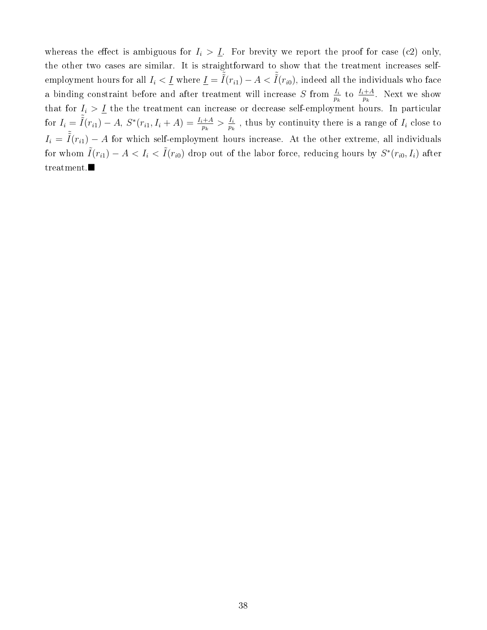whereas the effect is ambiguous for  $I_i > I$ . For brevity we report the proof for case (c2) only, the other two cases are similar. It is straightforward to show that the treatment increases selfemployment hours for all  $I_i<\underline{I}$  where  $\underline{I}=\tilde{\tilde{I}}(r_{i1})-A<\tilde{\tilde{I}}(r_{i0}),$  indeed all the individuals who face a binding constraint before and after treatment will increase S from  $\frac{I_i}{p_k}$  to  $\frac{I_i+A}{p_k}$ . Next we show that for  $I_i > I$  the the treatment can increase or decrease self-employment hours. In particular for  $I_i = \tilde{I}(r_{i1}) - A$ ,  $S^*(r_{i1}, I_i + A) = \frac{I_i + A}{p_k} > \frac{I_i}{p_k}$  $\frac{I_i}{p_k}$ , thus by continuity there is a range of  $I_i$  close to  $I_i = \tilde{I}(r_{i1}) - A$  for which self-employment hours increase. At the other extreme, all individuals for whom  $\tilde{I}(r_{i1}) - A < I_i < \tilde{I}(r_{i0})$  drop out of the labor force, reducing hours by  $S^*(r_{i0}, I_i)$  after treatment.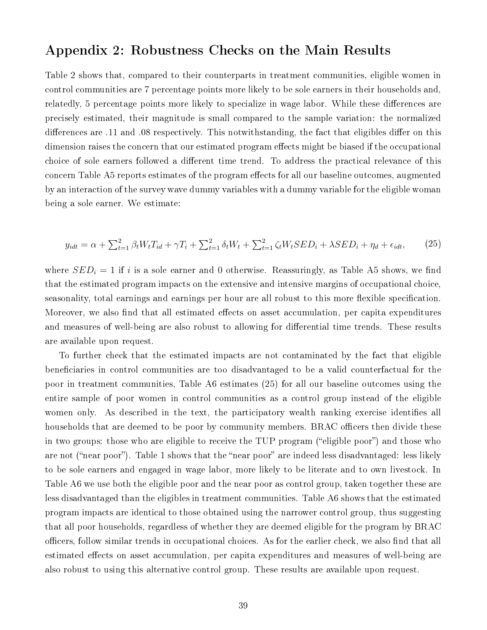### Appendix 2: Robustness Checks on the Main Results

Table 2 shows that, compared to their counterparts in treatment communities, eligible women in control communities are 7 percentage points more likely to be sole earners in their households and, relatedly, 5 percentage points more likely to specialize in wage labor. While these differences are precisely estimated, their magnitude is small compared to the sample variation: the normalized differences are .11 and .08 respectively. This notwithstanding, the fact that eligibles differ on this dimension raises the concern that our estimated program effects might be biased if the occupational choice of sole earners followed a different time trend. To address the practical relevance of this concern Table A5 reports estimates of the program effects for all our baseline outcomes, augmented by an interaction of the survey wave dummy variables with a dummy variable for the eligible woman being a sole earner. We estimate:

$$
y_{idt} = \alpha + \sum_{t=1}^{2} \beta_t W_t T_{id} + \gamma T_i + \sum_{t=1}^{2} \delta_t W_t + \sum_{t=1}^{2} \zeta_t W_t SED_i + \lambda SED_i + \eta_d + \epsilon_{idt},\tag{25}
$$

where  $SED_i = 1$  if i is a sole earner and 0 otherwise. Reassuringly, as Table A5 shows, we find that the estimated program impacts on the extensive and intensive margins of occupational choice, seasonality, total earnings and earnings per hour are all robust to this more flexible specification. Moreover, we also find that all estimated effects on asset accumulation, per capita expenditures and measures of well-being are also robust to allowing for differential time trends. These results are available upon request.

To further check that the estimated impacts are not contaminated by the fact that eligible beneficiaries in control communities are too disadvantaged to be a valid counterfactual for the poor in treatment communities, Table A6 estimates (25) for all our baseline outcomes using the entire sample of poor women in control communities as a control group instead of the eligible women only. As described in the text, the participatory wealth ranking exercise identifies all households that are deemed to be poor by community members. BRAC officers then divide these in two groups: those who are eligible to receive the TUP program ("eligible poor") and those who are not ("near poor"). Table 1 shows that the "near poor" are indeed less disadvantaged: less likely to be sole earners and engaged in wage labor, more likely to be literate and to own livestock. In Table A6 we use both the eligible poor and the near poor as control group, taken together these are less disadvantaged than the eligibles in treatment communities. Table A6 shows that the estimated program impacts are identical to those obtained using the narrower control group, thus suggesting that all poor households, regardless of whether they are deemed eligible for the program by BRAC officers, follow similar trends in occupational choices. As for the earlier check, we also find that all estimated effects on asset accumulation, per capita expenditures and measures of well-being are also robust to using this alternative control group. These results are available upon request.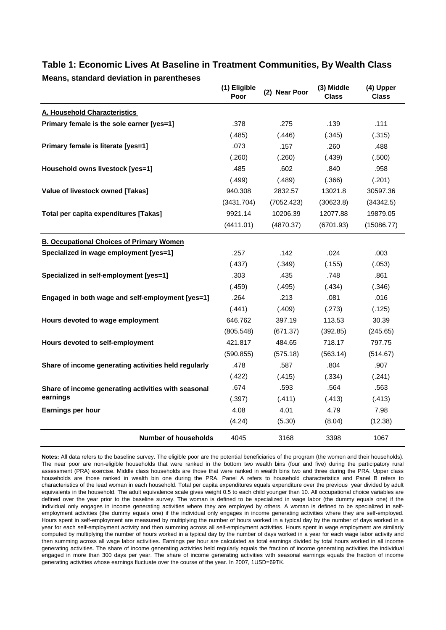| means, stanuaru ueviation in parentneses             | (1) Eligible<br>Poor | (2) Near Poor | (3) Middle<br><b>Class</b> | (4) Upper<br><b>Class</b> |
|------------------------------------------------------|----------------------|---------------|----------------------------|---------------------------|
| A. Household Characteristics                         |                      |               |                            |                           |
| Primary female is the sole earner [yes=1]            | .378                 | .275          | .139                       | .111                      |
|                                                      | (.485)               | (.446)        | (.345)                     | (.315)                    |
| Primary female is literate [yes=1]                   | .073                 | .157          | .260                       | .488                      |
|                                                      | (.260)               | (.260)        | (.439)                     | (.500)                    |
| Household owns livestock [yes=1]                     | .485                 | .602          | .840                       | .958                      |
|                                                      | (.499)               | (.489)        | (.366)                     | (.201)                    |
| Value of livestock owned [Takas]                     | 940.308              | 2832.57       | 13021.8                    | 30597.36                  |
|                                                      | (3431.704)           | (7052.423)    | (30623.8)                  | (34342.5)                 |
| Total per capita expenditures [Takas]                | 9921.14              | 10206.39      | 12077.88                   | 19879.05                  |
|                                                      | (4411.01)            | (4870.37)     | (6701.93)                  | (15086.77)                |
| <b>B. Occupational Choices of Primary Women</b>      |                      |               |                            |                           |
| Specialized in wage employment [yes=1]               | .257                 | .142          | .024                       | .003                      |
|                                                      | (.437)               | (.349)        | (.155)                     | (.053)                    |
| Specialized in self-employment [yes=1]               | .303                 | .435          | .748                       | .861                      |
|                                                      | (.459)               | (.495)        | (.434)                     | (.346)                    |
| Engaged in both wage and self-employment [yes=1]     | .264                 | .213          | .081                       | .016                      |
|                                                      | (.441)               | (.409)        | (.273)                     | (.125)                    |
| Hours devoted to wage employment                     | 646.762              | 397.19        | 113.53                     | 30.39                     |
|                                                      | (805.548)            | (671.37)      | (392.85)                   | (245.65)                  |
| Hours devoted to self-employment                     | 421.817              | 484.65        | 718.17                     | 797.75                    |
|                                                      | (590.855)            | (575.18)      | (563.14)                   | (514.67)                  |
| Share of income generating activities held regularly | .478                 | .587          | .804                       | .907                      |
|                                                      | (.422)               | (.415)        | (.334)                     | (.241)                    |
| Share of income generating activities with seasonal  | .674                 | .593          | .564                       | .563                      |
| earnings                                             | (.397)               | (.411)        | (.413)                     | (.413)                    |
| <b>Earnings per hour</b>                             | 4.08                 | 4.01          | 4.79                       | 7.98                      |
|                                                      | (4.24)               | (5.30)        | (8.04)                     | (12.38)                   |
| <b>Number of households</b>                          | 4045                 | 3168          | 3398                       | 1067                      |

#### **Table 1: Economic Lives At Baseline in Treatment Communities, By Wealth Class Means, standard deviation in parentheses**

**Notes:** All data refers to the baseline survey. The eligible poor are the potential beneficiaries of the program (the women and their households). The near poor are non-eligible households that were ranked in the bottom two wealth bins (four and five) during the participatory rural assessment (PRA) exercise. Middle class households are those that were ranked in wealth bins two and three during the PRA. Upper class households are those ranked in wealth bin one during the PRA. Panel A refers to household characteristics and Panel B refers to characteristics of the lead woman in each household. Total per capita expenditures equals expenditure over the previous year divided by adult equivalents in the household. The adult equivalence scale gives weight 0.5 to each child younger than 10. All occupational choice variables are defined over the year prior to the baseline survey. The woman is defined to be specialized in wage labor (the dummy equals one) if the individual only engages in income generating activities where they are employed by others. A woman is defined to be specialized in selfemployment activities (the dummy equals one) if the individual only engages in income generating activities where they are self-employed. Hours spent in self-employment are measured by multiplying the number of hours worked in a typical day by the number of days worked in a year for each self-employment activity and then summing across all self-employment activities. Hours spent in wage employment are similarly computed by multiplying the number of hours worked in a typical day by the number of days worked in a year for each wage labor activity and then summing across all wage labor activities. Earnings per hour are calculated as total earnings divided by total hours worked in all income generating activities. The share of income generating activities held regularly equals the fraction of income generating activities the individual engaged in more than 300 days per year. The share of income generating activities with seasonal earnings equals the fraction of income generating activities whose earnings fluctuate over the course of the year. In 2007, 1USD=69TK.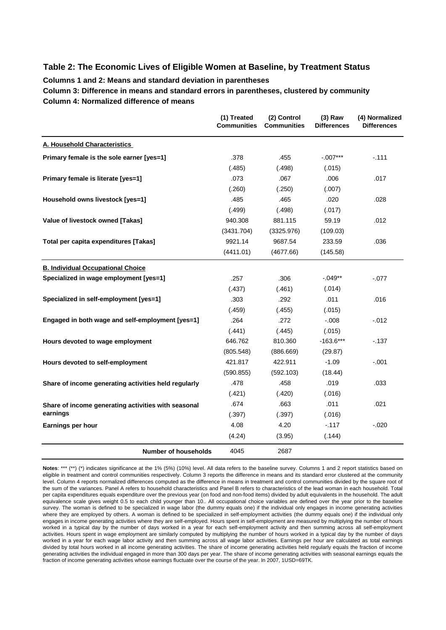#### **Table 2: The Economic Lives of Eligible Women at Baseline, by Treatment Status**

**Columns 1 and 2: Means and standard deviation in parentheses**

**Column 3: Difference in means and standard errors in parentheses, clustered by community Column 4: Normalized difference of means**

|                                                      | (1) Treated<br><b>Communities</b> | (2) Control<br><b>Communities</b> | $(3)$ Raw<br><b>Differences</b> | (4) Normalized<br><b>Differences</b> |
|------------------------------------------------------|-----------------------------------|-----------------------------------|---------------------------------|--------------------------------------|
| A. Household Characteristics                         |                                   |                                   |                                 |                                      |
| Primary female is the sole earner [yes=1]            | .378                              | .455                              | $-.007***$                      | $-.111$                              |
|                                                      | (.485)                            | (.498)                            | (.015)                          |                                      |
| Primary female is literate [yes=1]                   | .073                              | .067                              | .006                            | .017                                 |
|                                                      | (.260)                            | (.250)                            | (.007)                          |                                      |
| Household owns livestock [yes=1]                     | .485                              | .465                              | .020                            | .028                                 |
|                                                      | (.499)                            | (.498)                            | (.017)                          |                                      |
| Value of livestock owned [Takas]                     | 940.308                           | 881.115                           | 59.19                           | .012                                 |
|                                                      | (3431.704)                        | (3325.976)                        | (109.03)                        |                                      |
| Total per capita expenditures [Takas]                | 9921.14                           | 9687.54                           | 233.59                          | .036                                 |
|                                                      | (4411.01)                         | (4677.66)                         | (145.58)                        |                                      |
| <b>B. Individual Occupational Choice</b>             |                                   |                                   |                                 |                                      |
| Specialized in wage employment [yes=1]               | .257                              | .306                              | $-.049**$                       | $-077$                               |
|                                                      | (.437)                            | (.461)                            | (.014)                          |                                      |
| Specialized in self-employment [yes=1]               | .303                              | .292                              | .011                            | .016                                 |
|                                                      | (.459)                            | (.455)                            | (.015)                          |                                      |
| Engaged in both wage and self-employment [yes=1]     | .264                              | .272                              | $-0.008$                        | $-0.012$                             |
|                                                      | (.441)                            | (.445)                            | (.015)                          |                                      |
| Hours devoted to wage employment                     | 646.762                           | 810.360                           | $-163.6***$                     | $-137$                               |
|                                                      | (805.548)                         | (886.669)                         | (29.87)                         |                                      |
| Hours devoted to self-employment                     | 421.817                           | 422.911                           | $-1.09$                         | $-.001$                              |
|                                                      | (590.855)                         | (592.103)                         | (18.44)                         |                                      |
| Share of income generating activities held regularly | .478                              | .458                              | .019                            | .033                                 |
|                                                      | (.421)                            | (.420)                            | (.016)                          |                                      |
| Share of income generating activities with seasonal  | .674                              | .663                              | .011                            | .021                                 |
| earnings                                             | (.397)                            | (.397)                            | (.016)                          |                                      |
| Earnings per hour                                    | 4.08                              | 4.20                              | $-.117$                         | $-.020$                              |
|                                                      | (4.24)                            | (3.95)                            | (.144)                          |                                      |
| <b>Number of households</b>                          | 4045                              | 2687                              |                                 |                                      |

Notes: \*\*\* (\*\*) (\*) indicates significance at the 1% (5%) (10%) level. All data refers to the baseline survey. Columns 1 and 2 report statistics based on eligible in treatment and control communities respectively. Column 3 reports the difference in means and its standard error clustered at the community level. Column 4 reports normalized differences computed as the difference in means in treatment and control communities divided by the square root of the sum of the variances. Panel A refers to household characteristics and Panel B refers to characteristics of the lead woman in each household. Total per capita expenditures equals expenditure over the previous year (on food and non-food items) divided by adult equivalents in the household. The adult equivalence scale gives weight 0.5 to each child younger than 10.. All occupational choice variables are defined over the year prior to the baseline survey. The woman is defined to be specialized in wage labor (the dummy equals one) if the individual only engages in income generating activities where they are employed by others. A woman is defined to be specialized in self-employment activities (the dummy equals one) if the individual only engages in income generating activities where they are self-employed. Hours spent in self-employment are measured by multiplying the number of hours worked in a typical day by the number of days worked in a year for each self-employment activity and then summing across all self-employment activities. Hours spent in wage employment are similarly computed by multiplying the number of hours worked in a typical day by the number of days worked in a year for each wage labor activity and then summing across all wage labor activities. Earnings per hour are calculated as total earnings divided by total hours worked in all income generating activities. The share of income generating activities held regularly equals the fraction of income generating activities the individual engaged in more than 300 days per year. The share of income generating activities with seasonal earnings equals the fraction of income generating activities whose earnings fluctuate over the course of the year. In 2007, 1USD=69TK.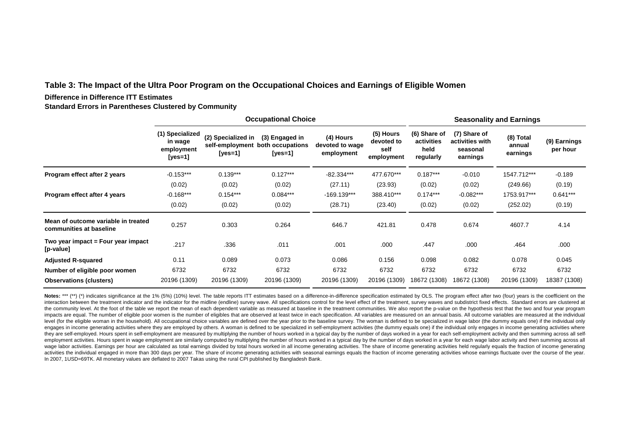#### **Table 3: The Impact of the Ultra Poor Program on the Occupational Choices and Earnings of Eligible Women**

#### **Difference in Difference ITT Estimates**

**Standard Errors in Parentheses Clustered by Community**

|                                                                |                                                     |                                                      | <b>Occupational Choice</b>                    |                                            |                                               | <b>Seasonality and Earnings</b>                 |                                                         |                                 |                          |  |
|----------------------------------------------------------------|-----------------------------------------------------|------------------------------------------------------|-----------------------------------------------|--------------------------------------------|-----------------------------------------------|-------------------------------------------------|---------------------------------------------------------|---------------------------------|--------------------------|--|
|                                                                | (1) Specialized<br>in wage<br>employment<br>[yes=1] | (2) Specialized in<br>self-employment<br>[ $yes=1$ ] | (3) Engaged in<br>both occupations<br>[yes=1] | (4) Hours<br>devoted to wage<br>employment | (5) Hours<br>devoted to<br>self<br>employment | (6) Share of<br>activities<br>held<br>regularly | (7) Share of<br>activities with<br>seasonal<br>earnings | (8) Total<br>annual<br>earnings | (9) Earnings<br>per hour |  |
| Program effect after 2 years                                   | $-0.153***$                                         | $0.139***$                                           | $0.127***$                                    | $-82.334***$                               | 477.670***                                    | $0.187***$                                      | $-0.010$                                                | 1547.712***                     | $-0.189$                 |  |
|                                                                | (0.02)                                              | (0.02)                                               | (0.02)                                        | (27.11)                                    | (23.93)                                       | (0.02)                                          | (0.02)                                                  | (249.66)                        | (0.19)                   |  |
| Program effect after 4 years                                   | $-0.168***$                                         | $0.154***$                                           | $0.084***$                                    | $-169.139***$                              | 388.410***                                    | $0.174***$                                      | $-0.082***$                                             | 1753.917***                     | $0.641***$               |  |
|                                                                | (0.02)                                              | (0.02)                                               | (0.02)                                        | (28.71)                                    | (23.40)                                       | (0.02)                                          | (0.02)                                                  | (252.02)                        | (0.19)                   |  |
| Mean of outcome variable in treated<br>communities at baseline | 0.257                                               | 0.303                                                | 0.264                                         | 646.7                                      | 421.81                                        | 0.478                                           | 0.674                                                   | 4607.7                          | 4.14                     |  |
| Two year impact = Four year impact<br>[p-value]                | .217                                                | .336                                                 | .011                                          | .001                                       | .000                                          | .447                                            | .000                                                    | .464                            | .000                     |  |
| <b>Adjusted R-squared</b>                                      | 0.11                                                | 0.089                                                | 0.073                                         | 0.086                                      | 0.156                                         | 0.098                                           | 0.082                                                   | 0.078                           | 0.045                    |  |
| Number of eligible poor women                                  | 6732                                                | 6732                                                 | 6732                                          | 6732                                       | 6732                                          | 6732                                            | 6732                                                    | 6732                            | 6732                     |  |
| <b>Observations (clusters)</b>                                 | 20196 (1309)                                        | 20196 (1309)                                         | 20196 (1309)                                  | 20196 (1309)                               | 20196 (1309)                                  | 18672 (1308)                                    | 18672 (1308)                                            | 20196 (1309)                    | 18387 (1308)             |  |

Notes: \*\*\* (\*\*) (\*) indicates significance at the 1% (5%) (10%) level. The table reports ITT estimates based on a difference-in-difference specification estimated by OLS. The program effect after two (four) years is the co interaction between the treatment indicator and the indicator for the midline (endline) survey wave. All specifications control for the level effect of the treatment, survey waves and subdistrict fixed effects. Standard er the community level. At the foot of the table we report the mean of each dependent variable as measured at baseline in the treatment communities. We also report the p-value on the hypothesis test that the two and four year impacts are equal. The number of eligible poor women is the number of eligibles that are observed at least twice in each specification. All variables are measured on an annual basis. All outcome variables are measured at t level (for the eligible woman in the household). All occupational choice variables are defined over the vear prior to the baseline survey. The woman is defined to be specialized in wage labor (the dummy equals one) if the engages in income generating activities where they are employed by others. A woman is defined to be specialized in self-employment activities (the dummy equals one) if the individual only engages in income generating activ they are self-employed. Hours spent in self-employment are measured by multiplying the number of hours worked in a typical day by the number of days worked in a year for each self-employment activity and then summing acros employment activities. Hours spent in wage employment are similarly computed by multiplying the number of hours worked in a typical day by the number of days worked in a year for each wage labor activity and then summing a wage labor activities. Earnings per hour are calculated as total earnings divided by total hours worked in all income generating activities. The share of income generating activities held regularly equals the fraction of i activities the individual engaged in more than 300 days per year. The share of income generating activities with seasonal earnings equals the fraction of income generating activities whose earnings fluctuate over the cours In 2007, 1USD=69TK. All monetary values are deflated to 2007 Takas using the rural CPI published by Bangladesh Bank.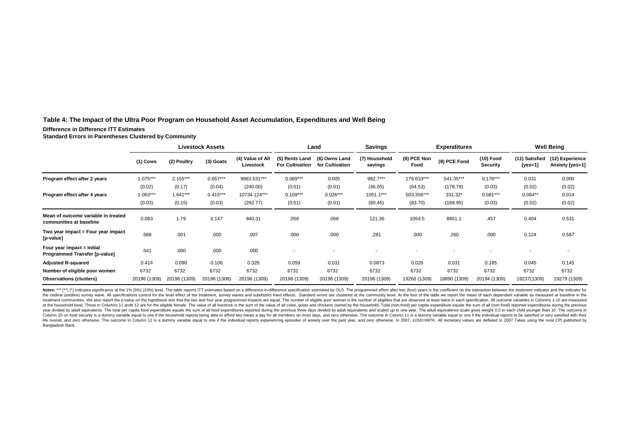#### **Table 4: The Impact of the Ultra Poor Program on Household Asset Accumulation, Expenditures and Well Being**

#### **Difference in Difference ITT Estimates**

**Standard Errors in Parentheses Clustered by Community**

|                                                                |              |              | <b>Livestock Assets</b> |                               | Land                                     |                                  | <b>Savings</b>           | <b>Expenditures</b> |              |                              | <b>Well Being</b>         |                                    |
|----------------------------------------------------------------|--------------|--------------|-------------------------|-------------------------------|------------------------------------------|----------------------------------|--------------------------|---------------------|--------------|------------------------------|---------------------------|------------------------------------|
|                                                                | $(1)$ Cows   | (2) Poultry  | (3) Goats               | (4) Value of All<br>Livestock | (5) Rents Land<br><b>For Cultivation</b> | (6) Owns Land<br>for Cultivation | (7) Household<br>savings | (8) PCE Non<br>Food | (9) PCE Food | (10) Food<br><b>Security</b> | (11) Satisfied<br>[yes=1] | (12) Experience<br>Anxiety [yes=1] |
| Program effect after 2 years                                   | 1.075***     | $2.155***$   | $0.667***$              | 9983.531***                   | $0.069***$                               | 0.005                            | 982.7***                 | 179.633***          | 541.35***    | $0.176***$                   | 0.031                     | 0.000                              |
|                                                                | (0.02)       | (0.17)       | (0.04)                  | (240.00)                      | (0.01)                                   | (0.01)                           | (46.05)                  | (64.53)             | (178.79)     | (0.03)                       | (0.02)                    | (0.02)                             |
| Program effect after 4 years                                   | $1.063***$   | $1.641***$   | $0.415***$              | 10734.124***                  | $0.109***$                               | $0.026***$                       | 1051.1***                | 503.356***          | 331.32*      | $0.081***$                   | $0.064**$                 | 0.014                              |
|                                                                | (0.03)       | (0.15)       | (0.03)                  | (292.77)                      | (0.01)                                   | (0.01)                           | (60.45)                  | (83.70)             | (169.95)     | (0.03)                       | (0.02)                    | (0.02)                             |
| Mean of outcome variable in treated<br>communities at baseline | 0.083        | 1.79         | 0.147                   | 940.31                        | .058                                     | .068                             | 121.36                   | 1054.5              | 8861.1       | .457                         | 0.404                     | 0.531                              |
| Two year impact = Four year impact<br>[p-value]                | .588         | .001         | .000                    | .007                          | .000                                     | .000                             | .281                     | .000                | .260         | .000.                        | 0.124                     | 0.587                              |
| Four year impact = Initial<br>Programmed Transfer [p-value]    | .541         | .000         | .000                    | .000                          | ٠                                        |                                  |                          |                     |              |                              |                           |                                    |
| <b>Adjusted R-squared</b>                                      | 0.414        | 0.090        | 0.106                   | 0.328                         | 0.059                                    | 0.031                            | 0.0873                   | 0.026               | 0.031        | 0.185                        | 0.045                     | 0.145                              |
| Number of eligible poor women                                  | 6732         | 6732         | 6732                    | 6732                          | 6732                                     | 6732                             | 6732                     | 6732                | 6732         | 6732                         | 6732                      | 6732                               |
| <b>Observations (clusters)</b>                                 | 20196 (1309) | 20196 (1309) | 20196 (1309)            | 20196 (1309)                  | 20196 (1309)                             | 20196 (1309)                     | 20196 (1309)             | 19266 (1309)        | 18890 (1309) | 20194 (1309)                 | 19237(1309)               | 19279 (1309)                       |

Notes: \*\*\* (\*\*) (\*) indicates significance at the 1% (5%) (10%) level. The table reports ITT estimates based on a difference-in-difference specification estimated by OLS. The programmed effect after two (four) years is the the midline (endline) survey wave. All specifications control for the level effect of the treatment, survey waves and subdistrict fixed effects. Standard errors are clustered at the community level. At the foot of the tabl treatment communities. We also report the p-value on the hypothesis test that the two and four year programmed impacts are equal. The number of eligible poor women is the number of eligibles that are observed at least twic at the household level. Those in Columns 11 ands 12 are for the eligible female. The value of all livestock is the sum of the value of all cows, goats and chickens owned by the household. Total (non-food) per capita expend year divided by adult equivalents. The total per capita food expenditure equals the sum of all food expenditures reported during the previous three days divided by adult equivalents and scaled up to one year. The adult equ Column 10 on food security is a dummy variable equal to one if the household reports being able to afford two meals a day for all members on most days, and zero otherwise. The outcome in Column 11 is a dummy variable equal life overall, and zero otherwise. The outcome in Column 12 is a dummy variable equal to one if the individual reports experiencing episodes of anxiety over the past year, and zero otherwise. In 2007, 1USD=69TK. All monetar Bangladesh Bank.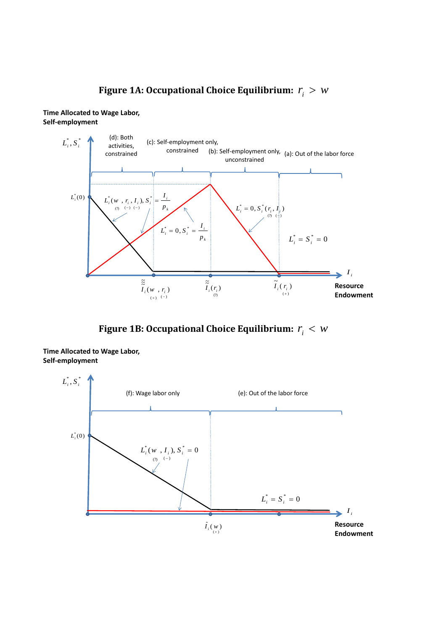## Figure 1A: Occupational Choice Equilibrium:  $r_i > w$





Figure 1B: Occupational Choice Equilibrium:  $r_i < w$ 



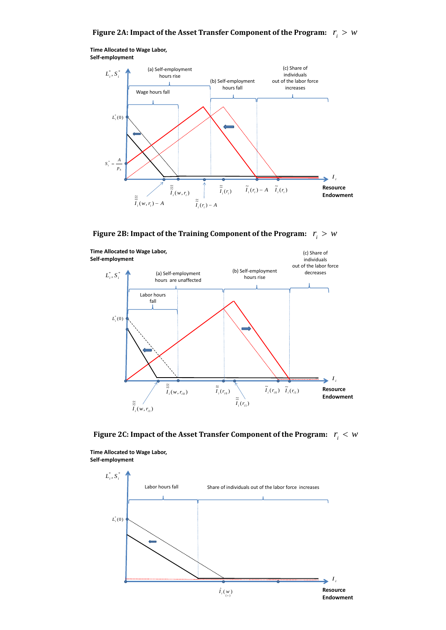**Time Allocated to Wage Labor, Self-employment**



Figure 2B: Impact of the Training Component of the Program:  $r_i > w$ 



Figure 2C: Impact of the Asset Transfer Component of the Program:  $r_i < w$ 



**Time Allocated to Wage Labor, Self-employment**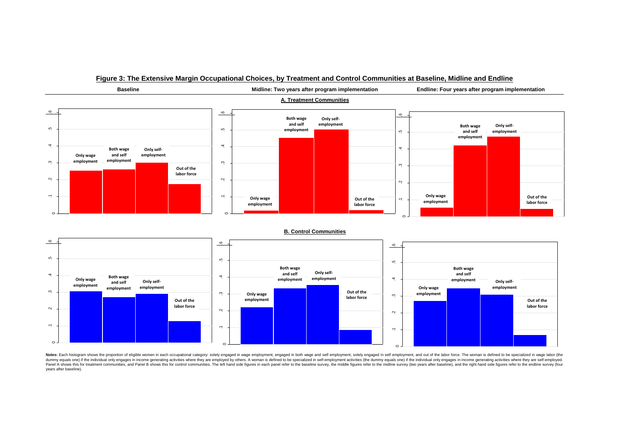

#### **Figure 3: The Extensive Margin Occupational Choices, by Treatment and Control Communities at Baseline, Midline and Endline**

Notes: Each histogram shows the proportion of eligible women in each occupational category: solely engaged in wage employment, engaged in both wage and self employment, solely engaged in self employment, and out of the lab dummy equals one) if the individual only engages in income generating activities where they are employed by others. A woman is defined to be specialized in self-employment activities (the dummy equals one) if the individua Panel A shows this for treatment communities, and Panel B shows this for control communities. The left hand side figures in each panel refer to the baseline survey, the middle figures refer to the middle eques in each pane years after baseline).

 $\sim$ 

 $\circ$ 

 $\circ$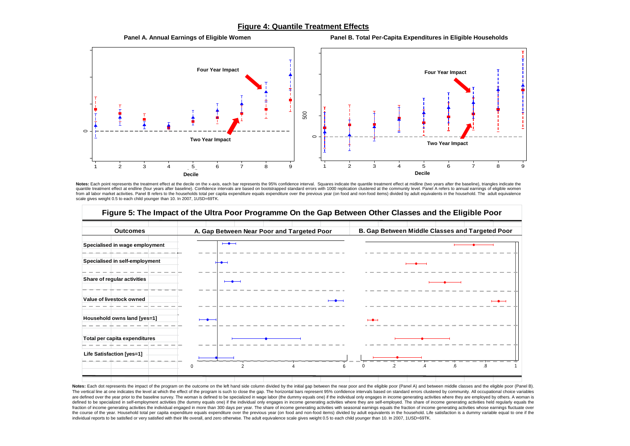#### **Figure 4: Quantile Treatment Effects**

### **Panel A. Annual Earnings of Eligible Women Panel B. Total Per-Capita Expenditures in Eligible Households**  $\subset$ 500 1 2 3 4 5 6 7 8 9 Decile  $\circ$ 1 2 3 4 5 6 7 8 9 Decile **Four Year Impact Two Year Impact Four Year Impact Two Year Impact Decile Decile**

#### Notes: Each point represents the treatment effect at the decile on the x-axis, each bar represents the 95% confidence interval. Squares indicate the quantile treatment effect at midline (two years after the baseline), tria quantile treatment effect at endline (four years after baseline). Confidence intervals are based on bootstrapped standard errors with 1000 replication clustered at the community level. Panel A refers to annual earnings of from all labor market activities. Panel B refers to the households total per capita expenditure equals expenditure over the previous year (on food and non-food items) divided by adult equivalents in the household. The adul scale gives weight 0.5 to each child younger than 10. In 2007, 1USD=69TK.



Notes: Each dot represents the impact of the program on the outcome on the left hand side column divided by the initial gap between the near poor and the eligible poor (Panel A) and between middle classes and the eligible The vertical line at one indicates the level at which the effect of the program is such to close the gap. The horizontal bars represent 95% confidence intervals based on standard errors clustered by community. All occupati are defined over the year prior to the baseline survey. The woman is defined to be specialized in wage labor (the dummy equals one) if the individual only engages in income generating activities where they are employed by defined to be specialized in self-employment activities (the dummy equals one) if the individual only engages in income generating activities where they are self-employed. The share of income generating activities held reg fraction of income generating activities the individual engaged in more than 300 days per year. The share of income generating activities with seasonal earnings equals the fraction of income generating activities whose ear the course of the year. Household total per capita expenditure equals expenditure over the previous year (on food and non-food items) divided by adult equivalents in the household. Life satisfaction is a dummy variable equ individual reports to be satisfied or very satisfied with their life overall, and zero otherwise. The adult equivalence scale gives weight 0.5 to each child younger than 10. In 2007, 1USD=69TK.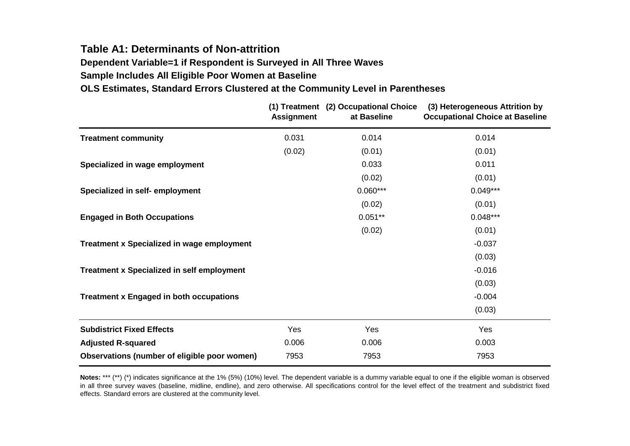### **Table A1: Determinants of Non-attrition**

**Dependent Variable=1 if Respondent is Surveyed in All Three Waves**

**Sample Includes All Eligible Poor Women at Baseline**

### **OLS Estimates, Standard Errors Clustered at the Community Level in Parentheses**

|                                                   | <b>Assignment</b> | (1) Treatment (2) Occupational Choice<br>at Baseline | (3) Heterogeneous Attrition by<br><b>Occupational Choice at Baseline</b> |
|---------------------------------------------------|-------------------|------------------------------------------------------|--------------------------------------------------------------------------|
| <b>Treatment community</b>                        | 0.031             | 0.014                                                | 0.014                                                                    |
|                                                   | (0.02)            | (0.01)                                               | (0.01)                                                                   |
| Specialized in wage employment                    |                   | 0.033                                                | 0.011                                                                    |
|                                                   |                   | (0.02)                                               | (0.01)                                                                   |
| Specialized in self- employment                   |                   | $0.060***$                                           | $0.049***$                                                               |
|                                                   |                   | (0.02)                                               | (0.01)                                                                   |
| <b>Engaged in Both Occupations</b>                |                   | $0.051**$                                            | $0.048***$                                                               |
|                                                   |                   | (0.02)                                               | (0.01)                                                                   |
| <b>Treatment x Specialized in wage employment</b> |                   |                                                      | $-0.037$                                                                 |
|                                                   |                   |                                                      | (0.03)                                                                   |
| <b>Treatment x Specialized in self employment</b> |                   |                                                      | $-0.016$                                                                 |
|                                                   |                   |                                                      | (0.03)                                                                   |
| <b>Treatment x Engaged in both occupations</b>    |                   |                                                      | $-0.004$                                                                 |
|                                                   |                   |                                                      | (0.03)                                                                   |
| <b>Subdistrict Fixed Effects</b>                  | Yes               | Yes                                                  | Yes                                                                      |
| <b>Adjusted R-squared</b>                         | 0.006             | 0.006                                                | 0.003                                                                    |
| Observations (number of eligible poor women)      | 7953              | 7953                                                 | 7953                                                                     |

Notes: \*\*\* (\*\*) (\*) indicates significance at the 1% (5%) (10%) level. The dependent variable is a dummy variable equal to one if the eligible woman is observed in all three survey waves (baseline, midline, endline), and zero otherwise. All specifications control for the level effect of the treatment and subdistrict fixed effects. Standard errors are clustered at the community level.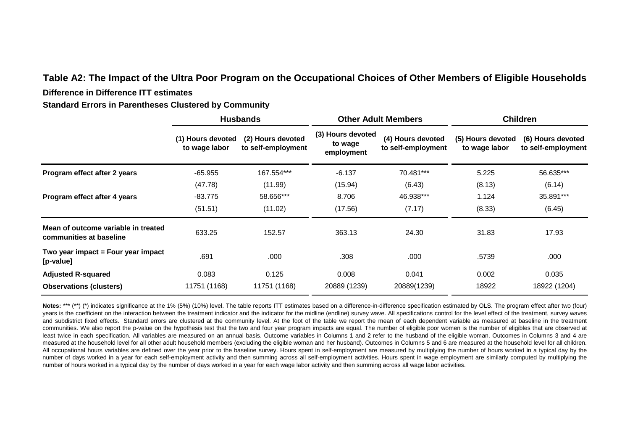### **Table A2: The Impact of the Ultra Poor Program on the Occupational Choices of Other Members of Eligible Households**

#### **Difference in Difference ITT estimates**

**Standard Errors in Parentheses Clustered by Community**

|                                                                |                                    | <b>Husbands</b>                         |                                            | <b>Other Adult Members</b>              | <b>Children</b>                    |                                         |  |
|----------------------------------------------------------------|------------------------------------|-----------------------------------------|--------------------------------------------|-----------------------------------------|------------------------------------|-----------------------------------------|--|
|                                                                | (1) Hours devoted<br>to wage labor | (2) Hours devoted<br>to self-employment | (3) Hours devoted<br>to wage<br>employment | (4) Hours devoted<br>to self-employment | (5) Hours devoted<br>to wage labor | (6) Hours devoted<br>to self-employment |  |
| Program effect after 2 years                                   | $-65.955$                          | 167.554***                              | $-6.137$                                   | 70.481***                               | 5.225                              | 56.635***                               |  |
|                                                                | (47.78)                            | (11.99)                                 | (15.94)                                    | (6.43)                                  | (8.13)                             | (6.14)                                  |  |
| Program effect after 4 years                                   | $-83.775$                          | 58.656***                               | 8.706                                      | 46.938***                               | 1.124                              | 35.891***                               |  |
|                                                                | (51.51)                            | (11.02)                                 | (17.56)                                    | (7.17)                                  | (8.33)                             | (6.45)                                  |  |
| Mean of outcome variable in treated<br>communities at baseline | 633.25                             | 152.57                                  | 363.13                                     | 24.30                                   | 31.83                              | 17.93                                   |  |
| Two year impact = Four year impact<br>[p-value]                | .691                               | .000                                    | .308                                       | .000                                    | .5739                              | .000                                    |  |
| <b>Adjusted R-squared</b>                                      | 0.083                              | 0.125                                   | 0.008                                      | 0.041                                   | 0.002                              | 0.035                                   |  |
| <b>Observations (clusters)</b>                                 | 11751 (1168)                       | 11751 (1168)                            | 20889 (1239)                               | 20889(1239)                             | 18922                              | 18922 (1204)                            |  |

Notes: \*\*\* (\*\*) (\*) indicates significance at the 1% (5%) (10%) level. The table reports ITT estimates based on a difference-in-difference specification estimated by OLS. The program effect after two (four) years is the coefficient on the interaction between the treatment indicator and the indicator for the midline (endline) survey wave. All specifications control for the level effect of the treatment, survey waves and subdistrict fixed effects. Standard errors are clustered at the community level. At the foot of the table we report the mean of each dependent variable as measured at baseline in the treatment communities. We also report the p-value on the hypothesis test that the two and four year program impacts are equal. The number of eligible poor women is the number of eligibles that are observed at least twice in each specification. All variables are measured on an annual basis. Outcome variables in Columns 1 and 2 refer to the husband of the eligible woman. Outcomes in Columns 3 and 4 are measured at the household level for all other adult household members (excluding the eligible woman and her husband). Outcomes in Columns 5 and 6 are measured at the household level for all children. All occupational hours variables are defined over the year prior to the baseline survey. Hours spent in self-employment are measured by multiplying the number of hours worked in a typical day by the number of days worked in a year for each self-employment activity and then summing across all self-employment activities. Hours spent in wage employment are similarly computed by multiplying the number of hours worked in a typical day by the number of days worked in a year for each wage labor activity and then summing across all wage labor activities.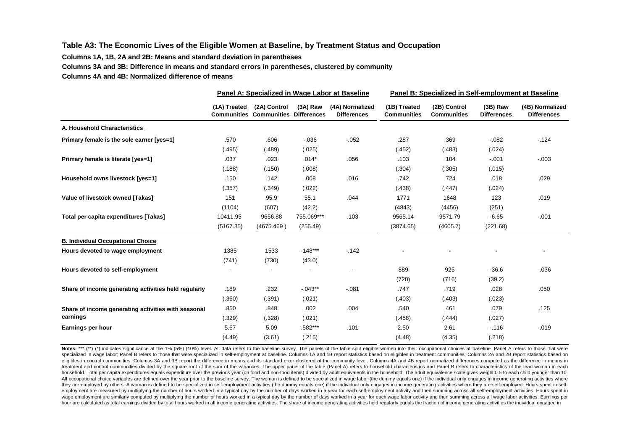#### **Table A3: The Economic Lives of the Eligible Women at Baseline, by Treatment Status and Occupation**

**Columns 1A, 1B, 2A and 2B: Means and standard deviation in parentheses**

**Columns 3A and 3B: Difference in means and standard errors in parentheses, clustered by community**

**Columns 4A and 4B: Normalized difference of means**

|                                                      |              |                                                            |            | Panel A: Specialized in Wage Labor at Baseline | Panel B: Specialized in Self-employment at Baseline |                                    |                                  |                                       |  |
|------------------------------------------------------|--------------|------------------------------------------------------------|------------|------------------------------------------------|-----------------------------------------------------|------------------------------------|----------------------------------|---------------------------------------|--|
|                                                      | (1A) Treated | (2A) Control<br><b>Communities Communities Differences</b> | (3A) Raw   | (4A) Normalized<br><b>Differences</b>          | (1B) Treated<br><b>Communities</b>                  | (2B) Control<br><b>Communities</b> | $(3B)$ Raw<br><b>Differences</b> | (4B) Normalized<br><b>Differences</b> |  |
| A. Household Characteristics                         |              |                                                            |            |                                                |                                                     |                                    |                                  |                                       |  |
| Primary female is the sole earner [yes=1]            | .570         | .606                                                       | $-0.036$   | $-0.052$                                       | .287                                                | .369                               | $-0.082$                         | $-124$                                |  |
|                                                      | (.495)       | (.489)                                                     | (.025)     |                                                | (.452)                                              | (.483)                             | (.024)                           |                                       |  |
| Primary female is literate [yes=1]                   | .037         | .023                                                       | $.014*$    | .056                                           | .103                                                | .104                               | $-.001$                          | $-.003$                               |  |
|                                                      | (.188)       | (.150)                                                     | (.008)     |                                                | (.304)                                              | (.305)                             | (.015)                           |                                       |  |
| Household owns livestock [yes=1]                     | .150         | .142                                                       | .008       | .016                                           | .742                                                | .724                               | .018                             | .029                                  |  |
|                                                      | (.357)       | (.349)                                                     | (.022)     |                                                | (.438)                                              | (.447)                             | (.024)                           |                                       |  |
| Value of livestock owned [Takas]                     | 151          | 95.9                                                       | 55.1       | .044                                           | 1771                                                | 1648                               | 123                              | .019                                  |  |
|                                                      | (1104)       | (607)                                                      | (42.2)     |                                                | (4843)                                              | (4456)                             | (251)                            |                                       |  |
| Total per capita expenditures [Takas]                | 10411.95     | 9656.88                                                    | 755.069*** | .103                                           | 9565.14                                             | 9571.79                            | $-6.65$                          | $-.001$                               |  |
|                                                      | (5167.35)    | (4675.469)                                                 | (255.49)   |                                                | (3874.65)                                           | (4605.7)                           | (221.68)                         |                                       |  |
| <b>B. Individual Occupational Choice</b>             |              |                                                            |            |                                                |                                                     |                                    |                                  |                                       |  |
| Hours devoted to wage employment                     | 1385         | 1533                                                       | $-148***$  | $-0.142$                                       |                                                     |                                    |                                  |                                       |  |
|                                                      | (741)        | (730)                                                      | (43.0)     |                                                |                                                     |                                    |                                  |                                       |  |
| Hours devoted to self-employment                     |              |                                                            |            |                                                | 889                                                 | 925                                | $-36.6$                          | $-0.036$                              |  |
|                                                      |              |                                                            |            |                                                | (720)                                               | (716)                              | (39.2)                           |                                       |  |
| Share of income generating activities held regularly | .189         | .232                                                       | $-0.043**$ | $-0.081$                                       | .747                                                | .719                               | .028                             | .050                                  |  |
|                                                      | (.360)       | (.391)                                                     | (.021)     |                                                | (.403)                                              | (.403)                             | (.023)                           |                                       |  |
| Share of income generating activities with seasonal  | .850         | .848                                                       | .002       | .004                                           | .540                                                | .461                               | .079                             | .125                                  |  |
| earnings                                             | (.329)       | (.328)                                                     | (.021)     |                                                | (.458)                                              | (.444)                             | (.027)                           |                                       |  |
| Earnings per hour                                    | 5.67         | 5.09                                                       | .582***    | .101                                           | 2.50                                                | 2.61                               | $-.116$                          | $-0.019$                              |  |
|                                                      | (4.49)       | (3.61)                                                     | (.215)     |                                                | (4.48)                                              | (4.35)                             | (.218)                           |                                       |  |

Notes: \*\*\* (\*\*) (\*) indicates significance at the 1% (5%) (10%) level. All data refers to the baseline survey. The panels of the table split eligible women into their occupational choices at baseline. Panel A refers to tho specialized in wage labor; Panel B refers to those that were specialized in self-employment at baseline. Columns 1A and 1B report statistics based on eligibles in treatment communities; Columns 2A and 2B report statistics eligibles in control communities. Columns 3A and 3B report the difference in means and its standard error clustered at the community level. Columns 4A and 4B report normalized differences computed as the difference in mean treatment and control communities divided by the square root of the sum of the variances. The upper panel of the table (Panel A) refers to household characteristics and Panel B refers to characteristics of the lead woman i household. Total per capita expenditures equals expenditure over the previous year (on food and non-food items) divided by adult equivalents in the household. The adult equivalence scale gives weight 0.5 to each child youn All occupational choice variables are defined over the vear prior to the baseline survey. The woman is defined to be specialized in wage labor (the dummy equals one) if the individual only engages in income generating acti they are employed by others. A woman is defined to be specialized in self-employment activities (the dummy equals one) if the individual only engages in income generating activities where they are self-employed. Hours spen employment are measured by multiplying the number of hours worked in a typical day by the number of days worked in a year for each self-employment activity and then summing across all self-employment activities. Hours spen wage employment are similarly computed by multiplying the number of hours worked in a typical day by the number of days worked in a year for each wage labor activity and then summing across all wage labor activities. Earni hour are calculated as total earnings divided by total hours worked in all income generating activities. The share of income generating activities held regularly equals the fraction of income generating activities he indiv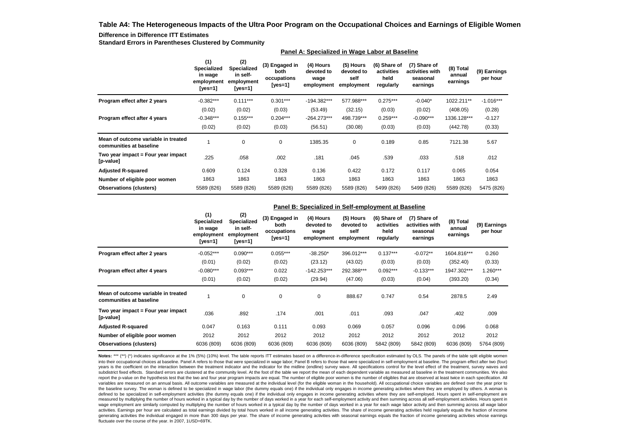**Table A4: The Heterogeneous Impacts of the Ultra Poor Program on the Occupational Choices and Earnings of Eligible Women**

#### **Difference in Difference ITT Estimates**

**Standard Errors in Parentheses Clustered by Community**

|                                                                |                                                               |                                                         |                                                  | Panel A: Specialized in Wage Labor at Baseline |                                               |                                                 |                                                         |                                 |                          |
|----------------------------------------------------------------|---------------------------------------------------------------|---------------------------------------------------------|--------------------------------------------------|------------------------------------------------|-----------------------------------------------|-------------------------------------------------|---------------------------------------------------------|---------------------------------|--------------------------|
|                                                                | (1)<br><b>Specialized</b><br>in wage<br>employment<br>[yes=1] | (2)<br>Specialized<br>in self-<br>employment<br>[yes=1] | (3) Engaged in<br>both<br>occupations<br>[yes=1] | (4) Hours<br>devoted to<br>wage<br>employment  | (5) Hours<br>devoted to<br>self<br>employment | (6) Share of<br>activities<br>held<br>regularly | (7) Share of<br>activities with<br>seasonal<br>earnings | (8) Total<br>annual<br>earnings | (9) Earnings<br>per hour |
| Program effect after 2 years                                   | $-0.382***$                                                   | $0.111***$                                              | $0.301***$                                       | -194.382***                                    | 577.988***                                    | $0.275***$                                      | $-0.040*$                                               | 1022.211**                      | $-1.016***$              |
|                                                                | (0.02)                                                        | (0.02)                                                  | (0.03)                                           | (53.49)                                        | (32.15)                                       | (0.03)                                          | (0.02)                                                  | (408.05)                        | (0.28)                   |
| Program effect after 4 years                                   | $-0.348***$                                                   | $0.155***$                                              | $0.204***$                                       | $-264.273***$                                  | 498.739***                                    | $0.259***$                                      | $-0.090***$                                             | 1336.128***                     | $-0.127$                 |
|                                                                | (0.02)                                                        | (0.02)                                                  | (0.03)                                           | (56.51)                                        | (30.08)                                       | (0.03)                                          | (0.03)                                                  | (442.78)                        | (0.33)                   |
| Mean of outcome variable in treated<br>communities at baseline |                                                               | 0                                                       | 0                                                | 1385.35                                        | 0                                             | 0.189                                           | 0.85                                                    | 7121.38                         | 5.67                     |
| Two year impact = Four year impact<br>[p-value]                | .225                                                          | .058                                                    | .002                                             | .181                                           | .045                                          | .539                                            | .033                                                    | .518                            | .012                     |
| <b>Adjusted R-squared</b>                                      | 0.609                                                         | 0.124                                                   | 0.328                                            | 0.136                                          | 0.422                                         | 0.172                                           | 0.117                                                   | 0.065                           | 0.054                    |
| Number of eligible poor women                                  | 1863                                                          | 1863                                                    | 1863                                             | 1863                                           | 1863                                          | 1863                                            | 1863                                                    | 1863                            | 1863                     |
| <b>Observations (clusters)</b>                                 | 5589 (826)                                                    | 5589 (826)                                              | 5589 (826)                                       | 5589 (826)                                     | 5589 (826)                                    | 5499 (826)                                      | 5499 (826)                                              | 5589 (826)                      | 5475 (826)               |

#### **Panel B: Specialized in Self-employment at Baseline**

|                                                                | (1)<br><b>Specialized</b><br>in wage<br>employment<br>[yes=1] | (2)<br>Specialized<br>in self-<br>employment<br>[ves=1] | (3) Engaged in<br>both<br>occupations<br>[yes=1] | (4) Hours<br>devoted to<br>wage<br>employment | (5) Hours<br>devoted to<br>self<br>employment | (6) Share of<br>activities<br>held<br>regularly | (7) Share of<br>activities with<br>seasonal<br>earnings | (8) Total<br>annual<br>earnings | (9) Earnings<br>per hour |
|----------------------------------------------------------------|---------------------------------------------------------------|---------------------------------------------------------|--------------------------------------------------|-----------------------------------------------|-----------------------------------------------|-------------------------------------------------|---------------------------------------------------------|---------------------------------|--------------------------|
| Program effect after 2 years                                   | $-0.052***$                                                   | $0.090***$                                              | $0.055***$                                       | $-38.250*$                                    | 396.012***                                    | $0.137***$                                      | $-0.072**$                                              | 1604.816***                     | 0.260                    |
|                                                                | (0.01)                                                        | (0.02)                                                  | (0.02)                                           | (23.12)                                       | (43.02)                                       | (0.03)                                          | (0.03)                                                  | (352.40)                        | (0.33)                   |
| Program effect after 4 years                                   | $-0.080***$                                                   | $0.093***$                                              | 0.022                                            | $-142.253***$                                 | 292.388***                                    | $0.092***$                                      | $-0.133***$                                             | 1947.302***                     | $1.260***$               |
|                                                                | (0.01)                                                        | (0.02)                                                  | (0.02)                                           | (29.94)                                       | (47.06)                                       | (0.03)                                          | (0.04)                                                  | (393.20)                        | (0.34)                   |
| Mean of outcome variable in treated<br>communities at baseline |                                                               | 0                                                       | 0                                                | 0                                             | 888.67                                        | 0.747                                           | 0.54                                                    | 2878.5                          | 2.49                     |
| Two year impact = Four year impact<br>[p-value]                | .036                                                          | .892                                                    | .174                                             | .001                                          | .011                                          | .093                                            | .047                                                    | .402                            | .009                     |
| <b>Adjusted R-squared</b>                                      | 0.047                                                         | 0.163                                                   | 0.111                                            | 0.093                                         | 0.069                                         | 0.057                                           | 0.096                                                   | 0.096                           | 0.068                    |
| Number of eligible poor women                                  | 2012                                                          | 2012                                                    | 2012                                             | 2012                                          | 2012                                          | 2012                                            | 2012                                                    | 2012                            | 2012                     |
| <b>Observations (clusters)</b>                                 | 6036 (809)                                                    | 6036 (809)                                              | 6036 (809)                                       | 6036 (809)                                    | 6036 (809)                                    | 5842 (809)                                      | 5842 (809)                                              | 6036 (809)                      | 5764 (809)               |

Notes: \*\*\* (\*\*) (\*) indicates significance at the 1% (5%) (10%) level. The table reports ITT estimates based on a difference-in-difference specification estimated by OLS. The panels of the table split eligible women into their occupational choices at baseline. Panel A refers to those that were specialized in wage labor; Panel B refers to those that were specialized in self-employment at baseline. The program effect after two (four) years is the coefficient on the interaction between the treatment indicator and the indicator for the midline (endline) survey wave. All specifications control for the level effect of the treatment, survey waves and subdistrict fixed effects. Standard errors are clustered at the community level. At the foot of the table we report the mean of each dependent variable as measured at baseline in the treatment communities. We also report the p-value on the hypothesis test that the two and four year program impacts are equal. The number of eligible poor women is the number of eligibles that are observed at least twice in each specification. All variables are measured on an annual basis. All outcome variables are measured at the individual level (for the eligible woman in the household). All occupational choice variables are defined over the year prior to the baseline survey. The woman is defined to be specialized in wage labor (the dummy equals one) if the individual only engages in income generating activities where they are employed by others. A woman is defined to be specialized in self-employment activities (the dummy equals one) if the individual only engages in income generating activities where they are self-employed. Hours spent in self-employment are measured by multiplying the number of hours worked in a typical day by the number of days worked in a year for each self-employment activity and then summing across all self-employment activities. Hours spent in wage employment are similarly computed by multiplying the number of hours worked in a typical day by the number of days worked in a year for each wage labor activity and then summing across all wage labor activities. Earnings per hour are calculated as total earnings divided by total hours worked in all income generating activities. The share of income generating activities held regularly equals the fraction of income generating activities the individual engaged in more than 300 days per year. The share of income generating activities with seasonal earnings equals the fraction of income generating activities whose earnings fluctuate over the course of the year. In 2007, 1USD=69TK.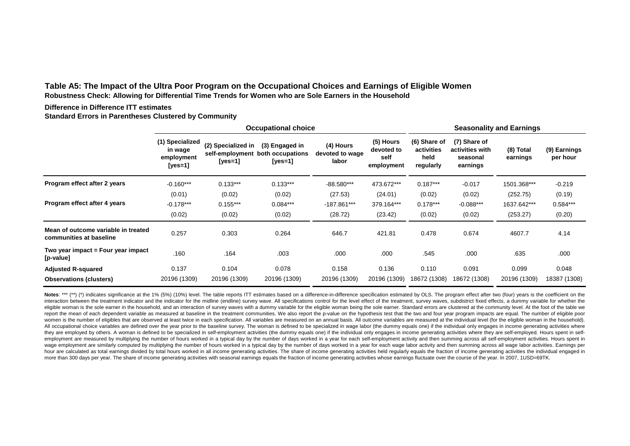**Table A5: The Impact of the Ultra Poor Program on the Occupational Choices and Earnings of Eligible Women Robustness Check: Allowing for Differential Time Trends for Women who are Sole Earners in the Household**

#### **Difference in Difference ITT estimates**

**Standard Errors in Parentheses Clustered by Community**

|                                                                |                                                         |                                                  | <b>Occupational choice</b>                    |                                       |                                               | <b>Seasonality and Earnings</b>                 |                                                         |                       |                          |  |
|----------------------------------------------------------------|---------------------------------------------------------|--------------------------------------------------|-----------------------------------------------|---------------------------------------|-----------------------------------------------|-------------------------------------------------|---------------------------------------------------------|-----------------------|--------------------------|--|
|                                                                | (1) Specialized<br>in wage<br>employment<br>[ $yes=1$ ] | (2) Specialized in<br>self-employment<br>[yes=1] | (3) Engaged in<br>both occupations<br>[yes=1] | (4) Hours<br>devoted to wage<br>labor | (5) Hours<br>devoted to<br>self<br>employment | (6) Share of<br>activities<br>held<br>regularly | (7) Share of<br>activities with<br>seasonal<br>earnings | (8) Total<br>earnings | (9) Earnings<br>per hour |  |
| Program effect after 2 years                                   | $-0.160***$                                             | $0.133***$                                       | $0.133***$                                    | $-88.580***$                          | 473.672***                                    | $0.187***$                                      | $-0.017$                                                | 1501.368***           | $-0.219$                 |  |
|                                                                | (0.01)                                                  | (0.02)                                           | (0.02)                                        | (27.53)                               | (24.01)                                       | (0.02)                                          | (0.02)                                                  | (252.75)              | (0.19)                   |  |
| Program effect after 4 years                                   | $-0.178***$                                             | $0.155***$                                       | $0.084***$                                    | -187.861***                           | 379.164***                                    | $0.178***$                                      | $-0.088***$                                             | 1637.642***           | $0.584***$               |  |
|                                                                | (0.02)                                                  | (0.02)                                           | (0.02)                                        | (28.72)                               | (23.42)                                       | (0.02)                                          | (0.02)                                                  | (253.27)              | (0.20)                   |  |
| Mean of outcome variable in treated<br>communities at baseline | 0.257                                                   | 0.303                                            | 0.264                                         | 646.7                                 | 421.81                                        | 0.478                                           | 0.674                                                   | 4607.7                | 4.14                     |  |
| Two year impact = Four year impact<br>[p-value]                | .160                                                    | .164                                             | .003                                          | .000                                  | .000                                          | .545                                            | .000                                                    | .635                  | .000                     |  |
| <b>Adjusted R-squared</b>                                      | 0.137                                                   | 0.104                                            | 0.078                                         | 0.158                                 | 0.136                                         | 0.110                                           | 0.091                                                   | 0.099                 | 0.048                    |  |
| <b>Observations (clusters)</b>                                 | 20196 (1309)                                            | 20196 (1309)                                     | 20196 (1309)                                  | 20196 (1309)                          | 20196 (1309)                                  | 18672 (1308)                                    | 18672 (1308)                                            | 20196 (1309)          | 18387 (1308)             |  |

Notes: \*\*\* (\*\*) (\*) indicates significance at the 1% (5%) (10%) level. The table reports ITT estimates based on a difference-in-difference specification estimated by OLS. The program effect after two (four) years is the co interaction between the treatment indicator and the indicator for the midline (endline) survey wave. All specifications control for the level effect of the treatment, survey waves, subdistrict fixed effects, a dummy variab eligible woman is the sole earner in the household, and an interaction of survey wayes with a dummy variable for the eligible woman being the sole earner. Standard errors are clustered at the community level. At the foot o report the mean of each dependent variable as measured at baseline in the treatment communities. We also report the p-value on the hypothesis test that the two and four year program impacts are equal. The number of eligibl women is the number of eligibles that are observed at least twice in each specification. All variables are measured on an annual basis. All outcome variables are measured at the individual level (for the eligible woman in All occupational choice variables are defined over the year prior to the baseline survey. The woman is defined to be specialized in wage labor (the dummy equals one) if the individual only engages in income generating acti they are employed by others. A woman is defined to be specialized in self-employment activities (the dummy equals one) if the individual only engages in income generating activities where they are self-employed. Hours spen employment are measured by multiplying the number of hours worked in a typical day by the number of days worked in a year for each self-employment activity and then summing across all self-employment activities. Hours spen wage employment are similarly computed by multiplying the number of hours worked in a typical day by the number of days worked in a year for each wage labor activity and then summing across all wage labor activities. Earni hour are calculated as total earnings divided by total hours worked in all income generating activities. The share of income generating activities held regularly equals the fraction of income generating activities the indi more than 300 days per year. The share of income generating activities with seasonal earnings equals the fraction of income generating activities whose earnings fluctuate over the course of the year. In 2007, 1USD=69TK.